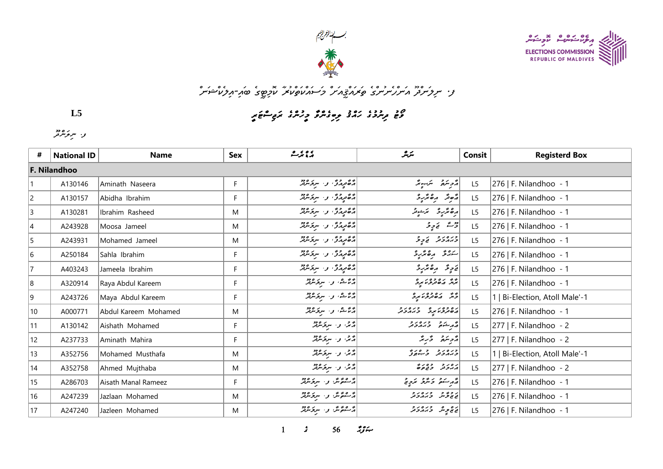



## و· سروسر<sup>و</sup>ر مسرر سردگر و محرکم تازیر در محرک استرار میکنند.<br>و· سروسر در مسرر سردگی کامرکار استرار کام کام کام کام کام استرار می مورد استرار استرار کاملی کاملی کاملی کاملی

*p8mHwEoKm8sCw7q5p>n=w7sCo9oBqYw<m5sCq>q7o@qHv=*

| L5          |  |
|-------------|--|
| و· سرمزمرمر |  |

| #              | <b>National ID</b> | <b>Name</b>          | <b>Sex</b> | پرویز ک                   | سگرىگر                               | Consit         | <b>Registerd Box</b>           |  |  |  |  |  |
|----------------|--------------------|----------------------|------------|---------------------------|--------------------------------------|----------------|--------------------------------|--|--|--|--|--|
|                | F. Nilandhoo       |                      |            |                           |                                      |                |                                |  |  |  |  |  |
|                | A130146            | Aminath Naseera      | F.         | د ځوړمرگه و . سرغه شرمر   | رژحر سرمنی سرمنیو مر                 | L5             | 276   F. Nilandhoo - 1         |  |  |  |  |  |
| $\overline{c}$ | A130157            | Abidha Ibrahim       | F          | المقربة في سركر من المركز | مُعِنْدِ مِعْدُبِ                    | L5             | 276   F. Nilandhoo - 1         |  |  |  |  |  |
| $ 3\rangle$    | A130281            | Ibrahim Rasheed      | M          | المقربة في سركر من المركز | أرە ئۇرۇ بىي ئوقر                    | L5             | 276   F. Nilandhoo - 1         |  |  |  |  |  |
| 4              | A243928            | Moosa Jameel         | M          | المقربة في سركر من المركز | رژے نے پر ثر                         | L <sub>5</sub> | 276   F. Nilandhoo - 1         |  |  |  |  |  |
| 5              | A243931            | Mohamed Jameel       | M          | د څوړمرگه و . سرغه شرمر   | دبره بر د توپو                       | L <sub>5</sub> | 276   F. Nilandhoo - 1         |  |  |  |  |  |
| 6              | A250184            | Sahla Ibrahim        | F          | دەمدىرى ئىسىر ئىرود       | سىرگە مەھرىرى                        | L <sub>5</sub> | 276   F. Nilandhoo - 1         |  |  |  |  |  |
| 17             | A403243            | Jameela Ibrahim      | F          | دەمدىرى ئەسىر مەد         | فاحرٍ قد أمر مركز و                  | L5             | 276   F. Nilandhoo - 1         |  |  |  |  |  |
| 8              | A320914            | Raya Abdul Kareem    | F          | پر شش، و سرکر میر         | په ده ده ده د ه<br>برگ مان ترونو برگ | L5             | 276   F. Nilandhoo - 1         |  |  |  |  |  |
| 9              | A243726            | Maya Abdul Kareem    | F.         | پر شش، و سروسربر          | د پره ده در و                        | L5             | 1   Bi-Election, Atoll Male'-1 |  |  |  |  |  |
| $ 10\rangle$   | A000771            | Abdul Kareem Mohamed | M          | پر شش، و سروسربر          | رەدەر پەرەرد                         | L5             | 276   F. Nilandhoo - 1         |  |  |  |  |  |
| 11             | A130142            | Aishath Mohamed      | F.         | در سرکرسرد                | د د و وره د و                        | L <sub>5</sub> | 277   F. Nilandhoo - 2         |  |  |  |  |  |
| 12             | A237733            | Aminath Mahira       | F.         | پر په د سرکرسرګر          | رحمة والمجالية                       | L <sub>5</sub> | 277   F. Nilandhoo - 2         |  |  |  |  |  |
| 13             | A352756            | Mohamed Musthafa     | M          | پژش و . سربۇشۇر           | ورەرو وەرۇ                           | L <sub>5</sub> | 1   Bi-Election, Atoll Male'-1 |  |  |  |  |  |
| 14             | A352758            | Ahmed Mujthaba       | M          | پرس و سرکرسرټر            | د ه د د ده ده                        | L <sub>5</sub> | 277   F. Nilandhoo - 2         |  |  |  |  |  |
| 15             | A286703            | Aisath Manal Rameez  | F          | پر عۇش و، سرىزىللە        | روستمر و مرکز مردم                   | L5             | 276   F. Nilandhoo - 1         |  |  |  |  |  |
| 16             | A247239            | Jazlaan Mohamed      | M          | پر ۱۳۵۵ و. سربر ۱۳۵       | د د بج د د د د د                     | L <sub>5</sub> | 276   F. Nilandhoo - 1         |  |  |  |  |  |
| 17             | A247240            | Jazleen Mohamed      | M          | پر عائز میں مرکز موجد     | ئى ئۇ ئەرەر ئەرەر ئە                 | L5             | 276   F. Nilandhoo - 1         |  |  |  |  |  |

 $3$   $56$   $334$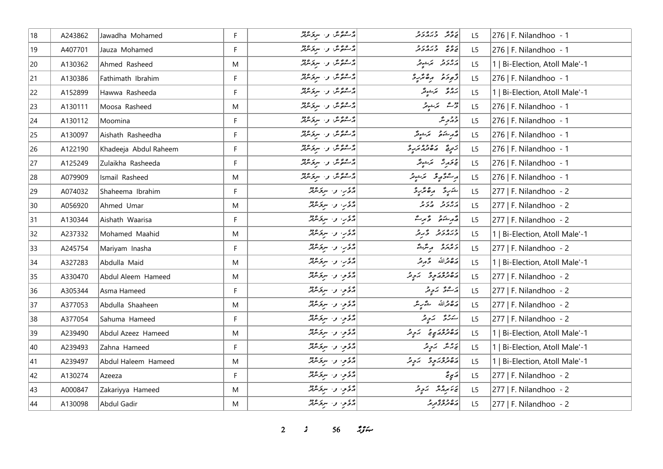| 18 | A243862 | Jawadha Mohamed       | F | پر ۱۳۵۵ و. سربر ۱۶۵۵<br>  پر سوچسربر     | يو پېړه د د                                                                                                                                                                                                                                                                                                                                                                                                | L <sub>5</sub> | 276   F. Nilandhoo - 1         |
|----|---------|-----------------------|---|------------------------------------------|------------------------------------------------------------------------------------------------------------------------------------------------------------------------------------------------------------------------------------------------------------------------------------------------------------------------------------------------------------------------------------------------------------|----------------|--------------------------------|
| 19 | A407701 | Jauza Mohamed         | F | ۇ ھۇش نەسىر دەدد                         | د ه په دره د د                                                                                                                                                                                                                                                                                                                                                                                             | L5             | 276   F. Nilandhoo - 1         |
| 20 | A130362 | Ahmed Rasheed         | M | ۇ ھۇش نەسىر ھەد                          | پروتر برشیتر                                                                                                                                                                                                                                                                                                                                                                                               | L5             | 1   Bi-Election, Atoll Male'-1 |
| 21 | A130386 | Fathimath Ibrahim     | F | در عدم مثل و السر کردود                  | ژّەدە مۇھمىي د                                                                                                                                                                                                                                                                                                                                                                                             | L <sub>5</sub> | 276   F. Nilandhoo - 1         |
| 22 | A152899 | Hawwa Rasheeda        | F | پر 20 پر اور سربر مردر                   | بروۇ - برَجونگر                                                                                                                                                                                                                                                                                                                                                                                            | L5             | 1   Bi-Election, Atoll Male'-1 |
| 23 | A130111 | Moosa Rasheed         | M | پر عږم شي و. سربر مرور                   | روم تم تمزید                                                                                                                                                                                                                                                                                                                                                                                               | L5             | 276   F. Nilandhoo - 1         |
| 24 | A130112 | Moomina               | F | ۇ شۇش را سرىر مەد                        | د ډېر مثر                                                                                                                                                                                                                                                                                                                                                                                                  | L <sub>5</sub> | 276   F. Nilandhoo - 1         |
| 25 | A130097 | Aishath Rasheedha     | F | ۇ ھۇش بى سۆسرىتر                         | <br>  مەرسىنى ئىمىسىمىتىلىكى<br> -                                                                                                                                                                                                                                                                                                                                                                         | L5             | 276   F. Nilandhoo - 1         |
| 26 | A122190 | Khadeeja Abdul Raheem | F | پر شوچر و. سربر موجد                     | ژرپه ده ده در و                                                                                                                                                                                                                                                                                                                                                                                            | L5             | 276   F. Nilandhoo - 1         |
| 27 | A125249 | Zulaikha Rasheeda     | F | پر عۇش و. سرىرىدىگر                      | $\begin{array}{ c } \hline \\[-1.5mm] \displaystyle \sqrt{2} \, \sqrt{2} \, \sqrt{2} \, \sqrt{2} \, \sqrt{2} \, \sqrt{2} \, \sqrt{2} \, \sqrt{2} \, \sqrt{2} \, \sqrt{2} \, \sqrt{2} \, \sqrt{2} \, \sqrt{2} \, \sqrt{2} \, \sqrt{2} \, \sqrt{2} \, \sqrt{2} \, \sqrt{2} \, \sqrt{2} \, \sqrt{2} \, \sqrt{2} \, \sqrt{2} \, \sqrt{2} \, \sqrt{2} \, \sqrt{2} \, \sqrt{2} \, \sqrt{2} \, \sqrt{2} \, \sqrt$ | L <sub>5</sub> | 276   F. Nilandhoo - 1         |
| 28 | A079909 | Ismail Rasheed        | M | پر عائد پر سربر مارد                     | أره عقوقه عجم المحمد المحمد                                                                                                                                                                                                                                                                                                                                                                                | L5             | 276   F. Nilandhoo - 1         |
| 29 | A074032 | Shaheema Ibrahim      | F | د ځې وسروسرند                            | شربرق رەمۇرۇ                                                                                                                                                                                                                                                                                                                                                                                               | L5             | 277   F. Nilandhoo - 2         |
| 30 | A056920 | Ahmed Umar            | M | د ځې وسروسرند                            | دەرو دىرو                                                                                                                                                                                                                                                                                                                                                                                                  | L <sub>5</sub> | 277   F. Nilandhoo - 2         |
| 31 | A130344 | Aishath Waarisa       | F | رئمي والبرغامة                           | د مرڪبر - د عرب                                                                                                                                                                                                                                                                                                                                                                                            | L <sub>5</sub> | 277   F. Nilandhoo - 2         |
| 32 | A237332 | Mohamed Maahid        | M | أيموب و· سربر وديد                       | ورەر د پەر                                                                                                                                                                                                                                                                                                                                                                                                 | L <sub>5</sub> | 1   Bi-Election, Atoll Male'-1 |
| 33 | A245754 | Mariyam Inasha        | F | رحمي والبربخندقة                         | دەرە بەشق                                                                                                                                                                                                                                                                                                                                                                                                  | L5             | 277   F. Nilandhoo - 2         |
| 34 | A327283 | Abdulla Maid          | M | د کار، و ا سرکرسرټر                      | أضفض الله وحجم وتمر                                                                                                                                                                                                                                                                                                                                                                                        | L <sub>5</sub> | 1   Bi-Election, Atoll Male'-1 |
| 35 | A330470 | Abdul Aleem Hameed    | M | أَرَّهُ مِنْ الْمُتَوَسَّرَ الْمُرْكَّبُ | رەۋەر پە ئەچەر                                                                                                                                                                                                                                                                                                                                                                                             | L5             | 277   F. Nilandhoo - 2         |
| 36 | A305344 | Asma Hameed           | F | د ځو، و سروسرند                          | ئەشق ئەدەر                                                                                                                                                                                                                                                                                                                                                                                                 | L <sub>5</sub> | 277   F. Nilandhoo - 2         |
| 37 | A377053 | Abdulla Shaaheen      | M | أركاحي والبريحانين                       | أرة قرالله شرير                                                                                                                                                                                                                                                                                                                                                                                            | L5             | 277   F. Nilandhoo - 2         |
| 38 | A377054 | Sahuma Hameed         | F | رژوم و سرومین                            | سەرى بەرلا                                                                                                                                                                                                                                                                                                                                                                                                 | L5             | 277   F. Nilandhoo - 2         |
| 39 | A239490 | Abdul Azeez Hameed    | M | أَرَّةَ مِنْ الْمُتَوَسِّرَةَ            | رەۋەرىپى كېچە                                                                                                                                                                                                                                                                                                                                                                                              | L <sub>5</sub> | 1   Bi-Election, Atoll Male'-1 |
| 40 | A239493 | Zahna Hameed          | F | أَرَّةَ مِنْ الْمُتَوَسَّلَةُ            | پرویگر   پرویگر                                                                                                                                                                                                                                                                                                                                                                                            | L <sub>5</sub> | 1   Bi-Election, Atoll Male'-1 |
| 41 | A239497 | Abdul Haleem Hameed   | M | أَرَّهُ مِنْ الْمُتَوَسَّلَةُ            | رەۋە ئۇچە ئەرەر                                                                                                                                                                                                                                                                                                                                                                                            | L <sub>5</sub> | 1   Bi-Election, Atoll Male'-1 |
| 42 | A130274 | Azeeza                | F | رژومو، واسترتدهای                        | لأسيء                                                                                                                                                                                                                                                                                                                                                                                                      | L5             | 277   F. Nilandhoo - 2         |
| 43 | A000847 | Zakariyya Hameed      | M | د عود او استر عرفتر                      | ئەنىر بەر ئەچ ئىر                                                                                                                                                                                                                                                                                                                                                                                          | L <sub>5</sub> | 277   F. Nilandhoo - 2         |
| 44 | A130098 | Abdul Gadir           | M | د ځو، و سرومرنز                          | ره وه و و د<br>  پرې ترنو د تربر                                                                                                                                                                                                                                                                                                                                                                           | L <sub>5</sub> | 277   F. Nilandhoo - 2         |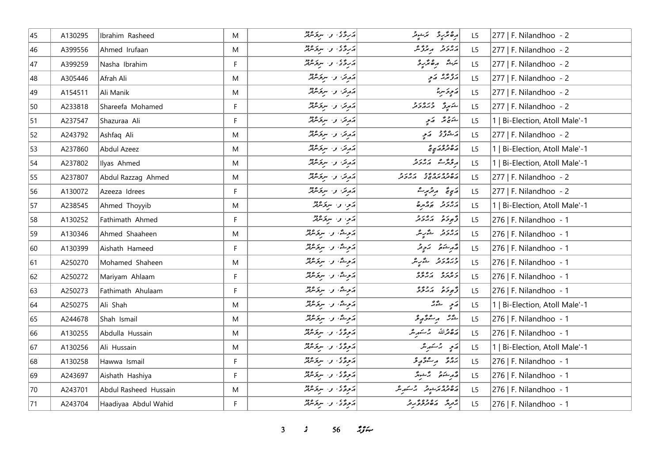| 45 | A130295 | Ibrahim Rasheed       | M         | دروی، وسوچه میزد                                                                                   | رە ئرىر ئىن ئىشىر                                                                                                                                                                                                                                                                                                                                                                                                                                                                             | L <sub>5</sub> | 277   F. Nilandhoo - 2         |
|----|---------|-----------------------|-----------|----------------------------------------------------------------------------------------------------|-----------------------------------------------------------------------------------------------------------------------------------------------------------------------------------------------------------------------------------------------------------------------------------------------------------------------------------------------------------------------------------------------------------------------------------------------------------------------------------------------|----------------|--------------------------------|
| 46 | A399556 | Ahmed Irufaan         | ${\sf M}$ | دروی و سرومین                                                                                      | دەر د مەرگە                                                                                                                                                                                                                                                                                                                                                                                                                                                                                   | L5             | 277   F. Nilandhoo - 2         |
| 47 | A399259 | Nasha Ibrahim         | F         | أرترده و سرومبر                                                                                    | يترشى مەھەردى                                                                                                                                                                                                                                                                                                                                                                                                                                                                                 | L5             | 277   F. Nilandhoo - 2         |
| 48 | A305446 | Afrah Ali             | M         | شهرت وسيخترق                                                                                       | پروېژنه پړېد                                                                                                                                                                                                                                                                                                                                                                                                                                                                                  | L <sub>5</sub> | 277   F. Nilandhoo - 2         |
| 49 | A154511 | Ali Manik             | M         | أركاني المستخرج المراجع                                                                            | پَه پِه چَسرِ بِرْ                                                                                                                                                                                                                                                                                                                                                                                                                                                                            | L <sub>5</sub> | 277   F. Nilandhoo - 2         |
| 50 | A233818 | Shareefa Mohamed      | F.        | أروكر، و- سركر الرقم                                                                               | شهرو وره در                                                                                                                                                                                                                                                                                                                                                                                                                                                                                   | L <sub>5</sub> | 277   F. Nilandhoo - 2         |
| 51 | A237547 | Shazuraa Ali          | F         | دَرِسَ و سِرَوَسْهُرٌ                                                                              | شەچ ئەڭ ئەي                                                                                                                                                                                                                                                                                                                                                                                                                                                                                   | L <sub>5</sub> | 1   Bi-Election, Atoll Male'-1 |
| 52 | A243792 | Ashfaq Ali            | M         | دَرِمَرَ، وَ- سِرْمَامِیْرُ                                                                        | رَڪُوڙَ - ارَجِ                                                                                                                                                                                                                                                                                                                                                                                                                                                                               | L5             | 277   F. Nilandhoo - 2         |
| 53 | A237860 | Abdul Azeez           | M         | د مرتر، او ، اسریکردونو                                                                            | رە دور پە                                                                                                                                                                                                                                                                                                                                                                                                                                                                                     | L5             | 1   Bi-Election, Atoll Male'-1 |
| 54 | A237802 | Ilyas Ahmed           | M         | أركان المستحار المسترك                                                                             | مەئەر ئەرەر د                                                                                                                                                                                                                                                                                                                                                                                                                                                                                 | L <sub>5</sub> | 1   Bi-Election, Atoll Male'-1 |
| 55 | A237807 | Abdul Razzag Ahmed    | M         | أركان المستحامة                                                                                    | ג ס כ ס ג ס ג כ ג כ ג כ<br>השינות הנוג ה ב הג כ ינ                                                                                                                                                                                                                                                                                                                                                                                                                                            | L <sub>5</sub> | 277   F. Nilandhoo - 2         |
| 56 | A130072 | Azeeza Idrees         | F.        | أركان المستخرج المحمد                                                                              | ړېږ پر تریپر شو                                                                                                                                                                                                                                                                                                                                                                                                                                                                               | L5             | 277   F. Nilandhoo - 2         |
| 57 | A238545 | Ahmed Thoyyib         | ${\sf M}$ | درموا واسترعاه                                                                                     | أرور و دورد                                                                                                                                                                                                                                                                                                                                                                                                                                                                                   | L5             | 1   Bi-Election, Atoll Male'-1 |
| 58 | A130252 | Fathimath Ahmed       | F.        | أأترموا والسرقر فاقتد                                                                              | و برو بره برو                                                                                                                                                                                                                                                                                                                                                                                                                                                                                 | L <sub>5</sub> | 276   F. Nilandhoo - 1         |
| 59 | A130346 | Ahmed Shaaheen        | M         | روش، و- سردسمبر                                                                                    | پرونز گے پہ                                                                                                                                                                                                                                                                                                                                                                                                                                                                                   | L5             | 276   F. Nilandhoo - 1         |
| 60 | A130399 | Aishath Hameed        | F         | دَوِحْهُ، و. سِرْدَسْمْدْ                                                                          | د م شو د سو مرح د                                                                                                                                                                                                                                                                                                                                                                                                                                                                             | L5             | 276   F. Nilandhoo - 1         |
| 61 | A250270 | Mohamed Shaheen       | M         | دَ وِحَدٌ، وَ الْمُؤْمَرُيْنَ                                                                      | ورورو څړیو                                                                                                                                                                                                                                                                                                                                                                                                                                                                                    | L <sub>5</sub> | 276   F. Nilandhoo - 1         |
| 62 | A250272 | Mariyam Ahlaam        | F.        | دَمِثَّة، وَ- سِمَرَسْتِرْ                                                                         | دەرە بەدۇە                                                                                                                                                                                                                                                                                                                                                                                                                                                                                    | L5             | 276   F. Nilandhoo - 1         |
| 63 | A250273 | Fathimath Ahulaam     | F         | أرويش والسرومين                                                                                    | أزّودَه بردوّه                                                                                                                                                                                                                                                                                                                                                                                                                                                                                | L5             | 276   F. Nilandhoo - 1         |
| 64 | A250275 | Ali Shah              | M         | ړوگ، وا سروسمبر                                                                                    | $\begin{bmatrix} 0 & \frac{\sigma_1}{\sigma_1} & \frac{\sigma_2}{\sigma_2} & \frac{\sigma_1}{\sigma_1} & \frac{\sigma_2}{\sigma_2} & \frac{\sigma_1}{\sigma_2} & \frac{\sigma_1}{\sigma_2} & \frac{\sigma_2}{\sigma_1} & \frac{\sigma_2}{\sigma_2} & \frac{\sigma_1}{\sigma_2} & \frac{\sigma_2}{\sigma_2} & \frac{\sigma_2}{\sigma_2} & \frac{\sigma_2}{\sigma_2} & \frac{\sigma_2}{\sigma_2} & \frac{\sigma_2}{\sigma_2} & \frac{\sigma_2}{\sigma_2} & \frac{\sigma_2}{\sigma_2} & \frac{\$ | L5             | 1   Bi-Election, Atoll Male'-1 |
| 65 | A244678 | Shah Ismail           | M         | ړوگ، وا سروموټر                                                                                    | شر مستركم و                                                                                                                                                                                                                                                                                                                                                                                                                                                                                   | L5             | 276   F. Nilandhoo - 1         |
| 66 | A130255 | Abdulla Hussain       | M         | دَ وِحٌ ی ) و ا سروَسْرَيْرُ                                                                       | أرة قرالله برسكورير                                                                                                                                                                                                                                                                                                                                                                                                                                                                           | L <sub>5</sub> | 276   F. Nilandhoo - 1         |
| 67 | A130256 | Ali Hussain           | M         | أروغ في المستخدم المستقر                                                                           | رَمِ پُرِ سَمَرِ شَر                                                                                                                                                                                                                                                                                                                                                                                                                                                                          | L5             | 1   Bi-Election, Atoll Male'-1 |
| 68 | A130258 | Hawwa Ismail          | F.        | أروغ في المستخدم المعنى المستخدم المستخدم المستخدم المستخدم المستخدم المستخدم المستخدم المستخدم ال | پروژ پر عوضو                                                                                                                                                                                                                                                                                                                                                                                                                                                                                  | L5             | 276   F. Nilandhoo - 1         |
| 69 | A243697 | Aishath Hashiya       | F.        | أروغ في المستخدم المعنى المستخدم المستخدم المستخدم المستخدم المستخدم المستخدم المستخدم المستخدم ال | محمد مشور محمد محمد المحمد المحمد المحمد المحمد المحمد المحمد المحمد المحمد المحمد المحمد المحمد المحمد المحمد                                                                                                                                                                                                                                                                                                                                                                                | L5             | 276   F. Nilandhoo - 1         |
| 70 | A243701 | Abdul Rasheed Hussain | ${\sf M}$ | رَمُوَةٌ في سِرَةٌ مِنْهُمْ                                                                        | دەدەبرىدو جەمئىر                                                                                                                                                                                                                                                                                                                                                                                                                                                                              | L5             | 276   F. Nilandhoo - 1         |
| 71 | A243704 | Haadiyaa Abdul Wahid  | F.        | أروغ ي المستخلفة المستخلفة                                                                         | در دره ده در د                                                                                                                                                                                                                                                                                                                                                                                                                                                                                | L5             | 276   F. Nilandhoo - 1         |

**3 3 56** *if***<sub>s</sub>**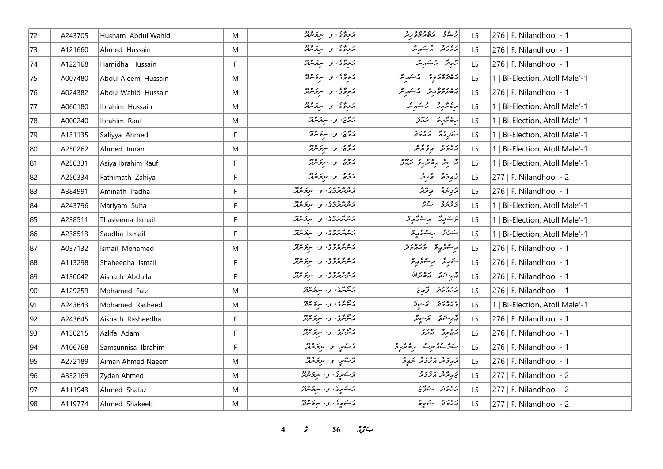| 72 | A243705 | Husham Abdul Wahid  | M  | د پروگا و سرپر مردم                                   | ا د ۶۵ می ده وه ۶ د و ا                    | L <sub>5</sub> | 276   F. Nilandhoo - 1         |
|----|---------|---------------------|----|-------------------------------------------------------|--------------------------------------------|----------------|--------------------------------|
| 73 | A121660 | Ahmed Hussain       | M  | أروغ ي المستخلفة المستخلفة                            | دەرو جەسىر ش                               | L5             | 276   F. Nilandhoo - 1         |
| 74 | A122168 | Hamidha Hussain     | F. | 1207 - 1207 - 1207 - 120 E .<br>1207 - 1208 - 120 E . | پڑونڈ پر سکر پر                            | L5             | 276   F. Nilandhoo - 1         |
| 75 | A007480 | Abdul Aleem Hussain | M  | در دی و است ده دور<br>  در خروگان و استروشهر          | رە دەر دەر باسكىرىش                        | L5             | 1   Bi-Election, Atoll Male'-1 |
| 76 | A024382 | Abdul Wahid Hussain | M  | أأروح في والمسرور المرد                               | رەدەپرىر برخىرىر                           | L5             | 276   F. Nilandhoo - 1         |
| 77 | A060180 | Ibrahim Hussain     | M  | أروه في المستحصر المستخدم                             | أرەنمىر ئەسىر ش                            | L5             | 1   Bi-Election, Atoll Male'-1 |
| 78 | A000240 | Ibrahim Rauf        | M  | دۇيج، بىسىر ئىرلىر                                    | ده تر په دروه<br>  د ه تر په سمدن          | L5             | 1   Bi-Election, Atoll Male'-1 |
| 79 | A131135 | Safiyya Ahmed       | F  | دۇچ، ئەسىرىمىدە                                       | بتورش رورو                                 | L <sub>5</sub> | 1   Bi-Election, Atoll Male'-1 |
| 80 | A250262 | Ahmed Imran         | M  | ئەڭنى، ئەسىرىكىرلىر                                   | دەرە بەۋىگە                                | L5             | 1   Bi-Election, Atoll Male'-1 |
| 81 | A250331 | Asiya Ibrahim Rauf  | F. | أَرَدُّى وَ سِرْقَسْ لَهُ                             | پی سوز از ده در دره در دره در این در در در | L <sub>5</sub> | 1   Bi-Election, Atoll Male'-1 |
| 82 | A250334 | Fathimath Zahiya    | F. | دَدَّج، و سردَسْرَتْهُ                                | قەمۇمۇس ئىم بىر                            | L <sub>5</sub> | 277   F. Nilandhoo - 2         |
| 83 | A384991 | Aminath Iradha      | F  | پرچروی و سروه د                                       | أأزجه المعتقر                              | L5             | 276   F. Nilandhoo - 1         |
| 84 | A243796 | Mariyam Suha        | F  | پره پروه یکی در سرپر ۱۹۶۵                             | د ۱۵ د مه د م                              | L5             | 1   Bi-Election, Atoll Male'-1 |
| 85 | A238511 | Thasleema Ismail    | F. | د ۵ ۶۶ و ، و ، سربر ۶۶۵                               | پر شموِیْ پر سر شو پوی                     | L <sub>5</sub> | 1   Bi-Election, Atoll Male'-1 |
| 86 | A238513 | Saudha Ismail       | F. | د ۱۳۶۵ و. سرپر ۱۳۵                                    | ستهتر مسترحية                              | L <sub>5</sub> | 1   Bi-Election, Atoll Male'-1 |
| 87 | A037132 | Ismail Mohamed      | M  | د ۱۳۶۵ و ۱۰ سربر ۱۳۵                                  | أرسونه وره دو                              | L5             | $ 276 $ F. Nilandhoo - 1       |
| 88 | A113298 | Shaheedha Ismail    | F. | د ۱۳۶۵ و ۱۰ سربر ۱۳۵                                  | شەرىئە بەسىئى ئەرقى                        | L5             | 276   F. Nilandhoo - 1         |
| 89 | A130042 | Aishath Abdulla     | F  | پرچروی و سروه د                                       | أصمر منحق صكائلة                           | L5             | 276   F. Nilandhoo - 1         |
| 90 | A129259 | Mohamed Faiz        | M  | پرچرچی، په سربخ مرکز                                  | ورور و و د                                 | L <sub>5</sub> | 276   F. Nilandhoo - 1         |
| 91 | A243643 | Mohamed Rasheed     | M  | رچمۇي بى سىر ھەر                                      | ورەرو كەشەر                                | L5             | 1   Bi-Election, Atoll Male'-1 |
| 92 | A243645 | Aishath Rasheedha   | F  | دچری و سروه د                                         | مەرخۇم ئىزخوش                              | L5             | $ 276 $ F. Nilandhoo - 1       |
| 93 | A130215 | Azlifa Adam         | F. | رج دی که استروپیو                                     | پرځ پوتر په پره                            | L <sub>5</sub> | 276   F. Nilandhoo - 1         |
| 94 | A106768 | Samsunnisa Ibrahim  | F. | د شمې و. سروسرو                                       | سور دوسرے مقدرو                            | L <sub>5</sub> | 276   F. Nilandhoo - 1         |
| 95 | A272189 | Aiman Ahmed Naeem   | M  | المستعملية والمستخفظة                                 | أمر كامل من من من الله المجموعة            | L5             | 276   F. Nilandhoo - 1         |
| 96 | A332169 | Zydan Ahmed         | M  | كاسكىرى، و- سركرىينى                                  | پروگر پرور و                               | L5             | $ 277 $ F. Nilandhoo - 2       |
| 97 | A111943 | Ahmed Shafaz        | M  | دستموی، و سروسرد                                      | پره پر چې په چې پر چې چې                   | L5             | 277   F. Nilandhoo - 2         |
| 98 | A119774 | Ahmed Shakeeb       | M  | دستمبری، و، سربرصرفر                                  | دەرو شىرق                                  | L5             | 277   F. Nilandhoo - 2         |

*4 s* 56 *ig*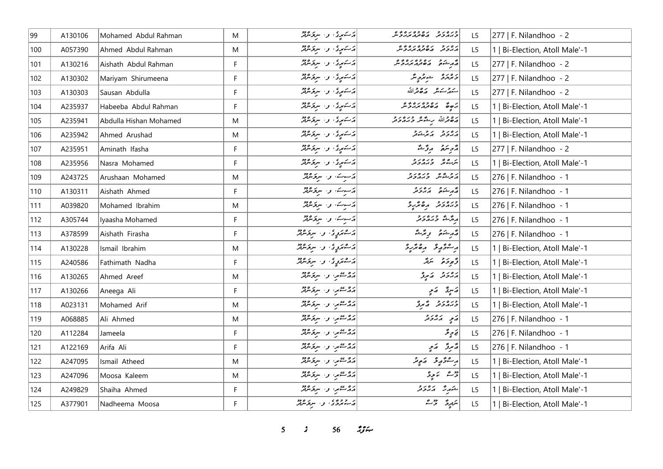| 99  | A130106 | Mohamed Abdul Rahman   | M            | دستمبری، و ا سربخشاند     | כנסנכ נסכסנספס<br>כגתכת הסתח <i>גב</i> ל            | L <sub>5</sub> | $ 277 $ F. Nilandhoo - 2       |
|-----|---------|------------------------|--------------|---------------------------|-----------------------------------------------------|----------------|--------------------------------|
| 100 | A057390 | Ahmed Abdul Rahman     | M            | دستهوی و سروه پو          | ره د د ده ده ده ده و                                | L5             | 1   Bi-Election, Atoll Male'-1 |
| 101 | A130216 | Aishath Abdul Rahman   | F            | دکستهری، و- سرنوشرفز      | انجم شوه ده وه ده نوه<br> وگرشونو انده تر مربر تر س | L5             | $ 277 $ F. Nilandhoo - 2       |
| 102 | A130302 | Mariyam Shirumeena     | $\mathsf{F}$ | دستمبری، و، سرقرمرفر      | دەرە ھىرونگر                                        | L5             | 277   F. Nilandhoo - 2         |
| 103 | A130303 | Sausan Abdulla         | F            | دستمبری، و استره دود      | يتمر شوشه وكالحدة الله                              | L5             | 277   F. Nilandhoo - 2         |
| 104 | A235937 | Habeeba Abdul Rahman   | F            | د سکیږي، و. سرنومبرد      | 20000000000000                                      | L5             | 1   Bi-Election, Atoll Male'-1 |
| 105 | A235941 | Abdulla Hishan Mohamed | M            | دستهری و سروهید           | روح الله برحمه وبروير                               | L5             | 1   Bi-Election, Atoll Male'-1 |
| 106 | A235942 | Ahmed Arushad          | M            | دستمبری، و استرسمبر       | پروتر   پرشکار                                      | L5             | 1   Bi-Election, Atoll Male'-1 |
| 107 | A235951 | Aminath Ifasha         | F            | پرسکیږی، و، سرکوشهر       | دوسمة المرتشة                                       | L5             | 277   F. Nilandhoo - 2         |
| 108 | A235956 | Nasra Mohamed          | F            | دستمبری، و ا سربرماند     | ش وره در د                                          | L5             | 1   Bi-Election, Atoll Male'-1 |
| 109 | A243725 | Arushaan Mohamed       | M            | دسوے و. سرقرمرتز          | أروث ورەرو                                          | L5             | 276   F. Nilandhoo - 1         |
| 110 | A130311 | Aishath Ahmed          | F            | دسوسه اور سرقرمرتز        | وكرمشتم وكالمروح                                    | L5             | $ 276 $ F. Nilandhoo - 1       |
| 111 | A039820 | Mohamed Ibrahim        | M            | دسوسه واسيؤنثرنثر         | ورەرو مەھرىر                                        | L5             | 276   F. Nilandhoo - 1         |
| 112 | A305744 | Iyaasha Mohamed        | F            | دسوسه اور سرقومثرثر       | پرسم دره دو                                         | L5             | $ 276 $ F. Nilandhoo - 1       |
| 113 | A378599 | Aishath Firasha        | $\mathsf F$  | ژے پروگا اور استر شرفتر   | قەرشۇق رىڭىشە                                       | L5             | 276   F. Nilandhoo - 1         |
| 114 | A130228 | Ismail Ibrahim         | M            | د شمروٍ دی، او، اسرتوسرټر | أرعونه ومعرو                                        | L5             | 1   Bi-Election, Atoll Male'-1 |
| 115 | A240586 | Fathimath Nadha        | F            | پرکسترېږي، او، سرپر مربر  | وَّ جوحه حَمَدَّ اللَّهُ اللَّهُ                    | L5             | 1   Bi-Election, Atoll Male'-1 |
| 116 | A130265 | Ahmed Areef            | M            | پره عمر، و . سرغ مربر     | د د د د پرو                                         | L5             | 1   Bi-Election, Atoll Male'-1 |
| 117 | A130266 | Aneega Ali             | F            | پروستمبر، و- سربرمرفتر    | وكاسيقى وكالمح                                      | L5             | 1   Bi-Election, Atoll Male'-1 |
| 118 | A023131 | Mohamed Arif           | M            | پره عمر، و . سربرمهر      | ورەر د دېر                                          | L5             | 1   Bi-Election, Atoll Male'-1 |
| 119 | A068885 | Ali Ahmed              | M            | پره عمر، و . سرگرمرګر     | ړَ په دروره                                         | L5             | $ 276 $ F. Nilandhoo - 1       |
| 120 | A112284 | Jameela                | F            | پره عمل و سرگرمور         | تح تر تَرَ                                          | L5             | 276   F. Nilandhoo - 1         |
| 121 | A122169 | Arifa Ali              | F            | پره عمر، و . سرغ مرتز     | أة يروٌ أو يَبِي                                    | L <sub>5</sub> | 276   F. Nilandhoo - 1         |
| 122 | A247095 | Ismail Atheed          | M            | پروستمبر، و- سربرمرفتر    | برڪنۇپە ئەبەتر                                      | L <sub>5</sub> | 1   Bi-Election, Atoll Male'-1 |
| 123 | A247096 | Moosa Kaleem           | M            | پروستمبر، و- سربرمرفتر    | رضع الأموية                                         | L5             | 1   Bi-Election, Atoll Male'-1 |
| 124 | A249829 | Shaiha Ahmed           | F            | پره عمي، وسير پره دو      | شكرت كالرور                                         | L5             | 1   Bi-Election, Atoll Male'-1 |
| 125 | A377901 | Nadheema Moosa         | F            | د دوه ، و سرومبر          | لتربرى المحراث                                      | L <sub>5</sub> | 1   Bi-Election, Atoll Male'-1 |

 $5$   $56$   $79$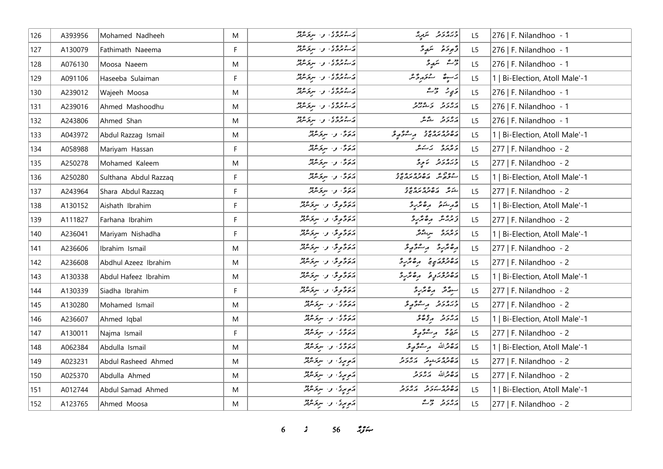| 126 | A393956 | Mohamed Nadheeh       | M           | در دوه ، او استخسره دو                                         | ورەرو شەرە                                                       | L <sub>5</sub> | 276   F. Nilandhoo - 1         |
|-----|---------|-----------------------|-------------|----------------------------------------------------------------|------------------------------------------------------------------|----------------|--------------------------------|
| 127 | A130079 | Fathimath Naeema      | F           | در دوه ، او استر مرده دو                                       | وَّجْوَحَهُ مَسَمَّدٍ حَ                                         | L <sub>5</sub> | 276   F. Nilandhoo - 1         |
| 128 | A076130 | Moosa Naeem           | M           | در ۱۶۶۶ و. سرور دور                                            | وقت التمدي                                                       | L5             | $ 276 $ F. Nilandhoo - 1       |
| 129 | A091106 | Haseeba Sulaiman      | F           | در دوه ، او استر ۱۶۵                                           | ئەسوڭ سىغەرگەش                                                   | L5             | 1   Bi-Election, Atoll Male'-1 |
| 130 | A239012 | Wajeeh Moosa          | M           | در ۱۶۶۶ و ۱۰ سربر ۱۶۵۰                                         | دَيِرْ مِنْ شَرْ                                                 | L5             | $ 276 $ F. Nilandhoo - 1       |
| 131 | A239016 | Ahmed Mashoodhu       | M           | در دوه ، او استر مرده دو                                       | ره رو در ۱۶۶۵ ورو                                                | L5             | 276   F. Nilandhoo - 1         |
| 132 | A243806 | Ahmed Shan            | M           | در دوه ی . د . سربوسرد                                         | رەر ئەھ                                                          | L5             | $ 276 $ F. Nilandhoo - 1       |
| 133 | A043972 | Abdul Razzag Ismail   | M           | پرېږي او د سربولنډيو                                           | גם כם גם ביב נגיע ביבוע בי                                       | L5             | 1   Bi-Election, Atoll Male'-1 |
| 134 | A058988 | Mariyam Hassan        | F.          | درگار و سرکرمرد                                                | دەرە برىكى                                                       | L5             | $ 277 $ F. Nilandhoo - 2       |
| 135 | A250278 | Mohamed Kaleem        | M           | ئەتەق بىر سىرىكىنىڭ                                            | ورەرو ئەرە                                                       | L <sub>5</sub> | $ 277 $ F. Nilandhoo - 2       |
| 136 | A250280 | Sulthana Abdul Razzaq | F           | درگار و سرکرمرکز                                               | 22010201 2002<br>سوچوش مەھەم بىر بىر                             | L <sub>5</sub> | 1   Bi-Election, Atoll Male'-1 |
| 137 | A243964 | Shara Abdul Razzaq    | F           | درگار و سرگرمرګر                                               | ر ده ده وه د ه و و<br>شوند گه هام مردم و د                       | L5             | $ 277 $ F. Nilandhoo - 2       |
| 138 | A130152 | Aishath Ibrahim       | F           | روځونځان سرخش                                                  | أقرم شكرة المره تركز                                             | L <sub>5</sub> | 1   Bi-Election, Atoll Male'-1 |
| 139 | A111827 | Farhana Ibrahim       | F           | روځونځه و سرخشتن                                               | كرومير مده مراجع                                                 | L <sub>5</sub> | $ 277 $ F. Nilandhoo - 2       |
| 140 | A236041 | Mariyam Nishadha      | $\mathsf F$ | روځونځه و سرخس                                                 | د ۱۵ مرسم شور محمد بر                                            | L5             | 1   Bi-Election, Atoll Male'-1 |
| 141 | A236606 | Ibrahim Ismail        | M           | أرْبِرُوْمِوْدُ و سِرْدَمْنْدْ                                 | رە ئرىرى بە سۇربۇ                                                | L <sub>5</sub> | 277   F. Nilandhoo - 2         |
| 142 | A236608 | Abdhul Azeez Ibrahim  | M           | رَرُوُوِیْ وَ سِرَوْسُ                                         | رەدورى ھەرد                                                      | L5             | $277$   F. Nilandhoo - 2       |
| 143 | A130338 | Abdul Hafeez Ibrahim  | M           | أَرَبَرُوْ وَلَا اللَّهِ وَاللَّهُ وَلَا اللَّهُ وَلَا لِلَّهُ | مەمروبىر ئەھەر ئە                                                | L <sub>5</sub> | 1   Bi-Election, Atoll Male'-1 |
| 144 | A130339 | Siadha Ibrahim        | F           | أوَوَدَّى وَ سِرْدَمْنْدْ                                      | سروقر رەتمرو                                                     | L5             | $ 277 $ F. Nilandhoo - 2       |
| 145 | A130280 | Mohamed Ismail        | M           | دروی و سروه دو                                                 | ورەرو بەسۇپەتى                                                   | L5             | 277   F. Nilandhoo - 2         |
| 146 | A236607 | Ahmed Iqbal           | M           | دروه و سرومود                                                  | أرور ووقعى                                                       | L5             | 1   Bi-Election, Atoll Male'-1 |
| 147 | A130011 | Najma Ismail          | F           | دروی و سرگرموژ                                                 | يروي - پر سرگرېږي د                                              | L <sub>5</sub> | 277   F. Nilandhoo - 2         |
| 148 | A062384 | Abdulla Ismail        | M           | دروی و سروکردو                                                 | أضفعهالله مرعوضي                                                 | L <sub>5</sub> | 1   Bi-Election, Atoll Male'-1 |
| 149 | A023231 | Abdul Rasheed Ahmed   | M           | أمريري والبريح مريد                                            | د ۶ وه بر شوتر به بر د و د<br>  پر ه تر پر بر سوتر به بر بر و تر | L5             | 277   F. Nilandhoo - 2         |
| 150 | A025370 | Abdulla Ahmed         | M           | موسری و سرفرماند                                               | أرجع قرالله كالمروج                                              | L5             | 277   F. Nilandhoo - 2         |
| 151 | A012744 | Abdul Samad Ahmed     | M           | مَصِرِينَ وَاسْرِحَامَدُوْرَ                                   | ره وه بربر و بره برو<br><mark>مر<i>ه در کرد</i> بربر</mark> و تر | L <sub>5</sub> | 1   Bi-Election, Atoll Male'-1 |
| 152 | A123765 | Ahmed Moosa           | M           | ړ <sub>مومون</sub> ی، و. سربرمدند                              | رەر دىر                                                          | L <sub>5</sub> | 277   F. Nilandhoo - 2         |

 $3$   $56$   $3\frac{6}{10}$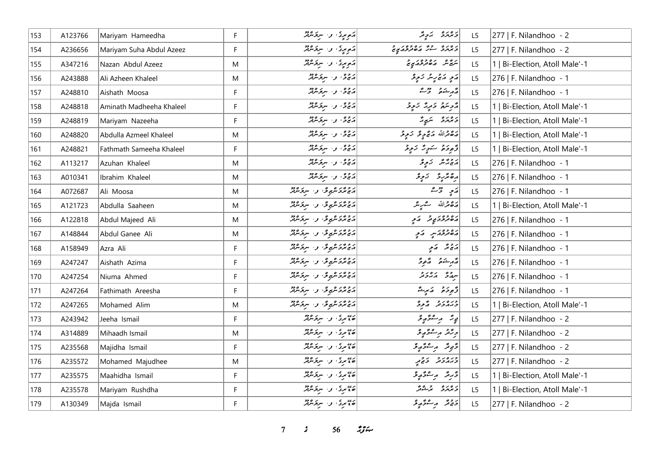| 153 | A123766 | Mariyam Hameedha         | F         | دَوِيرِدُ و سِرْ مِرْدَ دُرْ       | دەرە بەدقە                                                                                           | L <sub>5</sub> | 277   F. Nilandhoo - 2         |
|-----|---------|--------------------------|-----------|------------------------------------|------------------------------------------------------------------------------------------------------|----------------|--------------------------------|
| 154 | A236656 | Mariyam Suha Abdul Azeez | F         | أنوبرتى والبرودية                  | ر ه ره د د د د وه د د                                                                                | L5             | 277   F. Nilandhoo - 2         |
| 155 | A347216 | Nazan Abdul Azeez        | M         | أنه مردًا واستروه من               | ر په ده ده ده د د                                                                                    | L5             | 1   Bi-Election, Atoll Male'-1 |
| 156 | A243888 | Ali Azheen Khaleel       | M         | درج في المستخدم المركز             | ړَی د پی پنګ دَی پو                                                                                  | L5             | 276   F. Nilandhoo - 1         |
| 157 | A248810 | Aishath Moosa            | F         | پرچى، بى سىرتكىرلىر                | أقرم شكرة وحرمش                                                                                      | L5             | 276   F. Nilandhoo - 1         |
| 158 | A248818 | Aminath Madheeha Khaleel | F.        | پرچي او استر مرکز مرکز             | أَرُوبِنَهُمْ - وَمَرِيَّةَ - رَجِيحَ                                                                | L <sub>5</sub> | 1   Bi-Election, Atoll Male'-1 |
| 159 | A248819 | Mariyam Nazeeha          | F         | درج في المستخدم المركز             | د ۱۵ د ص مريږ گ                                                                                      | L5             | 1   Bi-Election, Atoll Male'-1 |
| 160 | A248820 | Abdulla Azmeel Khaleel   | M         | د د و . سرکرسرګر                   | رەقمەللە رىموچە ئەچە                                                                                 | L5             | 1   Bi-Election, Atoll Male'-1 |
| 161 | A248821 | Fathmath Sameeha Khaleel | F         | درج في المستخدم المركز             | ژُهِ دَهْ کُمْ کِ دَرِ دُمْ دَ                                                                       | L5             | 1   Bi-Election, Atoll Male'-1 |
| 162 | A113217 | Azuhan Khaleel           | M         | د د ه، و . سرکرسرګر                | پرچین زېږو                                                                                           | L <sub>5</sub> | 276   F. Nilandhoo - 1         |
| 163 | A010341 | Ibrahim Khaleel          | M         | پرځ و سرگرموټر                     | رەپر بۇ ئېچى                                                                                         | L5             | 276   F. Nilandhoo - 1         |
| 164 | A072687 | Ali Moosa                | M         | پروژبر عربی فی از سربر میتر        | $\begin{bmatrix} 2 & 2 \\ -2 & 2 \end{bmatrix}$                                                      | L5             | 276   F. Nilandhoo - 1         |
| 165 | A121723 | Abdulla Saaheen          | M         | پرولوگرونگرون سرگروژو              | أرة قرالله گريگر                                                                                     | L5             | 1   Bi-Election, Atoll Male'-1 |
| 166 | A122818 | Abdul Majeed Ali         | M         | د د در شروع و . سروسرتر            | رە دەر يوتر - مَرىج                                                                                  | L5             | 276   F. Nilandhoo - 1         |
| 167 | A148844 | Abdul Ganee Ali          | M         | پروژبر عربوی، و اسرپر مرد          | رەدە ئەس كەبر                                                                                        | L5             | 276   F. Nilandhoo - 1         |
| 168 | A158949 | Azra Ali                 | F         | پروژبر عربي عي او ، استر عربي در د | پرځ پټر په کړې                                                                                       | L5             | 276   F. Nilandhoo - 1         |
| 169 | A247247 | Aishath Azima            | F.        | پروژو مربوعی او ، سربر مربو        | أشركت شفوخ                                                                                           | L5             | 276   F. Nilandhoo - 1         |
| 170 | A247254 | Niuma Ahmed              | F.        | رومرمهوش والبرخيص                  | روم در در                                                                                            | L5             | 276   F. Nilandhoo - 1         |
| 171 | A247264 | Fathimath Areesha        | F.        | رومزهرچری و سرخشد                  | أرٌ ورَ وَ الله الله الله عليه الله الله الله الله عليه الله الله الله عليه الله الله الله الله الله | L5             | 276   F. Nilandhoo - 1         |
| 172 | A247265 | Mohamed Alim             | M         | رومرمهوش والبرخيص                  | ورەر دۇرۇ                                                                                            | L5             | 1   Bi-Election, Atoll Male'-1 |
| 173 | A243942 | Jeeha Ismail             | F.        | دره در به سر دره دو                | ءِ تَرَ مِرْ مُتَوَمِّدٍ                                                                             | L <sub>5</sub> | $ 277 $ F. Nilandhoo - 2       |
| 174 | A314889 | Mihaadh Ismail           | ${\sf M}$ | دەم دى، بىر سرىز سرچ               | ورمحد وبسفوه وع                                                                                      | L5             | 277   F. Nilandhoo - 2         |
| 175 | A235568 | Majidha Ismail           | F         | د» برگې و٠ سرگرمرګر                | دَّى پَرْ مَ سُرْ دَيْرِ مَنْ                                                                        | L <sub>5</sub> | 277   F. Nilandhoo - 2         |
| 176 | A235572 | Mohamed Majudhee         | M         | دره بری و سرخسته                   | ورور ورو                                                                                             | L5             | 277   F. Nilandhoo - 2         |
| 177 | A235575 | Maahidha Ismail          | F.        | د» برگی و . سرگرمرفتر              | ۋېرىئى پر سىتى ئوچ                                                                                   | L5             | 1   Bi-Election, Atoll Male'-1 |
| 178 | A235578 | Mariyam Rushdha          | F         | ديمبري والترفيص                    | د ۱۵ د ۱۵ و ۱۵ وگر                                                                                   | L5             | 1   Bi-Election, Atoll Male'-1 |
| 179 | A130349 | Majda Ismail             | F.        | دی بری و سرومبرد                   | دەۋر بەشۇر ۋ                                                                                         | L5             | 277   F. Nilandhoo - 2         |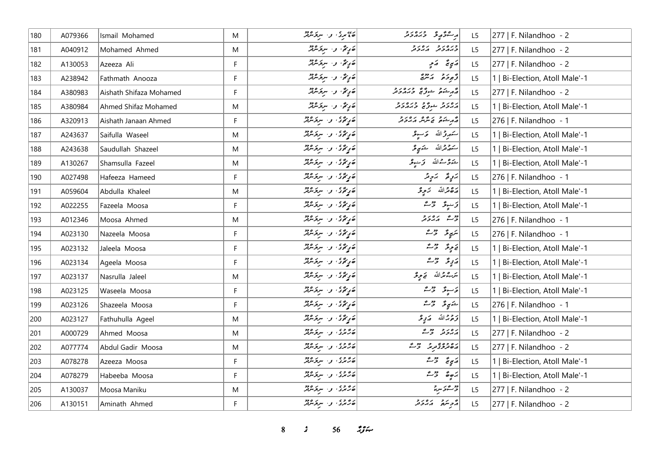| 180 | A079366 | Ismail Mohamed          | M           | ئەممىرى، بىر سرىخىنىڭر              | وبحقوقه وبرورو                                                  | L <sub>5</sub> | $ 277 $ F. Nilandhoo - 2       |
|-----|---------|-------------------------|-------------|-------------------------------------|-----------------------------------------------------------------|----------------|--------------------------------|
| 181 | A040912 | Mohamed Ahmed           | M           | قَرَيْمٌ وَ سِرْوَسْ                | ورەرو رەرو                                                      | L <sub>5</sub> | 277   F. Nilandhoo - 2         |
| 182 | A130053 | Azeeza Ali              | F           | قارِيقٌ و البروکردو                 | پَي تَه پَهِ پِ                                                 | L5             | $ 277 $ F. Nilandhoo - 2       |
| 183 | A238942 | Fathmath Anooza         | $\mathsf F$ |                                     | و بر د بر دوره                                                  | L5             | 1   Bi-Election, Atoll Male'-1 |
| 184 | A380983 | Aishath Shifaza Mohamed | F           | ھَ پِنَمُّ، وَ ِ سِرْحَسْرُمْرُ     | أهر يشم الشوقرة المردور و                                       | L5             | $ 277 $ F. Nilandhoo - 2       |
| 185 | A380984 | Ahmed Shifaz Mohamed    | M           | مَرِيمٌ، و- سرتر سمير               | رەر د شرگە دىرەر د                                              | L5             | 1   Bi-Election, Atoll Male'-1 |
| 186 | A320913 | Aishath Janaan Ahmed    | F           | جوړځئ واستوس                        |                                                                 | L <sub>5</sub> | 276   F. Nilandhoo - 1         |
| 187 | A243637 | Saifulla Waseel         | M           | ئەنگەى ئەسترىمىتى                   | ستهرِرٌ الله - حَرْجُهُ                                         | L5             | 1   Bi-Election, Atoll Male'-1 |
| 188 | A243638 | Saudullah Shazeel       | M           | ە يەتتى، بىسى ئىلمى                 | سَمَّدَ تَدَلَّلَهُ شَمَّعِ ثَرَ                                | L5             | 1   Bi-Election, Atoll Male'-1 |
| 189 | A130267 | Shamsulla Fazeel        | M           | قارِيحى والبريح مركز                | خۇر 2الله ترىنون                                                | L5             | 1   Bi-Election, Atoll Male'-1 |
| 190 | A027498 | Hafeeza Hameed          | F           | قارِيجى والبرىمى                    | برَرٍ پُر برَ بِرَ بِرَ                                         | L5             | 276   F. Nilandhoo - 1         |
| 191 | A059604 | Abdulla Khaleel         | M           | قارِيجى) و سروَسْرَيْرُ             | پره ترالله ټریونکه                                              | L5             | 1   Bi-Election, Atoll Male'-1 |
| 192 | A022255 | Fazeela Moosa           | F           | ئەرگۇئ بى سرىگە ئالل                | ۇنىدۇ ئۇس                                                       | L <sub>5</sub> | 1   Bi-Election, Atoll Male'-1 |
| 193 | A012346 | Moosa Ahmed             | M           | جي گڏي وڪيوري                       | دیم پرور د                                                      | L5             | $ 276 $ F. Nilandhoo - 1       |
| 194 | A023130 | Nazeela Moosa           | $\mathsf F$ | ئەرگۇئ بى سىرىگە ئە                 | يې پوځي خ <sup>م</sup> ث                                        | L5             | 276   F. Nilandhoo - 1         |
| 195 | A023132 | Jaleela Moosa           | F           | قارِيحى و سرومهم                    | يَا يَوِنَدُ الرَّحْتُ                                          | L5             | 1   Bi-Election, Atoll Male'-1 |
| 196 | A023134 | Ageela Moosa            | F           | ئەنگەى بە سېۋىترلىر                 | رَبِي وَ حَمْ                                                   | L5             | 1   Bi-Election, Atoll Male'-1 |
| 197 | A023137 | Nasrulla Jaleel         | M           | قارِيْ دى، و ، سروَسْرَيْرْ         | سَرَ-عِمْدَاللّه صَحِيرٌ                                        | L5             | 1   Bi-Election, Atoll Male'-1 |
| 198 | A023125 | Waseela Moosa           | F           | تەركۇرى بىر سىرتىرلىر               | ئەسپۇر ئۇستە                                                    | L5             | 1   Bi-Election, Atoll Male'-1 |
| 199 | A023126 | Shazeela Moosa          | $\mathsf F$ | تەرىپى ئىستىرى                      | المتهوقر الرحمي                                                 | L5             | $ 276 $ F. Nilandhoo - 1       |
| 200 | A023127 | Fathuhulla Ageel        | M           | ئەرگەى ئەسىرىسى                     | تروج الله - مرتبي محر                                           | L5             | 1   Bi-Election, Atoll Male'-1 |
| 201 | A000729 | Ahmed Moosa             | M           | د ده د ، و . سرو مرد                | پرورو دوسته                                                     | L5             | 277   F. Nilandhoo - 2         |
| 202 | A077774 | Abdul Gadir Moosa       | M           | د وه د .<br>  ۱۵ کرد او . سرگرس     | رەدە يورچە تەس                                                  | L5             | 277   F. Nilandhoo - 2         |
| 203 | A078278 | Azeeza Moosa            | F           | د وه و.<br>  تصريحي و المسروحين     | $\begin{vmatrix} 2 & 3 & 2 \\ 2 & 2 & 3 \end{vmatrix}$          | L5             | 1   Bi-Election, Atoll Male'-1 |
| 204 | A078279 | Habeeba Moosa           | F           | د وه د .<br>  ۱۵ ترس و . سرتوس      | $\begin{bmatrix} 2 & 3 & 2 & 2 \\ -3 & 6 & 2 & 7 \end{bmatrix}$ | L5             | 1   Bi-Election, Atoll Male'-1 |
| 205 | A130037 | Moosa Maniku            | M           | د د د ، و ، سرو مرد                 | رسم معجم سرير                                                   | L5             | $ 277 $ F. Nilandhoo - 2       |
| 206 | A130151 | Aminath Ahmed           | F           | د وه و.<br>  ۱۵ ترس و ۱۷ سرکومترلمر | د پره د د د د                                                   | L5             | 277   F. Nilandhoo - 2         |

**8** *s* **56** *n***<sub>y</sub> <b>***n*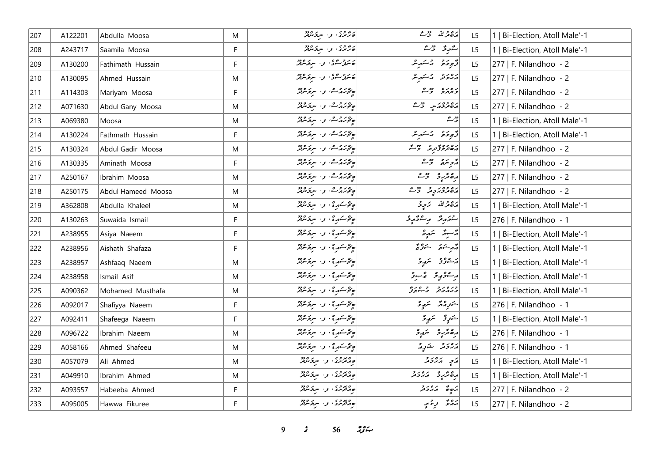| 207 | A122201 | Abdulla Moosa      | M  | ەر دەر.<br>ھەترىرى، بىر سىرىكىلىر                                                                                                                                                                                            | مَدْهُ مِنْ اللّهِ وَمَرْ مَنْ | L5             | 1   Bi-Election, Atoll Male'-1 |
|-----|---------|--------------------|----|------------------------------------------------------------------------------------------------------------------------------------------------------------------------------------------------------------------------------|--------------------------------|----------------|--------------------------------|
| 208 | A243717 | Saamila Moosa      | F  | د وه و.<br>  ۱۵ تاریخ و سرکومیل                                                                                                                                                                                              | سەرۇ ۋى                        | L <sub>5</sub> | 1   Bi-Election, Atoll Male'-1 |
| 209 | A130200 | Fathimath Hussain  | F  | ئەسترىسىمى، بەر سېتىرلىر                                                                                                                                                                                                     | و برو د مسكور مر               | L <sub>5</sub> | $ 277 $ F. Nilandhoo - 2       |
| 210 | A130095 | Ahmed Hussain      | M  | ئەرەپ ئۇ، بولسىز ئەرە                                                                                                                                                                                                        | أرەر دىم ئەسەر ش               | L5             | 277   F. Nilandhoo - 2         |
| 211 | A114303 | Mariyam Moosa      | F  | پەرەم ئەس بىر ئەدە                                                                                                                                                                                                           | دەرە دور                       | L5             | 277   F. Nilandhoo - 2         |
| 212 | A071630 | Abdul Gany Moosa   | M  | په دره ده، و، سروسرمر                                                                                                                                                                                                        | دەدەن ئەس                      | L5             | 277   F. Nilandhoo - 2         |
| 213 | A069380 | Moosa              | M  | ھ محمد مشار اور مرکز میں                                                                                                                                                                                                     | ديمه                           | L5             | 1   Bi-Election, Atoll Male'-1 |
| 214 | A130224 | Fathmath Hussain   | F  | ج محركر مصر المستخدم المستخدم المستخدم المستخدم المستخدم المستخدم المستخدم المستخدم المستخدم المستخدم المستخدم المستخدم المستخدم المستخدم المستخدم المستخدم المستخدم المستخدم المستخدم المستخدم المستخدم المستخدم المستخدم ا | قرموقو بمسكر                   | L <sub>5</sub> | 1   Bi-Election, Atoll Male'-1 |
| 215 | A130324 | Abdul Gadir Moosa  | M  | مهرد مده، و البرد معد                                                                                                                                                                                                        | رە دەپر دەپرى ئەس              | L5             | 277   F. Nilandhoo - 2         |
| 216 | A130335 | Aminath Moosa      | F  | پەرەم ئەس بىر ئەدە                                                                                                                                                                                                           | پڑے شہر میں جو ک               | L <sub>5</sub> | 277   F. Nilandhoo - 2         |
| 217 | A250167 | Ibrahim Moosa      | M  | پەرجى، ن سرىر مەد                                                                                                                                                                                                            | أرە پر دەپ                     | L5             | 277   F. Nilandhoo - 2         |
| 218 | A250175 | Abdul Hameed Moosa | M  | پره کرم کشور اور سربر مرور                                                                                                                                                                                                   | رە دەر دەر دەر                 | L5             | 277   F. Nilandhoo - 2         |
| 219 | A362808 | Abdulla Khaleel    | M  | پھر سکھر ؟ ، او ، سرچ سرچر                                                                                                                                                                                                   | رَحْمَدْاللّه زَمِرْ تَرْ      | L <sub>5</sub> | 1   Bi-Election, Atoll Male'-1 |
| 220 | A130263 | Suwaida Ismail     | F. | ج محر سكور ؟ ، و . سر يكون مرتكز                                                                                                                                                                                             | شقەر قىر مەشقۇر                | L5             | 276   F. Nilandhoo - 1         |
| 221 | A238955 | Asiya Naeem        | F  | پھر سکھر ؟ او است میں میں میں میں<br> <br>                                                                                                                                                                                   | تەسىر ئىمدى                    | L5             | 1   Bi-Election, Atoll Male'-1 |
| 222 | A238956 | Aishath Shafaza    | F  | پھر سکھر ؟ او است میں میں میں میں<br> <br>                                                                                                                                                                                   | د مرشوم په شورځ مخ             | L5             | 1   Bi-Election, Atoll Male'-1 |
| 223 | A238957 | Ashfaaq Naeem      | M  | پۇسكىرى بولسوچىدىگر                                                                                                                                                                                                          | ى شۇقۇق سىم ق                  | L5             | 1   Bi-Election, Atoll Male'-1 |
| 224 | A238958 | Ismail Asif        | M  | پھر سور ؟ ، و اسر مرمد                                                                                                                                                                                                       | أراع ومحمد والمساور            | L5             | 1   Bi-Election, Atoll Male'-1 |
| 225 | A090362 | Mohamed Musthafa   | M  | پھر سکھر ؟ او است میں میں میں میں<br> <br>                                                                                                                                                                                   | ورەرو وەرە                     | L5             | 1   Bi-Election, Atoll Male'-1 |
| 226 | A092017 | Shafiyya Naeem     | F. | پھر سکھر ؟ ، او اسر پخت مریش                                                                                                                                                                                                 | شرور شمير                      | L <sub>5</sub> | 276   F. Nilandhoo - 1         |
| 227 | A092411 | Shafeega Naeem     | F  | پھر سکھر ؟ ، او اسر پی مرکز میں تھر<br>                                                                                                                                                                                      | شَرْرٍ کَمْ سَمَدٍ وَ          | L5             | 1   Bi-Election, Atoll Male'-1 |
| 228 | A096722 | Ibrahim Naeem      | M  | ج محر سور ؟ ، و ، سر بر مرور                                                                                                                                                                                                 | رە ئرىق سەيۋ                   | L <sub>5</sub> | 276   F. Nilandhoo - 1         |
| 229 | A058166 | Ahmed Shafeeu      | M  | پھر سکھ کا اور سربھ سرچی سرچی                                                                                                                                                                                                | دەر د شەرق                     | L5             | 276   F. Nilandhoo - 1         |
| 230 | A057079 | Ali Ahmed          | M  | ەمەدە، بەسىرەدە                                                                                                                                                                                                              | پر په پرورو                    | L5             | 1   Bi-Election, Atoll Male'-1 |
| 231 | A049910 | Ibrahim Ahmed      | M  | ے معروف اور سربر موجد<br>حامد تریزی اور سربر مربعہ                                                                                                                                                                           | <br>  ده تر ره در در د         | L5             | 1   Bi-Election, Atoll Male'-1 |
| 232 | A093557 | Habeeba Ahmed      | F  | مهروری و اسروکلیم                                                                                                                                                                                                            | أبره قلم أبروتر                | L5             | $ 277 $ F. Nilandhoo - 2       |
| 233 | A095005 | Hawwa Fikuree      | F  | ەپرە» دى.<br>ھەمزىرى ئى. سرىگەندىر                                                                                                                                                                                           | بره څه ورغمبه                  | L5             | 277   F. Nilandhoo - 2         |

*9 s* 56  $\frac{2}{3}$  *s*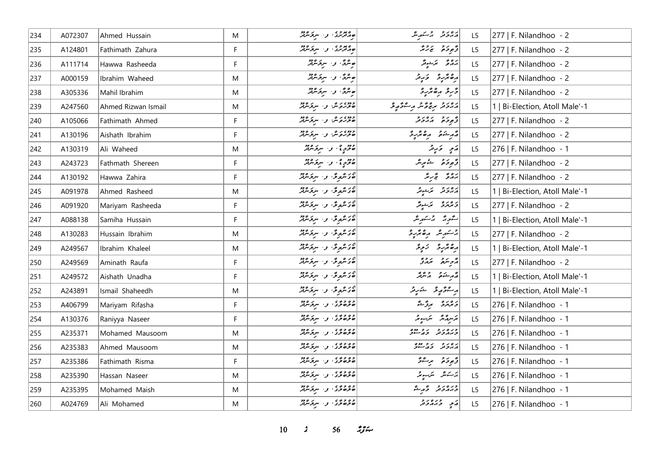| 234 | A072307 | Ahmed Hussain       | M         | ەمدەر، بىر سرگرىدە                                                                                                                                                                                                   | پرورو پر شهر می           | L <sub>5</sub> | 277   F. Nilandhoo - 2         |
|-----|---------|---------------------|-----------|----------------------------------------------------------------------------------------------------------------------------------------------------------------------------------------------------------------------|---------------------------|----------------|--------------------------------|
| 235 | A124801 | Fathimath Zahura    | F         | ے معدد ہے۔<br>جام فرس ہیں اس کو س                                                                                                                                                                                    | د پوځو پر چر              | L5             | 277   F. Nilandhoo - 2         |
| 236 | A111714 | Hawwa Rasheeda      | F         | صرگی، و- سرگرمونژ                                                                                                                                                                                                    | رەم ئەش <sub>ى</sub> قر   | L5             | 277   F. Nilandhoo - 2         |
| 237 | A000159 | Ibrahim Waheed      | M         | صرگی، و اسرکرمرفر                                                                                                                                                                                                    | رە ئرىر ئىي               | L5             | 277   F. Nilandhoo - 2         |
| 238 | A305336 | Mahil Ibrahim       | ${\sf M}$ | صرفی، و البرقرمزنر                                                                                                                                                                                                   | ڈرو رہ ٹرو                | L5             | 277   F. Nilandhoo - 2         |
| 239 | A247560 | Ahmed Rizwan Ismail | ${\sf M}$ | دوه د ه که استخلافه                                                                                                                                                                                                  | رەر دېم دې محمد مرت دې چې | L5             | 1   Bi-Election, Atoll Male'-1 |
| 240 | A105066 | Fathimath Ahmed     | F.        | ووه دره من المسرع وود<br>  صوره ش                                                                                                                                                                                    | و د د د د د د             | L5             | 277   F. Nilandhoo - 2         |
| 241 | A130196 | Aishath Ibrahim     | F.        | دوه بره و مرکزمود                                                                                                                                                                                                    | أقهر ينكفى وكالحريرة      | L5             | $ 277 $ F. Nilandhoo - 2       |
| 242 | A130319 | Ali Waheed          | M         | دوم پی و سرومبرد                                                                                                                                                                                                     | ړَی دَرِیز                | L5             | 276   F. Nilandhoo - 1         |
| 243 | A243723 | Fathmath Shereen    | F         | 20 درم در سرو مرور در در                                                                                                                                                                                             | قهوخو شهرش                | L <sub>5</sub> | $ 277 $ F. Nilandhoo - 2       |
| 244 | A130192 | Hawwa Zahira        | F.        | ەر ھوگ و سرگرمون                                                                                                                                                                                                     | بَرْدُعٌ تَجْ سِمَّرٌ     | L5             | 277   F. Nilandhoo - 2         |
| 245 | A091978 | Ahmed Rasheed       | M         | در عروق و سرقر عرقر                                                                                                                                                                                                  | رەر د سمت قر              | L5             | 1   Bi-Election, Atoll Male'-1 |
| 246 | A091920 | Mariyam Rasheeda    | F         | 20 مهومة ، وسيرومبر                                                                                                                                                                                                  | دەرە بەئدىگر              | L5             | 277   F. Nilandhoo - 2         |
| 247 | A088138 | Samiha Hussain      | F         | 20 شروعٌ، و· سروَسريرٌ                                                                                                                                                                                               | شورژ بر شهر ش             | L5             | 1   Bi-Election, Atoll Male'-1 |
| 248 | A130283 | Hussain Ibrahim     | M         | می شروعی و سربر معمد<br>  حدیثر و شربر معمد                                                                                                                                                                          | برسكر شره وهقرير          | L5             | 277   F. Nilandhoo - 2         |
| 249 | A249567 | Ibrahim Khaleel     | ${\sf M}$ | 20 شروعٌ، و· سرتر شرقرٌ                                                                                                                                                                                              | رەنژىرد زىرد              | L5             | 1   Bi-Election, Atoll Male'-1 |
| 250 | A249569 | Aminath Raufa       | F         | 20 شروعٌ، و· سرقرشريْرٌ                                                                                                                                                                                              | أرمح سرور المروري         | L5             | 277   F. Nilandhoo - 2         |
| 251 | A249572 | Aishath Unadha      | F         | 20 مع محمد محمد من المستقرر من من المستقرر المستقرر المستقرر المستقرر المستقرر المستقرر من المستقر<br>  مستقرر المستقرر المستقرر المستقرر المستقرر المستقرر المستقرر المستقرر المستقرر المستقرر المستقرر المستقرر ال | أقهر يشكون والمترفكر      | L5             | 1   Bi-Election, Atoll Male'-1 |
| 252 | A243891 | Ismail Shaheedh     | M         | 20 شروعٌ، و· سرقرشريْرٌ                                                                                                                                                                                              | أبر سموَّ موسطح مسَندِ م  | L5             | 1   Bi-Election, Atoll Male'-1 |
| 253 | A406799 | Mariyam Rifasha     | F         | وه و و ی<br>  ه تره ترکی او ۱۰ سرترسربر                                                                                                                                                                              | دەرە برۇڭ                 | L5             | 276   F. Nilandhoo - 1         |
| 254 | A130376 | Raniyya Naseer      | F         | وه وه و.<br>  صوصوی او استوسربر                                                                                                                                                                                      | برسره بره برسور           | L5             | 276   F. Nilandhoo - 1         |
| 255 | A235371 | Mohamed Mausoom     | M         | وه وه ي<br>  صوصوگ ي سرگرس                                                                                                                                                                                           | כנסנכ נכפס                | L <sub>5</sub> | 276   F. Nilandhoo - 1         |
| 256 | A235383 | Ahmed Mausoom       | M         | وه وه و.<br>  ه توره نور البرنومبرتر                                                                                                                                                                                 | גפי כביבים                | L5             | 276   F. Nilandhoo - 1         |
| 257 | A235386 | Fathimath Risma     | F         | وه وه و.<br>  صوصوی او استوسربر                                                                                                                                                                                      | توجد حرصة ح               | L5             | 276   F. Nilandhoo - 1         |
| 258 | A235390 | Hassan Naseer       | M         | وه وه و.<br>  ه توره کو ۱۰ سرتوس                                                                                                                                                                                     | يرسكانكرا التركيب مرتبة   | L5             | 276   F. Nilandhoo - 1         |
| 259 | A235395 | Mohamed Maish       | ${\sf M}$ | وو و و ، و ، سربر و دو                                                                                                                                                                                               | ورەرو ۋېرىش               | L5             | 276   F. Nilandhoo - 1         |
| 260 | A024769 | Ali Mohamed         | M         | وه وه و.<br>  ه توره نور البرنومبرتر                                                                                                                                                                                 | د په دره د د              | L5             | 276   F. Nilandhoo - 1         |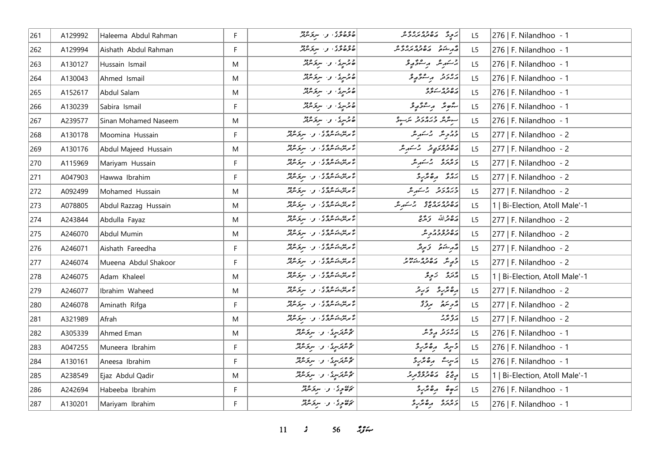| 261 | A129992 | Haleema Abdul Rahman | F. | وه ووی کې سرو وو                                                                                            | پر ده ده ده ده و م                                    | L <sub>5</sub> | 276   F. Nilandhoo - 1         |
|-----|---------|----------------------|----|-------------------------------------------------------------------------------------------------------------|-------------------------------------------------------|----------------|--------------------------------|
| 262 | A129994 | Aishath Abdul Rahman | F  | 2009ء<br>  صوصوی، بی سرپوس                                                                                  | د در ده ده ده ده و                                    | L5             | 276   F. Nilandhoo - 1         |
| 263 | A130127 | Hussain Ismail       | M  | صحر سری او اسر نیروز مربعد                                                                                  | جسكريند الرسفة كالحيافة                               | L5             | 276   F. Nilandhoo - 1         |
| 264 | A130043 | Ahmed Ismail         | M  | صحر سرع السر عرض العربية العربية السر                                                                       | أرەر دېم موگړى                                        | L5             | 276   F. Nilandhoo - 1         |
| 265 | A152617 | Abdul Salam          | M  | ھ ترسری، و اسروکسرفر                                                                                        | پره ده پر پروه                                        | L5             | 276   F. Nilandhoo - 1         |
| 266 | A130239 | Sabira Ismail        | F  | صحر سرعى، وسيرى قرير                                                                                        | لشور مستورو                                           | L5             | 276   F. Nilandhoo - 1         |
| 267 | A239577 | Sinan Mohamed Naseem | M  | صحر سری او استر مورد معرفتر                                                                                 | سوشهو وره دو مرسور                                    | L5             | 276   F. Nilandhoo - 1         |
| 268 | A130178 | Moomina Hussain      | F. | پرس د وه د او د سروس                                                                                        | دورېگر برخته پر                                       | L <sub>5</sub> | 277   F. Nilandhoo - 2         |
| 269 | A130176 | Abdul Majeed Hussain | M  | ئۇيدىك ئار ئەسىر ئارەت ئار ئار ئارلار ئارلار                                                                | دەۋەرەپەتى برسىرىش                                    | L5             | 277   F. Nilandhoo - 2         |
| 270 | A115969 | Mariyam Hussain      | F. | پر پر در دی در این در دورد<br>  با برنگزشونتروژی او ۱۰ سربونتری                                             | د ورو بر عهد عر                                       | L5             | 277   F. Nilandhoo - 2         |
| 271 | A047903 | Hawwa Ibrahim        | F. | ئۇيدىك ئارىق بول سىرى ئارەت ئار                                                                             | ده د مگرد                                             | L5             | 277   F. Nilandhoo - 2         |
| 272 | A092499 | Mohamed Hussain      | M  | ئۇيدىك مەم ئەسىر مەم                                                                                        | ورەرو روسىرى                                          | L5             | 277   F. Nilandhoo - 2         |
| 273 | A078805 | Abdul Razzag Hussain | M  | پر پی د ه و د او اور مربود.<br>  تا برنتر شوسرو د او اور مربود.                                             | ره ده ده ده و در مر                                   | L5             | 1   Bi-Election, Atoll Male'-1 |
| 274 | A243844 | Abdulla Fayaz        | M  | ئۇيرىكرىكرى بىر سركرىدىگر                                                                                   | أرجح فرالله وكرمج                                     | L5             | 277   F. Nilandhoo - 2         |
| 275 | A246070 | Abdul Mumin          | M  | ئۇيدىك ئامۇق بىر سىزىتىرلىر                                                                                 | ره وه و و و ه                                         | L5             | 277   F. Nilandhoo - 2         |
| 276 | A246071 | Aishath Fareedha     | F. | پر پی در ۲۵ و در است و ۲۵ و در ۲۵ و در ۲۵ در بالار به ۱۳۵ و در ۲۵ و در ۲۵ در ۲۵ و در ۲۵ و ۲۵ و ۲۵ و ۲۵ و ۲۵ | مەرخىق كەيپىتى                                        | L5             | 277   F. Nilandhoo - 2         |
| 277 | A246074 | Mueena Abdul Shakoor | F. | ئۇيدىك ئامۇق بىر سىزىتىرلىر                                                                                 | و شهر ده وه درود                                      | L5             | 277   F. Nilandhoo - 2         |
| 278 | A246075 | Adam Khaleel         | M  | د پره ده وي .<br>  تا برنترنشونترن کو از سربونترنتر                                                         | پژرو تریدو                                            | L <sub>5</sub> | 1   Bi-Election, Atoll Male'-1 |
| 279 | A246077 | Ibrahim Waheed       | M  | انو پی د ه د د .<br>انگریتر شوندگان او . سربوسربر                                                           | رەپر رەپەر ئەر                                        | L5             | 277   F. Nilandhoo - 2         |
| 280 | A246078 | Aminath Rifga        | F  | ار پرېش ده دی.<br>د سرپېژنه مرد د او او سربر مربع                                                           | مزمر منفرقة                                           | L5             | 277   F. Nilandhoo - 2         |
| 281 | A321989 | Afrah                | M  | ه په ده وه و.<br>تا مرس شوش کال او استروس پر                                                                | پروپرته                                               | L5             | 277   F. Nilandhoo - 2         |
| 282 | A305339 | Ahmed Eman           | M  | گوشرمریز، و سرخسرمر                                                                                         | ړه پر د څر                                            | L <sub>5</sub> | 276   F. Nilandhoo - 1         |
| 283 | A047255 | Muneera Ibrahim      | F. | ئۇيترىترىيوكى بولىسىدىقىدا                                                                                  | دسمبد رەترىرد                                         | L5             | 276   F. Nilandhoo - 1         |
| 284 | A130161 | Aneesa Ibrahim       | E  | ئۇيترىترىسىدى بولىسىدىنى                                                                                    | دە ئەرد<br> پرسریٹ                                    | L5             | 276   F. Nilandhoo - 1         |
| 285 | A238549 | Ejaz Abdul Qadir     | M  | ئۇشترىسىدى بىر سرىتىشتى                                                                                     | أريح ومصرور و                                         | L5             | 1   Bi-Election, Atoll Male'-1 |
| 286 | A242694 | Habeeba Ibrahim      | F. | ئۇھۇرى، بىر سرىزىلىر                                                                                        | $\begin{vmatrix} 2 & 2 & 3 \ 2 & 2 & 3 \end{vmatrix}$ | L5             | 276   F. Nilandhoo - 1         |
| 287 | A130201 | Mariyam Ibrahim      | F. | ئۇھۇرى بى سرىمىدىگر                                                                                         | وبرمزد مقتررة                                         | L5             | 276   F. Nilandhoo - 1         |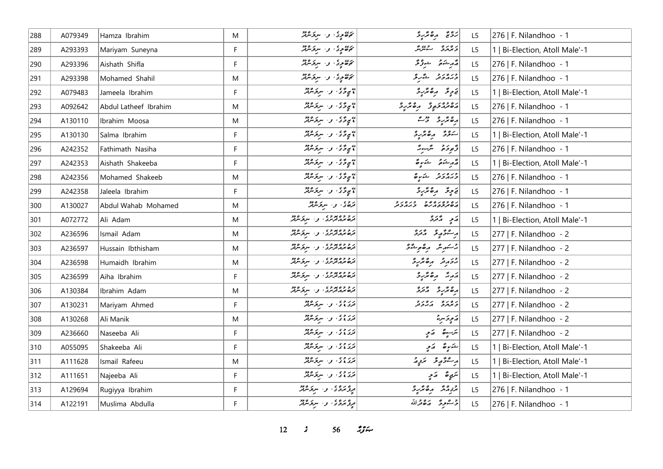| 288 | A079349 | Hamza Ibrahim         | M           | نم <i>ەھم</i> ود، و سرىر مەد                                  | رویج رەمۇرو                    | L <sub>5</sub> | 276   F. Nilandhoo - 1         |
|-----|---------|-----------------------|-------------|---------------------------------------------------------------|--------------------------------|----------------|--------------------------------|
| 289 | A293393 | Mariyam Suneyna       | F           | رى<br>كۆھمچەك كەسىرى ئىرىم                                    | د ۱۵ د می شود.<br>  د بر پره د | L5             | 1   Bi-Election, Atoll Male'-1 |
| 290 | A293396 | Aishath Shifla        | F           | پھوٹی وا سرگرمائی                                             | د پرېده د د ژگر                | L5             | 276   F. Nilandhoo - 1         |
| 291 | A293398 | Mohamed Shahil        | M           | پرې دي، و. سرگرمرګر                                           | ورەرو ئەربى                    | L5             | 276   F. Nilandhoo - 1         |
| 292 | A079483 | Jameela Ibrahim       | F           | ۽ پاءُ تار سرقائين                                            | فاحرٍ قد أركاه تركز ح          | L <sub>5</sub> | 1   Bi-Election, Atoll Male'-1 |
| 293 | A092642 | Abdul Latheef Ibrahim | M           | ۽ پاڻ ٿا واسر تر مرين                                         | دەدە دە ئەھكرى                 | L <sub>5</sub> | 276   F. Nilandhoo - 1         |
| 294 | A130110 | Ibrahim Moosa         | M           | ۽ پارچي واسرچس پر                                             | أرە پۇرو دىم                   | L <sub>5</sub> | 276   F. Nilandhoo - 1         |
| 295 | A130130 | Salma Ibrahim         | F           | * يې د گڼه و٠ سروکلوټر                                        | سودة مقتردة                    | L <sub>5</sub> | 1   Bi-Election, Atoll Male'-1 |
| 296 | A242352 | Fathimath Nasiha      | F           | * يې د گڼه و٠ سروکلوټر                                        | ژَهِ دَهُ تَرَ سَرَ سَرَ       | L <sub>5</sub> | 276   F. Nilandhoo - 1         |
| 297 | A242353 | Aishath Shakeeba      | F           | ۽ پاڻ وسرپر مري                                               | وأمر مشكور مشكورة              | L <sub>5</sub> | 1   Bi-Election, Atoll Male'-1 |
| 298 | A242356 | Mohamed Shakeeb       | M           | پی و د سر د سر د مرد                                          | ورەر د شرىق                    | L <sub>5</sub> | 276   F. Nilandhoo - 1         |
| 299 | A242358 | Jaleela Ibrahim       | F           | پی و دی و . سروسرپر                                           | فارچۇ رەھرىرى                  | L <sub>5</sub> | 276   F. Nilandhoo - 1         |
| 300 | A130027 | Abdul Wahab Mohamed   | M           | ترەي بى سرىگە بىر                                             | ره ده ده ده در در در د         | L5             | 276   F. Nilandhoo - 1         |
| 301 | A072772 | Ali Adam              | M           | ر و وه پرو و .<br>  تره بربرترین . و . سربرسرتر               | ړَی پرورو                      | L <sub>5</sub> | 1   Bi-Election, Atoll Male'-1 |
| 302 | A236596 | Ismail Adam           | M           | د و وه پو و په د سر د ه وو<br>  قره بور ترس په او ۱۰ سرچ سربر | پرستو په په پره                | L <sub>5</sub> | 277   F. Nilandhoo - 2         |
| 303 | A236597 | Hussain Ibthisham     | M           | د و وه پو و په د سر د مود<br>  تره بربر ترس په د سر ترس       | جسكور مرە موشۇقى               | L5             | 277   F. Nilandhoo - 2         |
| 304 | A236598 | Humaidh Ibrahim       | M           | ر و وه پرو و .<br>  تره بربرترین . و . سربرسرتر               | جزير في المعالم المعنى         | L5             | 277   F. Nilandhoo - 2         |
| 305 | A236599 | Aiha Ibrahim          | F           | د ۶۵ و د د د .<br>  تره بربر ترس د . سربر سرتر                | גَرِبُّ رِهِ پُرِ دِ           | L <sub>5</sub> | 277   F. Nilandhoo - 2         |
| 306 | A130384 | Ibrahim Adam          | M           |                                                               | دە ئەر ئەرە                    | L5             | 277   F. Nilandhoo - 2         |
| 307 | A130231 | Mariyam Ahmed         | $\mathsf F$ | دروه ، و البری دود                                            | גפגם גפגב                      | L5             | 277   F. Nilandhoo - 2         |
| 308 | A130268 | Ali Manik             | M           | در وی.<br>  فری وی) - و - سرپوسرهر                            | ړېږ ښره                        | L <sub>5</sub> | 277   F. Nilandhoo - 2         |
| 309 | A236660 | Naseeba Ali           | F           | دروه  سرکزمین                                                 | لترسيرة الأمي                  | L <sub>5</sub> | 277   F. Nilandhoo - 2         |
| 310 | A055095 | Shakeeba Ali          | F           | دروه  سرکزیونژ                                                | لشكيرة الأمر                   | L <sub>5</sub> | 1   Bi-Election, Atoll Male'-1 |
| 311 | A111628 | Ismail Rafeeu         | M           | دروه  سرکزمانی                                                | ر شۇرغۇ ئىرو                   | L <sub>5</sub> | 1   Bi-Election, Atoll Male'-1 |
| 312 | A111651 | Najeeba Ali           | F           | در وی.<br>  فری وی) - و - سرپوسرهر                            | تنوٍمٌ     مَرۡ                | L5             | 1   Bi-Election, Atoll Male'-1 |
| 313 | A129694 | Rugiyya Ibrahim       | F           | دوروی و سرومبرد                                               | برزم مقبره                     | L5             | 276   F. Nilandhoo - 1         |
| 314 | A122191 | Muslima Abdulla       | F           | ەرە، ئەستەرەد                                                 | 3 محمودً 125 مقرالله           | L5             | 276   F. Nilandhoo - 1         |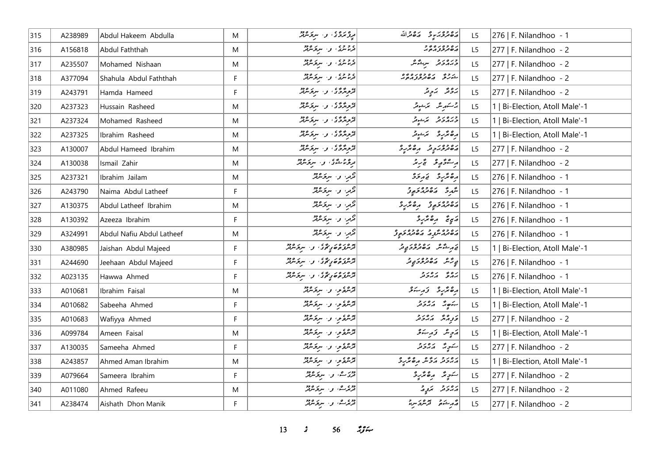| 315 | A238989 | Abdul Hakeem Abdulla      | M         | مروتروی و سرقرمرفر                                    | رە دەبر يە ئەھەراللە                      | L <sub>5</sub> | 276   F. Nilandhoo - 1         |
|-----|---------|---------------------------|-----------|-------------------------------------------------------|-------------------------------------------|----------------|--------------------------------|
| 316 | A156818 | Abdul Faththah            | ${\sf M}$ | در دره در سرگرموژد<br>  فرما سرگان او ۱۰ سرگرمانگر    | ر ه د ه ر ه د د<br> په ه تر تر تر م       | L5             | 277   F. Nilandhoo - 2         |
| 317 | A235507 | Mohamed Nishaan           | M         | در ده و در سربر ۱۶۵                                   | وره رو سرگرمر                             | L5             | 277   F. Nilandhoo - 2         |
| 318 | A377094 | Shahula Abdul Faththah    | F         | در ده در سرکرده دو                                    | درود ده ده ده ده وه<br>شرکتر مان تروز مرد | L5             | 277   F. Nilandhoo - 2         |
| 319 | A243791 | Hamda Hameed              | F         | ترج ترگ کی سرکر میں                                   | برونژ برونژ                               | L5             | $ 277 $ F. Nilandhoo - 2       |
| 320 | A237323 | Hussain Rasheed           | M         | توپروی و سروسر                                        | بركستهر مكر الكركسون                      | L5             | 1   Bi-Election, Atoll Male'-1 |
| 321 | A237324 | Mohamed Rasheed           | ${\sf M}$ | تروژدگان او استروپه                                   | ورەرو كەشپەر<br><i>دى</i> رمەن كەشپەر     | L5             | 1   Bi-Election, Atoll Male'-1 |
| 322 | A237325 | Ibrahim Rasheed           | M         | تروردی، و سروسه                                       | رە ئۇر ئەس ئەسىر                          | L5             | 1   Bi-Election, Atoll Male'-1 |
| 323 | A130007 | Abdul Hameed Ibrahim      | M         | تروژدگی، و سروسرتر                                    | دەور دە بەھگرو                            | L5             | $ 277 $ F. Nilandhoo - 2       |
| 324 | A130038 | Ismail Zahir              | ${\sf M}$ | مرثوما مشكل وسير مربوع مربور                          | ر شۇرچى ئېرىز                             | L5             | $ 277 $ F. Nilandhoo - 2       |
| 325 | A237321 | Ibrahim Jailam            | M         | قرمرا والسرقرموثر                                     | برەترىرو ئەرىخۇ                           | L5             | 276   F. Nilandhoo - 1         |
| 326 | A243790 | Naima Abdul Latheef       | F.        | قرمر، و- سرقرمرفز                                     | شهرد مصر مصر و                            | L5             | 276   F. Nilandhoo - 1         |
| 327 | A130375 | Abdul Latheef Ibrahim     | M         | قرمر، و- سرقرمرفر                                     | د ووړي و هغه د هغه د                      | L5             | 276   F. Nilandhoo - 1         |
| 328 | A130392 | Azeeza Ibrahim            | F         | قرمرا اوا البرقر عرفتر                                | رَبِيءَ مِنْ مِرْدَة                      | L5             | 276   F. Nilandhoo - 1         |
| 329 | A324991 | Abdul Nafiu Abdul Latheef | ${\sf M}$ | قرمر، و- سرقرمرفر                                     | د ۵۶۵ و د ۵۶۵ و و                         | L5             | 276   F. Nilandhoo - 1         |
| 330 | A380985 | Jaishan Abdul Majeed      | F.        | پره ده در ده و .<br>  ترس و ه و گوی او . سر و سر و در | پر سماهی ده ده در د                       | L5             | 1   Bi-Election, Atoll Male'-1 |
| 331 | A244690 | Jeehaan Abdul Majeed      | F         | موه ده در ده د  سر مورد د                             | يې شهر په موجود چې تر                     | L5             | 276   F. Nilandhoo - 1         |
| 332 | A023135 | Hawwa Ahmed               | F         | پر ٥ ر ٥ ر ٢٥ ر ٠ ٢٠ سر ۶۶ م.                         | رەپ رەرد                                  | L5             | 276   F. Nilandhoo - 1         |
| 333 | A010681 | Ibrahim Faisal            | M         | قرشرة من سربر معرض                                    | رەپرىر زىرىند                             | L5             | 1   Bi-Election, Atoll Male'-1 |
| 334 | A010682 | Sabeeha Ahmed             | F         | ترعوعوا والترقيع مرقر معرفتر                          | پنه پر پر در د                            | L5             | 1   Bi-Election, Atoll Male'-1 |
| 335 | A010683 | Wafiyya Ahmed             | F.        | قريرة عرب سربر مرد                                    | פֿנַחת הייכע                              | L5             | $ 277 $ F. Nilandhoo - 2       |
| 336 | A099784 | Ameen Faisal              | M         | ترعوعو، و سربر مرد                                    | ړَ <sub>چ</sub> ِسُ دَرِښک                | L5             | 1   Bi-Election, Atoll Male'-1 |
| 337 | A130035 | Sameeha Ahmed             | F         | قرشقرمی و سرخترفتر                                    | سكوبة المتفاقات                           | L5             | $ 277 $ F. Nilandhoo - 2       |
| 338 | A243857 | Ahmed Aman Ibrahim        | M         | ترعوي والبرقر عرقر                                    | رەر د رو مەھەر دە                         | L5             | 1   Bi-Election, Atoll Male'-1 |
| 339 | A079664 | Sameera Ibrahim           | F         | ا دوبر ه، او ۱۰ سربر ۱۶۵ و                            | سَوِيرٌ رِهْ بَرْرِدْ                     | L5             | 277   F. Nilandhoo - 2         |
| 340 | A011080 | Ahmed Rafeeu              | M         | دوی هم، او ۱۰ سربر ۱۶۵ دو                             | پرورو کرده                                | L5             | 277   F. Nilandhoo - 2         |
| 341 | A238474 | Aishath Dhon Manik        | F.        | دوي هي. سرکوه دو                                      | أقرم شده بده در در در                     | L5             | 277   F. Nilandhoo - 2         |

*s* 56 *ig*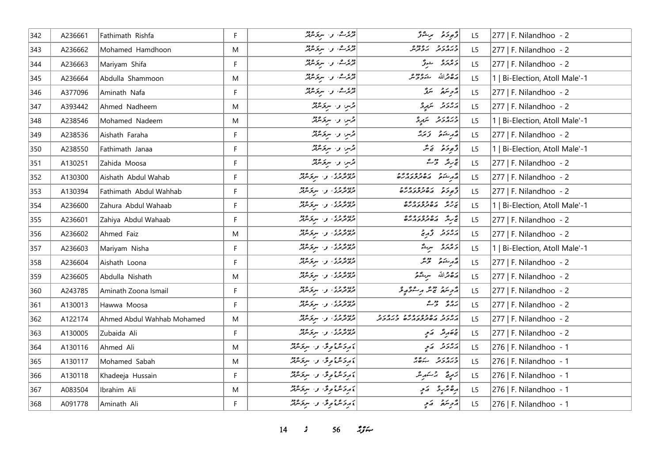| 342 | A236661 | Fathimath Rishfa           | F. | قریرے، و، سربر عرفر                                                 | وٌمودَة برِحْرُ                                                            | L <sub>5</sub> | 277   F. Nilandhoo - 2         |
|-----|---------|----------------------------|----|---------------------------------------------------------------------|----------------------------------------------------------------------------|----------------|--------------------------------|
| 343 | A236662 | Mohamed Hamdhoon           | M  | تریزرے، و، سربرحوثر                                                 | وره رو ده دوه<br>د پروتر پروترس                                            | L <sub>5</sub> | $277$   F. Nilandhoo - 2       |
| 344 | A236663 | Mariyam Shifa              | F. | دوی هی، او ۱۰ سربر ۱۹۶۵                                             | و ده دره سندگی                                                             | L5             | 277   F. Nilandhoo - 2         |
| 345 | A236664 | Abdulla Shammoon           | M  | تریزے، و سربرمیر                                                    | شە دە دە ھ<br>  پر ۱۵ قرالله                                               | L5             | 1   Bi-Election, Atoll Male'-1 |
| 346 | A377096 | Aminath Nafa               | F  | قریرے، وسیوکرفر                                                     | أزمر ينتقر التنقر                                                          | L <sub>5</sub> | 277   F. Nilandhoo - 2         |
| 347 | A393442 | Ahmed Nadheem              | M  | قرس و- سرقرمرفز                                                     | برەر ئە سىرو                                                               | L5             | 277   F. Nilandhoo - 2         |
| 348 | A238546 | Mohamed Nadeem             | M  | قرس و سرکرمرفر                                                      | دره رو در پر پر چ                                                          | L5             | 1   Bi-Election, Atoll Male'-1 |
| 349 | A238536 | Aishath Faraha             | F. | قرس و سرگرمرفر                                                      | د مشتور زيرد                                                               | L5             | 277   F. Nilandhoo - 2         |
| 350 | A238550 | Fathimath Janaa            | F  | قرس و سرکرمرفر                                                      | وَجوحَر وَ يَمَرَّ                                                         | L5             | 1   Bi-Election, Atoll Male'-1 |
| 351 | A130251 | Zahida Moosa               | F  | قرس و- سرقرمرفز                                                     | تجریر وحیقہ                                                                | L <sub>5</sub> | 277   F. Nilandhoo - 2         |
| 352 | A130300 | Aishath Abdul Wahab        | F. | ویرو وی<br>  فروتربری کل سرپوسرټر                                   | در ده ده ده ده ده<br>  در شوی در مورد در م                                 | L5             | 277   F. Nilandhoo - 2         |
| 353 | A130394 | Fathimath Abdul Wahhab     | F  | ویرو و د<br>  فروتریزی او ۱ سربوسربر                                | و د د ده ده ده دو                                                          | L5             | 277   F. Nilandhoo - 2         |
| 354 | A236600 | Zahura Abdul Wahaab        | F  | ون ۶ و ،<br>  تروتریزی ، و ، سربوسربر                               | د و په ده وه ده وه<br>  پن رسمه په مصر مرضو ه رسمه                         | L <sub>5</sub> | 1   Bi-Election, Atoll Male'-1 |
| 355 | A236601 | Zahiya Abdul Wahaab        | F  | ويرووي <br>  تروتريزي   والمسرومين                                  | انج ره ده ده ده ده و                                                       | L5             | 277   F. Nilandhoo - 2         |
| 356 | A236602 | Ahmed Faiz                 | M  | ون ۶ و ،<br>  تره ترس ، او ، اسر ترس تر                             | د د د د ته و د                                                             | L <sub>5</sub> | 277   F. Nilandhoo - 2         |
| 357 | A236603 | Mariyam Nisha              | F  | ون ۶ و ،<br>  تره ترس ، او المسرح سربر                              | و دور و سرگ                                                                | L5             | 1   Bi-Election, Atoll Male'-1 |
| 358 | A236604 | Aishath Loona              | F. | ویرو و د<br>  فروتربری ، و ، سربوسربر                               | قەربىئەتى قۇنىگە                                                           | L5             | 277   F. Nilandhoo - 2         |
| 359 | A236605 | Abdulla Nishath            | M  | ویرو وی<br>  تروتریزی کو : سربوسرتر                                 | 20% الله سريحهم                                                            | L5             | 277   F. Nilandhoo - 2         |
| 360 | A243785 | Aminath Zoona Ismail       | F  | وړ، د و د و د سربوسربر<br>  تروترس و سربوسربر                       | أۇجەسى تېڭر مەشۇر قو                                                       | L <sub>5</sub> | 277   F. Nilandhoo - 2         |
| 361 | A130013 | Hawwa Moosa                | F. | وړه و ده .<br>  تره ترمرو ، او ، اسرپوسرټر                          | برە ئەستە                                                                  | L <sub>5</sub> | 277   F. Nilandhoo - 2         |
| 362 | A122174 | Ahmed Abdul Wahhab Mohamed | M  | وړه و ده .<br>  تره ترمرد ، او ، اسرپوسرټر                          | ر ه ر و بره وه ر ه د و بره ر و<br>د برو تر این ه تر فرو بر سر و بر بر و تر | L5             | 277   F. Nilandhoo - 2         |
| 363 | A130005 | Zubaida Ali                | F. | ويرووي <br>  تروتريزي   والمسرومين                                  | ج ھەر قىچە كەمچ                                                            | L <sub>5</sub> | 277   F. Nilandhoo - 2         |
| 364 | A130116 | Ahmed Ali                  | M  | أو د کره و څو سر د او د                                             | پروتر   پرتو                                                               | L5             | 276   F. Nilandhoo - 1         |
| 365 | A130117 | Mohamed Sabah              | M  | ءَ مِرْحَمْنْ وَ عَنْ الْمَرْحَمَّةِ لِلْمَرْكَبَةِ وَالْمَرْكَبَةِ | $0.61$ $0.000$                                                             | L5             | 276   F. Nilandhoo - 1         |
| 366 | A130118 | Khadeeja Hussain           | F  | ءَرِدَسْءَمِدُّ، وَسَرَدَسْنَدْ                                     | زَمِرِيَّ كَرْسَهِرْسْ                                                     | L5             | 276   F. Nilandhoo - 1         |
| 367 | A083504 | Ibrahim Ali                | M  | ءَ مِردَ مَنْ وَحَوْدَ وَ السِرْ مَرْمَتْهُ                         | رەپرىي كەي                                                                 | L5             | 276   F. Nilandhoo - 1         |
| 368 | A091778 | Aminath Ali                | F. | }رەكشۇمۇ، ن-سرىمىللە                                                | قرم تمریخ الا کمیچ                                                         | L5             | 276   F. Nilandhoo - 1         |

*14 s* 56 *z*<sub>3</sub> *s*<sub>1</sub>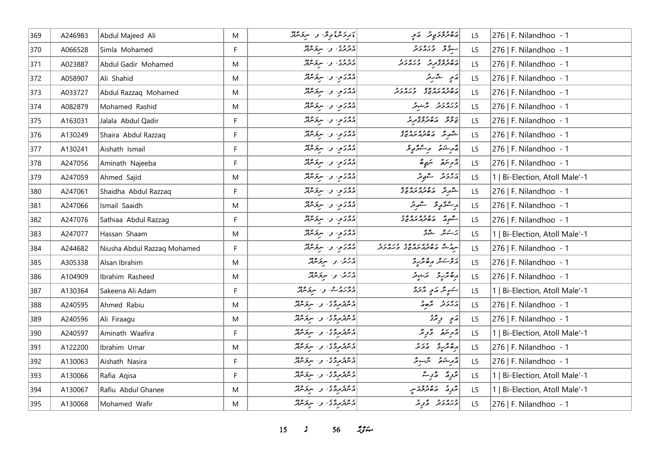| 369 | A246983 | Abdul Majeed Ali            | M  | ءَ مِردَ مَنْ وَحَوْدَ وَ السِرْ مَرْمَتْهُ               | رە دورى پر ئەي                                                 | L <sub>5</sub> | 276   F. Nilandhoo - 1         |
|-----|---------|-----------------------------|----|-----------------------------------------------------------|----------------------------------------------------------------|----------------|--------------------------------|
| 370 | A066528 | Simla Mohamed               | F. | د د د د .<br>  د ترندی او . سربوسرتر                      | سوقر ورەرو                                                     | L5             | 276   F. Nilandhoo - 1         |
| 371 | A023887 | Abdul Gadir Mohamed         | M  | دووی کی سروه دو                                           | ره وه و د و ره ر و<br>  پره ترڅنگ تر پر د چر د تر              | L <sub>5</sub> | 276   F. Nilandhoo - 1         |
| 372 | A058907 | Ali Shahid                  | M  | انگلانوا و سرقاندند                                       | رَمِ شَرِيرٌ                                                   | L <sub>5</sub> | 276   F. Nilandhoo - 1         |
| 373 | A033727 | Abdul Razzaq Mohamed        | M  | پروتو، وسرقرمان                                           | גם כם גם מם כגם גב<br>השינות מהיו ב גורכינ                     | L5             | 276   F. Nilandhoo - 1         |
| 374 | A082879 | Mohamed Rashid              | M  | أووى والبروهير                                            | دره رو گرشور                                                   | L5             | 276   F. Nilandhoo - 1         |
| 375 | A163031 | Jalala Abdul Qadir          | F  | أوادى وسيروه                                              | پر حدّث ماه وه وه حديث مريد                                    | L5             | 276   F. Nilandhoo - 1         |
| 376 | A130249 | Shaira Abdul Razzaq         | F  | در دی و سروگرفته                                          | شگه مگر می ده دره ده<br>شگه مگر مگر مگر می مگر                 | L5             | 276   F. Nilandhoo - 1         |
| 377 | A130241 | Aishath Ismail              | F. | انگرېزي وا سرچمنګر                                        | قەرىشىق بوسىۋە يۇ                                              | L <sub>5</sub> | 276   F. Nilandhoo - 1         |
| 378 | A247056 | Aminath Najeeba             | F. | انگلانوا و سرقاندند                                       | رژویزه تربی                                                    | L <sub>5</sub> | 276   F. Nilandhoo - 1         |
| 379 | A247059 | Ahmed Sajid                 | M  | أووى والبروهير                                            | رەر دېر مقبر                                                   | L5             | 1   Bi-Election, Atoll Male'-1 |
| 380 | A247061 | Shaidha Abdul Razzaq        | F. | پروتو، وسرترمین                                           | شهر می ده وه ره موج                                            | L5             | 276   F. Nilandhoo - 1         |
| 381 | A247066 | Ismail Saaidh               | M  | 20 کوم و سرکر مرکز                                        | راعىم ئەھمەتىر                                                 | L <sub>5</sub> | 276   F. Nilandhoo - 1         |
| 382 | A247076 | Sathiaa Abdul Razzag        | F. | أوادى وسروناوو                                            | ا مشهور مقدم مده وجد                                           | L5             | 276   F. Nilandhoo - 1         |
| 383 | A247077 | Hassan Shaam                | M  | روی و سرفرمند                                             | بر کيمر استرو                                                  | L <sub>5</sub> | 1   Bi-Election, Atoll Male'-1 |
| 384 | A244682 | Niusha Abdul Razzaq Mohamed | F  | أووى والبروهير                                            | مرد شهر ده وه ده ده وره د و<br>سرد شهر می تورد بود تحریر در تر | L5             | 276   F. Nilandhoo - 1         |
| 385 | A305338 | Alsan Ibrahim               | M  | الرکنگ و استرکسی                                          | أروسكر رەپزىر                                                  | L5             | 276   F. Nilandhoo - 1         |
| 386 | A104909 | Ibrahim Rasheed             | M  | درجر، و البرنج مربور                                      | رەڭرىر كەشىر                                                   | L <sub>5</sub> | 276   F. Nilandhoo - 1         |
| 387 | A130364 | Sakeena Ali Adam            | F  | دوروے، و، سروسربر                                         | سكمونتر وكبحر ومحرجر                                           | L5             | 1   Bi-Election, Atoll Male'-1 |
| 388 | A240595 | Ahmed Rabiu                 | M  | ء وء بروًى الله البرود.<br> الماس بروكي الله البروس       | رور و و                                                        | L <sub>5</sub> | 276   F. Nilandhoo - 1         |
| 389 | A240596 | Ali Firaagu                 | M  | د عروسروگو، او ، اسرپر عروم                               | ړی ویژی                                                        | L5             | 276   F. Nilandhoo - 1         |
| 390 | A240597 | Aminath Waafira             | F. | د عروری و سرومبرد                                         | أرمح سنتعمر وتحريثه                                            | L5             | 1   Bi-Election, Atoll Male'-1 |
| 391 | A122200 | Ibrahim Umar                | M  | د عروروی، و ا سرخ عرفتر                                   | أرەنگرىز مەدىر                                                 | L5             | 276   F. Nilandhoo - 1         |
| 392 | A130063 | Aishath Nasira              | F  | پر مرکز کرده و سرکز مرکز                                  | أَمُّهْ مِسْتَمَعْ مُسَرِّئِزٌ                                 | L5             | 276   F. Nilandhoo - 1         |
| 393 | A130066 | Rafia Agisa                 | F  | ء وء بروًى الله البرود.<br> الماس بروكي الله البروس       | پژوِرْ - دْ توبْ                                               | L5             | 1   Bi-Election, Atoll Male'-1 |
| 394 | A130067 | Rafiu Abdul Ghanee          | M  | پرچرې کې د سرکر مرکز                                      | بَرُومْ   مەھىر جەزىپ                                          | L5             | 1   Bi-Election, Atoll Male'-1 |
| 395 | A130068 | Mohamed Wafir               | M  | اء موفر بروی او اسر نومبرد.<br>افریقی بروی او اسر نومبرد. | دره رو د څر تر                                                 | L5             | 276   F. Nilandhoo - 1         |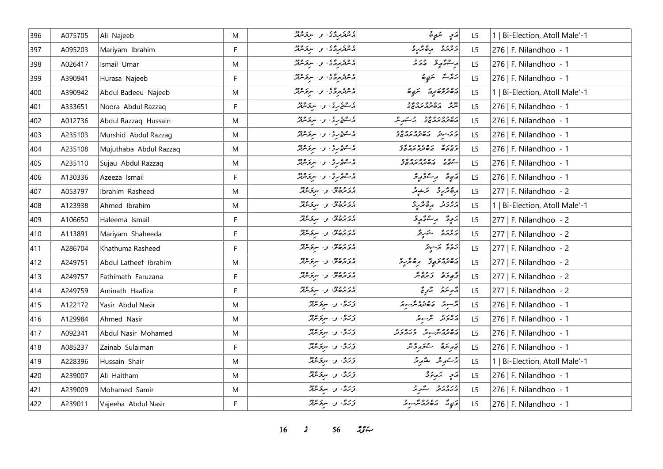| 396 | A075705 | Ali Najeeb             | M         | پر هر پر پر پر سر پر سرچر شرفتر                                                             | ړَم په سَمَوٍهُ                                                                | L <sub>5</sub> | 1   Bi-Election, Atoll Male'-1 |
|-----|---------|------------------------|-----------|---------------------------------------------------------------------------------------------|--------------------------------------------------------------------------------|----------------|--------------------------------|
| 397 | A095203 | Mariyam Ibrahim        | F.        | د عروسرد د المسر عروم د المسر المسر د المسر و در المسر مسر و در الله الله الله مسر الله و د | ويرمزه مصريرة                                                                  | L5             | 276   F. Nilandhoo - 1         |
| 398 | A026417 | Ismail Umar            | M         | د عروروی، و ا سروسرد                                                                        | بر شۇم ئۇ ئەر ئە                                                               | L5             | 276   F. Nilandhoo - 1         |
| 399 | A390941 | Hurasa Najeeb          | F.        | د مروروی و سرومبرد                                                                          | ر جمر شهر شریع ش                                                               | L5             | 276   F. Nilandhoo - 1         |
| 400 | A390942 | Abdul Badeeu Najeeb    | ${\sf M}$ | د عروری و سرومبرد                                                                           | د ۱۳۵۵ د سرد سرد شرح                                                           | L <sub>5</sub> | 1   Bi-Election, Atoll Male'-1 |
| 401 | A333651 | Noora Abdul Razzaq     | F.        | د هوندي و سروه د                                                                            | מי נספטנסטב<br>התי הסנגיגה ב                                                   | L5             | 276   F. Nilandhoo - 1         |
| 402 | A012736 | Abdul Razzaq Hussain   | ${\sf M}$ | د هغری، و سروه پر                                                                           | ره ده ره د د م کرد.                                                            | L5             | 276   F. Nilandhoo - 1         |
| 403 | A235103 | Murshid Abdul Razzag   | M         | در ۱۶۵ و سرورود                                                                             | و و به و ده وه ره وو<br><mark>و بر ش</mark> وتر از هاند در مردر <del>ی</del> د | L <sub>5</sub> | 276   F. Nilandhoo - 1         |
| 404 | A235108 | Mujuthaba Abdul Razzaq | ${\sf M}$ | د ه ه ه بر و . سرنومبرد                                                                     | ככני נסכסנסיכ<br>כבקים הסנגינגים                                               | L5             | 276   F. Nilandhoo - 1         |
| 405 | A235110 | Sujau Abdul Razzaq     | M         | د ۱۵۹ کال و ۱۰ سربر ۱۹۶۵                                                                    | د ده د د د ده د د د و د<br>سنڌ هار د ه توه موهري                               | L <sub>5</sub> | 276   F. Nilandhoo - 1         |
| 406 | A130336 | Azeeza Ismail          | F         | د عقری، و سرو عرفه                                                                          | مَبِيءٌ مِسْتَوْمٍ وَ                                                          | L5             | 276   F. Nilandhoo - 1         |
| 407 | A053797 | Ibrahim Rasheed        | M         | در دودور در سرپر ۱۶۵۵<br>  در در سرپر سرپر سرپر                                             | أرەڭرو ئرىدىز                                                                  | L <sub>5</sub> | 277   F. Nilandhoo - 2         |
| 408 | A123938 | Ahmed Ibrahim          | ${\sf M}$ | در و وود<br>  در و در در سربوسربر                                                           | أرور وه محررة                                                                  | L <sub>5</sub> | 1   Bi-Election, Atoll Male'-1 |
| 409 | A106650 | Haleema Ismail         | F         | در دودو<br>  در دره نوم سرنوس                                                               | يَرْدِةُ لِمِسْتَوْرِدٍ وَ                                                     | L5             | 277   F. Nilandhoo - 2         |
| 410 | A113891 | Mariyam Shaheeda       | F         | در دودو<br>  در دره نوم سرنوس                                                               | ويحروه الشرير                                                                  | L5             | 277   F. Nilandhoo - 2         |
| 411 | A286704 | Khathuma Rasheed       | F         | در و وود<br>  در در دود از سربرسربر                                                         | زَهْرَى بَرَىشِيْرَ                                                            | L5             | 277   F. Nilandhoo - 2         |
| 412 | A249751 | Abdul Latheef Ibrahim  | M         | در دودو<br>  در دره نوم سرنوس                                                               | دەدە دە ئەھكرى                                                                 | L5             | 277   F. Nilandhoo - 2         |
| 413 | A249757 | Fathimath Faruzana     | F         | در دودو<br>  در دره نوم سرنوس                                                               | دٌ پوځ په وَ بر پمٌ بيَّر                                                      | L <sub>5</sub> | 277   F. Nilandhoo - 2         |
| 414 | A249759 | Aminath Haafiza        | F.        | در د دود.<br>  در دره نو سربوسه                                                             | رژحر سرچ پر تر پر                                                              | L5             | 277   F. Nilandhoo - 2         |
| 415 | A122172 | Yasir Abdul Nasir      | ${\sf M}$ | ۇڭرى ق سىرىمىدىن                                                                            | ا در ده ده ده در د                                                             | L5             | 276   F. Nilandhoo - 1         |
| 416 | A129984 | Ahmed Nasir            | M         | وَرَدٌّ، وَ سَرِوَسْرُمْزٌ                                                                  | أرەر بە شبەر                                                                   | L5             | 276   F. Nilandhoo - 1         |
| 417 | A092341 | Abdul Nasir Mohamed    | ${\sf M}$ | ۇڭرگى، بەر سىرىكەنلەر                                                                       | ره وه شهر و در در و                                                            | L5             | 276   F. Nilandhoo - 1         |
| 418 | A085237 | Zainab Sulaiman        | F         | ۇڭرى ق سىۋىترلىر                                                                            | ئەرىئىق سىخەر ئەش                                                              | L5             | 276   F. Nilandhoo - 1         |
| 419 | A228396 | Hussain Shair          | M         | دُرَگٌ وَ سِعَامَيْتِرُ                                                                     | جستهر شهر مقتويته                                                              | L5             | 1   Bi-Election, Atoll Male'-1 |
| 420 | A239007 | Ali Haitham            | M         | ۇرْق، و- سِرْقَاشْتْر                                                                       | ړی په پوځ                                                                      | L5             | 276   F. Nilandhoo - 1         |
| 421 | A239009 | Mohamed Samir          | M         | ۇرْق، و- سِرْقَاشْتْر                                                                       | ورورو عرو                                                                      | L <sub>5</sub> | 276   F. Nilandhoo - 1         |
| 422 | A239011 | Vajeeha Abdul Nasir    | F.        | ۇرُچّ، وسيۇرلاپۇ                                                                            | <br>  موسى مى ئەھەمدەر سىر بىر جىل                                             | L5             | 276   F. Nilandhoo - 1         |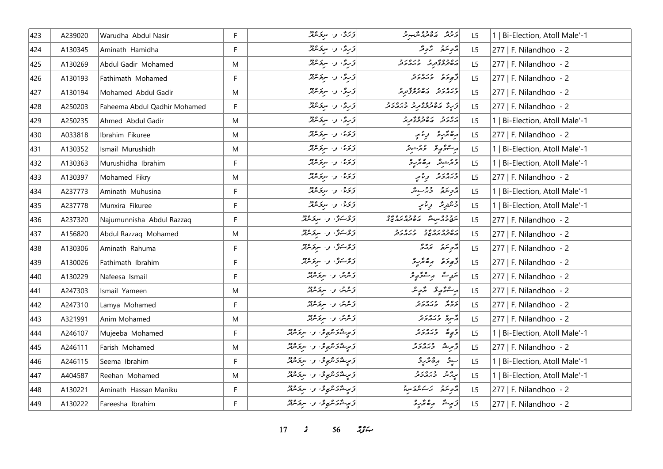| 423 | A239020 | Warudha Abdul Nasir          | F. | زَرَدٌ، و ا سرِوَسْرَتْرُ                             | د د په ۱۳۵۶ کليمر چر                                 | L <sub>5</sub> | 1   Bi-Election, Atoll Male'-1 |
|-----|---------|------------------------------|----|-------------------------------------------------------|------------------------------------------------------|----------------|--------------------------------|
| 424 | A130345 | Aminath Hamidha              | F. | وَرِمٌّ ، وَ سَرِمَ مُرْتِزٌ                          | رمح محمد محمد                                        | L5             | 277   F. Nilandhoo - 2         |
| 425 | A130269 | Abdul Gadir Mohamed          | M  | دَرِهٌ ، د سروَسْهْرٌ                                 | د ۶ وه د ۶ و د ۶ د و<br>  پره ترڅن تر تر تر تر تر تر | L5             | 277   F. Nilandhoo - 2         |
| 426 | A130193 | Fathimath Mohamed            | F  | وَرِيٌّ، وَسَرِيَرْيُوْرُ                             | أقهج حده دور                                         | L5             | 277   F. Nilandhoo - 2         |
| 427 | A130194 | Mohamed Abdul Gadir          | M  | وَرِهٌ ، و ا سِرِ تَرْتُرُدُ                          | ور ور در در دور در<br>د بربرد تر مان بر در بر        | L <sub>5</sub> | 277   F. Nilandhoo - 2         |
| 428 | A250203 | Faheema Abdul Qadhir Mohamed | F. | تۇرى، بەر سىرتىرلىق                                   | در په محمد دره دره در د                              | L <sub>5</sub> | 277   F. Nilandhoo - 2         |
| 429 | A250235 | Ahmed Abdul Gadir            | M  | وَرِمَّ ، وَ سَرِمَ مَرْتِمْرُ                        | ره رو دره وه در د<br>  در دو در محمد در در در        | L5             | 1   Bi-Election, Atoll Male'-1 |
| 430 | A033818 | Ibrahim Fikuree              | M  | توکره، او استرکانگر                                   | رەنزىر رىنىي                                         | L5             | 277   F. Nilandhoo - 2         |
| 431 | A130352 | Ismail Murushidh             | M  | كقرتماء والبريج فكالمحدث                              | ر عۇرپۇ كەربىر                                       | L <sub>5</sub> | 1   Bi-Election, Atoll Male'-1 |
| 432 | A130363 | Murushidha Ibrahim           | F. | دَىمَ، وسيرَسْتِرْ                                    | دیر شوند ره بر ره                                    | L <sub>5</sub> | 1   Bi-Election, Atoll Male'-1 |
| 433 | A130397 | Mohamed Fikry                | M  | وَتَوَمَّىٰ اللَّهِ وَاسْتِعْرَفْتُرُ                 | ورەر د پر توپ                                        | L <sub>5</sub> | 277   F. Nilandhoo - 2         |
| 434 | A237773 | Aminath Muhusina             | F. | وَتَوَمَّىٰ اللَّهِ السَّرِيمَ مِنْ مِنْ اللَّهُ مِنْ | أأزويتهم وبرسوش                                      | L5             | 1   Bi-Election, Atoll Male'-1 |
| 435 | A237778 | Munxira Fikuree              | F  | دَىمَ، وسيحشِرْ                                       | 3 شنريند أورثانير                                    | L5             | 1   Bi-Election, Atoll Male'-1 |
| 436 | A237320 | Najumunnisha Abdul Razzaq    | F. | زۇستۇ، بە سۆھەتلە                                     | ر و وه<br>سرچ و پر سرشگر پر صور مربر می د            | L <sub>5</sub> | 277   F. Nilandhoo - 2         |
| 437 | A156820 | Abdul Razzaq Mohamed         | M  | زوكتۇ، وسېۋىرلا                                       | גם כם גם כב כגם גב<br>השינה בה בב בגה כינ            | L <sub>5</sub> | 277   F. Nilandhoo - 2         |
| 438 | A130306 | Aminath Rahuma               | F. | زوْسَنَّ وَ سِعَسْفَدْ                                | رمح سناد من المراد في                                | L5             | 277   F. Nilandhoo - 2         |
| 439 | A130026 | Fathimath Ibrahim            | F. | زوْسَوْ'، واسترمه                                     | أزودة مقتبة                                          | L5             | 277   F. Nilandhoo - 2         |
| 440 | A130229 | Nafeesa Ismail               | F  | زیرین و سرکریزیز                                      | بىموپە مەسىئى ئەربى                                  | L <sub>5</sub> | 277   F. Nilandhoo - 2         |
| 441 | A247303 | Ismail Yameen                | M  | ۇش را سرىگە                                           | ر شۇرقى ئۇچىگ                                        | L <sub>5</sub> | 277   F. Nilandhoo - 2         |
| 442 | A247310 | Lamya Mohamed                | F  | زیرین و سرکریزیز                                      | رەپ درەرد                                            | L5             | $277$   F. Nilandhoo - 2       |
| 443 | A321991 | Anim Mohamed                 | M  | زیرین و ا سربر مردد                                   | أرسره وبروبرو                                        | L5             | 277   F. Nilandhoo - 2         |
| 444 | A246107 | Mujeeba Mohamed              | F. | زىرىشكەش ئەر سىر سىر                                  | وي ورەرو                                             | L <sub>5</sub> | 1   Bi-Election, Atoll Male'-1 |
| 445 | A246111 | Farish Mohamed               | M  | زېږىشكەشپۇ، بەسرىگەنلە                                | تخریف وزه دو                                         | L5             | 277   F. Nilandhoo - 2         |
| 446 | A246115 | Seema Ibrahim                | F. | زىرىشۇشمۇشى را سرىرىش                                 | برە ئۈر ۋ<br>ا سوڤ<br>پ                              | L5             | 1   Bi-Election, Atoll Male'-1 |
| 447 | A404587 | Reehan Mohamed               | M  | زىرىشكەش ئەرەپرىدىن                                   | پرچمند اوبره د و                                     | L <sub>5</sub> | 1   Bi-Election, Atoll Male'-1 |
| 448 | A130221 | Aminath Hassan Maniku        | F. | تورىئەتكىرى بە ئوتكىللا                               | أأتر بترة الاستعراض                                  | L5             | 277   F. Nilandhoo - 2         |
| 449 | A130222 | Fareesha Ibrahim             | F. | زېږىشكەش پوقا بول سرىكرىدۇر                           | زَبِيشَ رِهْتَرِيرَ                                  | L5             | 277   F. Nilandhoo - 2         |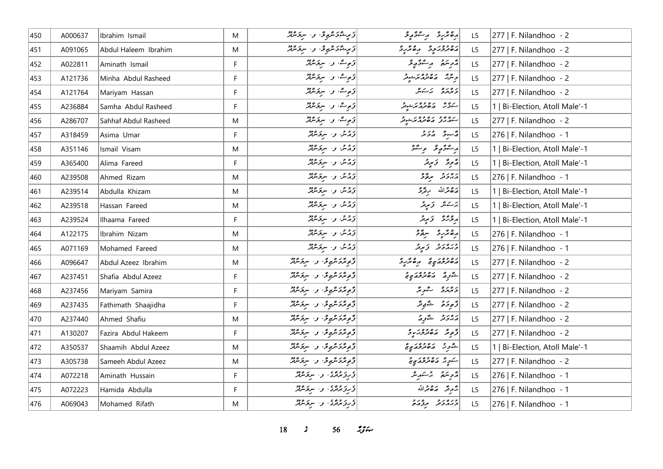| 450 | A000637 | Ibrahim Ismail       | M            | زَىرٍ؎ْدَىشْهِ فْ سِرْحَاشْتْهْ                         | أرەنزىر بەستۇر               | L <sub>5</sub> | 277   F. Nilandhoo - 2         |
|-----|---------|----------------------|--------------|---------------------------------------------------------|------------------------------|----------------|--------------------------------|
| 451 | A091065 | Abdul Haleem Ibrahim | M            | ئۇيىشگە كىلىمى ئۇر سىركىللىك                            | دەور دە بەشرو                | L <sub>5</sub> | 277   F. Nilandhoo - 2         |
| 452 | A022811 | Aminath Ismail       | F            | تورے وا سرتماشی                                         | قرجند المستفهو               | L5             | 277   F. Nilandhoo - 2         |
| 453 | A121736 | Minha Abdul Rasheed  | $\mathsf{F}$ | تى چاشە ، بەر تەرەپىر                                   | و مرد ده ده ده بر در د       | L5             | 277   F. Nilandhoo - 2         |
| 454 | A121764 | Mariyam Hassan       | F            | تۆمەشە، بەر سېڭەنلىر                                    | دەرە برىكە                   | L <sub>5</sub> | 277   F. Nilandhoo - 2         |
| 455 | A236884 | Samha Abdul Rasheed  | F            | توصیف او ا سریم مربق                                    | رەم دەدەرىي دە               | L5             | 1   Bi-Election, Atoll Male'-1 |
| 456 | A286707 | Sahhaf Abdul Rasheed | M            | توصیفت او استر شرقتر                                    | ره ۶۶ ده ۶۶ در د             | L5             | 277   F. Nilandhoo - 2         |
| 457 | A318459 | Asima Umar           | F            | زېرىش و، سرىكرېمىز                                      | د سوځ او د د کا              | L5             | 276   F. Nilandhoo - 1         |
| 458 | A351146 | Ismail Visam         | M            | دُمْسٌ وَ سِعَسْفَرٌ                                    | أرسفؤر ومنفو                 | L5             | 1   Bi-Election, Atoll Male'-1 |
| 459 | A365400 | Alima Fareed         | F            | زولش والسرقر سرقر                                       | مَرْحِرَةٌ - وَسِرِمْرٌ      | L <sub>5</sub> | 1   Bi-Election, Atoll Male'-1 |
| 460 | A239508 | Ahmed Rizam          | M            | تۇرىش بىر سېڭرىنىڭ                                      | رەر د سرگە                   | L <sub>5</sub> | 276   F. Nilandhoo - 1         |
| 461 | A239514 | Abdulla Khizam       | M            | تۇرشى بولىسىدىقلىر                                      | رەقمەللە ئ <sub>ى</sub> قگرى | L5             | 1   Bi-Election, Atoll Male'-1 |
| 462 | A239518 | Hassan Fareed        | M            | تۇرىش كۆر سېڭرىنىڭ                                      | تاسكاش كالمجياض              | L <sub>5</sub> | 1   Bi-Election, Atoll Male'-1 |
| 463 | A239524 | Ilhaama Fareed       | F            | تۇرىش بىر سېڭرىنىڭ                                      | پروژۇ - ۋىپەتر               | L <sub>5</sub> | 1   Bi-Election, Atoll Male'-1 |
| 464 | A122175 | Ibrahim Nizam        | M            | زویر، او استرکاند                                       | رەئزىر سۆۋ                   | L5             | 276   F. Nilandhoo - 1         |
| 465 | A071169 | Mohamed Fareed       | M            | دُمْشْ وَا سِعَاهِمْ                                    | وبروبر و بریر                | L5             | 276   F. Nilandhoo - 1         |
| 466 | A096647 | Abdul Azeez Ibrahim  | M            | تۇمۇتكى تەرەپ سىزىسىتىر                                 | دەۋەرىپى مەھكرد              | L5             | 277   F. Nilandhoo - 2         |
| 467 | A237451 | Shafia Abdul Azeez   | F            | ۇمەتكەشمەش را سرىگەنلە                                  | شوره مەمرىرە ج               | L <sub>5</sub> | 277   F. Nilandhoo - 2         |
| 468 | A237456 | Mariyam Samira       | F            | ژُوِمُرَدَ مُرُوِمٌ، و الرَّحْمَرُمْ                    | دەرە شور                     | L <sub>5</sub> | 277   F. Nilandhoo - 2         |
| 469 | A237435 | Fathimath Shaajidha  | $\mathsf F$  | ژَمِیرَدَ تَرْبِعِ دَ الْمُرَوَّثَرَ                    | وَجوحَة شَوْمِرَّ            | L5             | 277   F. Nilandhoo - 2         |
| 470 | A237440 | Ahmed Shafiu         | M            | ژُمِیگرَکسِی گو، سِرکسِیگر                              | رەر د شور                    | L5             | 277   F. Nilandhoo - 2         |
| 471 | A130207 | Fazira Abdul Hakeem  | F            | ژَمِیرَدَسْرَیمِ وَ اسِرَیرَ دُرُ                       | ژَمِرٌ مَصْرَوْبَهِ وَ       | L <sub>5</sub> | 277   F. Nilandhoo - 2         |
| 472 | A350537 | Shaamih Abdul Azeez  | M            | ژُمِیگرَکسِی گو، سِرکسِیگر                              | أشورة ما معرف من مع          | L <sub>5</sub> | 1   Bi-Election, Atoll Male'-1 |
| 473 | A305738 | Sameeh Abdul Azeez   | M            | ژَمِیرَدَ تَرْبِعِ دَ ۲۰ سِرْتَرْتَرْتَرْ               | سوپر مەمدىرى                 | L <sub>5</sub> | 277   F. Nilandhoo - 2         |
| 474 | A072218 | Aminath Hussain      | F            | در دوه ، د سروسر                                        | أأتحر سكو بالمستور شر        | L5             | 276   F. Nilandhoo - 1         |
| 475 | A072223 | Hamida Abdulla       | F            | ڈرزیرمری وسیویروژ                                       | جَرِمَدُ 20مِرَاللّه         | L5             | 276   F. Nilandhoo - 1         |
| 476 | A069043 | Mohamed Rifath       | M            | د بر د د ، بر بر د د د .<br>  د بر برترد ، بر سربر مرتر | ورەرو برورو                  | L5             | 276   F. Nilandhoo - 1         |

*s* 56  $29$   $\div$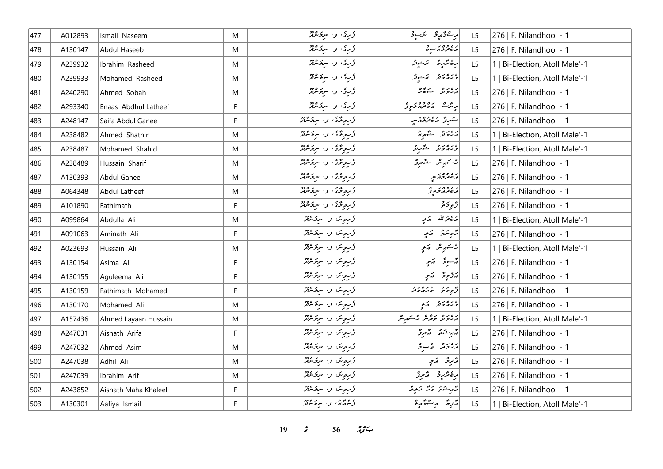| 477 | A012893 | Ismail Naseem        | M  | ۇرئى، و. سرىگەنگە         | ر جۇرچى سىرجى                                                                                      | L <sub>5</sub> | 276   F. Nilandhoo - 1         |
|-----|---------|----------------------|----|---------------------------|----------------------------------------------------------------------------------------------------|----------------|--------------------------------|
| 478 | A130147 | Abdul Haseeb         | M  | ڈری، وسیوٹریم             | رە دوبر بەرە                                                                                       | L5             | 276   F. Nilandhoo - 1         |
| 479 | A239932 | Ibrahim Rasheed      | M  | تۇرى ق. سىۋىنىڭ           | رەڭرىر ئەسىرىتى                                                                                    | L <sub>5</sub> | 1   Bi-Election, Atoll Male'-1 |
| 480 | A239933 | Mohamed Rasheed      | M  | ۇرئى، ئەسىرىمىتىتى        | ورەرو برىيوتر                                                                                      | L5             | 1   Bi-Election, Atoll Male'-1 |
| 481 | A240290 | Ahmed Sobah          | M  | ؤرِیْ، وَ، سِرِیَرْمُکُمْ | دەرو بەھر                                                                                          | L5             | 276   F. Nilandhoo - 1         |
| 482 | A293340 | Enaas Abdhul Latheef | F. | ڈری وسرویٹر               | پېش مەھىر ئومۇر                                                                                    | L5             | 276   F. Nilandhoo - 1         |
| 483 | A248147 | Saifa Abdul Ganee    | F. | ۇروۋۇ، و. سرۇشۇر          | سروم رە دەنبر                                                                                      | L5             | 276   F. Nilandhoo - 1         |
| 484 | A238482 | Ahmed Shathir        | M  | درموگری، وسیر مرکز میرد   | دەرو شەھ ئى                                                                                        | L5             | 1   Bi-Election, Atoll Male'-1 |
| 485 | A238487 | Mohamed Shahid       | M  | ۇروگۇ، وا ئىركەشلە        | ورەرو ئەرۇ                                                                                         | L5             | 1   Bi-Election, Atoll Male'-1 |
| 486 | A238489 | Hussain Sharif       | M  | درموردی و سرد مثلا        | برسكىرىش ستمبرى                                                                                    | L5             | 276   F. Nilandhoo - 1         |
| 487 | A130393 | Abdul Ganee          | M  | در دیگاه از سرد میلاد     | ره د وه بر سر                                                                                      | L <sub>5</sub> | 276   F. Nilandhoo - 1         |
| 488 | A064348 | Abdul Latheef        | M  | دربودی و سرد مثلا         | ړه وه د دو                                                                                         | L5             | 276   F. Nilandhoo - 1         |
| 489 | A101890 | Fathimath            | F  | ۇروگۇ، بەسكەنلە           | و مر د<br>تر مور م                                                                                 | L5             | 276   F. Nilandhoo - 1         |
| 490 | A099864 | Abdulla Ali          | M  | ڈروش و- سرکرمنڈ           | 2012 - قدمة حرم                                                                                    | L <sub>5</sub> | 1   Bi-Election, Atoll Male'-1 |
| 491 | A091063 | Aminath Ali          | F  | ڈیروین و مردمیند          | أزوينده أركمي                                                                                      | L5             | 276   F. Nilandhoo - 1         |
| 492 | A023693 | Hussain Ali          | M  | ڈروین وسیر پروگرفتر       | چرىئىر شەمە                                                                                        | L5             | 1   Bi-Election, Atoll Male'-1 |
| 493 | A130154 | Asima Ali            | F. | ڈرموس وسروکروڑ            | پژسود کامی                                                                                         | L5             | 276   F. Nilandhoo - 1         |
| 494 | A130155 | Aquleema Ali         | F  | ڈرویٹن وسیر پر پر پر      | رَحِمٍ فِي اللَّهِ مِنْ اللَّهِ مِنْ اللَّهِ مِنْ اللَّهِ مِنْ اللَّهِ مِنْ اللَّهِ مِنْ اللَّهِ م | L <sub>5</sub> | 276   F. Nilandhoo - 1         |
| 495 | A130159 | Fathimath Mohamed    | F. | ڈیرویٹن وسیر میروفیز      | أو رو ورەرو                                                                                        | L <sub>5</sub> | 276   F. Nilandhoo - 1         |
| 496 | A130170 | Mohamed Ali          | M  | ڈروش وا سرکرمنڈ           | دره رو پر کر                                                                                       | L5             | 276   F. Nilandhoo - 1         |
| 497 | A157436 | Ahmed Layaan Hussain | M  | ڈرویئن وا سرکھنڈ          | رەر دىر بەھ جەسكەر ش                                                                               | L5             | 1   Bi-Election, Atoll Male'-1 |
| 498 | A247031 | Aishath Arifa        | F. | ڈرمیٹن اور سروکھیٹر       | مەر شىق ئەسرىق                                                                                     | L <sub>5</sub> | 276   F. Nilandhoo - 1         |
| 499 | A247032 | Ahmed Asim           | M  | ؤروش والرقائق             | دەرو گەسوۋ                                                                                         | L <sub>5</sub> | 276   F. Nilandhoo - 1         |
| 500 | A247038 | Adhil Ali            | M  | ڈروش و- سرقرمنڈ           | پڙمر ٿر - پر پر                                                                                    | L5             | 276   F. Nilandhoo - 1         |
| 501 | A247039 | Ibrahim Arif         | M  | ڈروش وا سرکرمنڈ           | رەنزىر ئەبرۇ                                                                                       | L5             | 276   F. Nilandhoo - 1         |
| 502 | A243852 | Aishath Maha Khaleel | F  | ؤروبتن والبرقرمين         | د د عاد د د د د د                                                                                  | L5             | 276   F. Nilandhoo - 1         |
| 503 | A130301 | Aafiya Ismail        | F  | د عرم تر، د سرو عرم د     | د پر په د شو په د                                                                                  | L5             | 1   Bi-Election, Atoll Male'-1 |

*19 s* 56 *ig*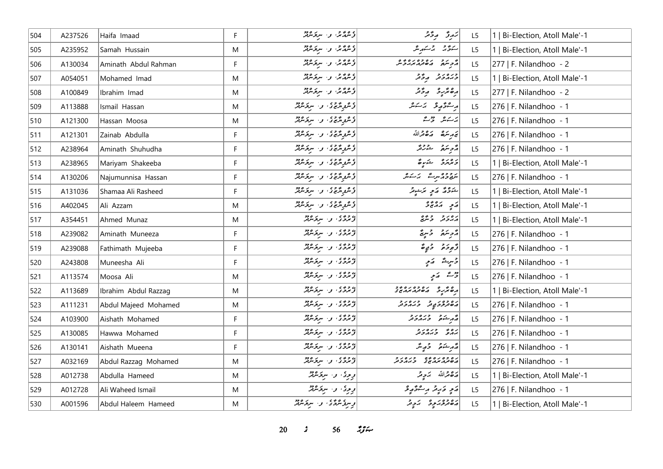| 504 | A237526 | Haifa Imaad          | F           | ، ووج د سرکر ود.<br>از شمار ش                                                                     | ئەرۇ مەۋقىر                                                                                                                                                                                                                                                                                                                   | L <sub>5</sub> | Bi-Election, Atoll Male'-1     |
|-----|---------|----------------------|-------------|---------------------------------------------------------------------------------------------------|-------------------------------------------------------------------------------------------------------------------------------------------------------------------------------------------------------------------------------------------------------------------------------------------------------------------------------|----------------|--------------------------------|
| 505 | A235952 | Samah Hussain        | M           | ۇشۇرىمى بىر سېتىرلىقى                                                                             | ستوحى المرسكة بالكرامل                                                                                                                                                                                                                                                                                                        | L5             | 1   Bi-Election, Atoll Male'-1 |
| 506 | A130034 | Aminath Abdul Rahman | F           | وعدمها والمتوسين                                                                                  |                                                                                                                                                                                                                                                                                                                               | L5             | 277   F. Nilandhoo - 2         |
| 507 | A054051 | Mohamed Imad         | M           | د ۱۳۵ و. سرد میر                                                                                  | ورەر دەر                                                                                                                                                                                                                                                                                                                      | L <sub>5</sub> | 1   Bi-Election, Atoll Male'-1 |
| 508 | A100849 | Ibrahim Imad         | M           | ئۇشگەنگە ئەسىر ئىشلار                                                                             | رەنزىر رۇنز                                                                                                                                                                                                                                                                                                                   | L <sub>5</sub> | 277   F. Nilandhoo - 2         |
| 509 | A113888 | Ismail Hassan        | M           | د عروجوي او البروجيز                                                                              | أرجع ويستقر                                                                                                                                                                                                                                                                                                                   | L <sub>5</sub> | 276   F. Nilandhoo - 1         |
| 510 | A121300 | Hassan Moosa         | M           | د همه پروه و سرپروژو                                                                              | پرست و محرث                                                                                                                                                                                                                                                                                                                   | L5             | 276   F. Nilandhoo - 1         |
| 511 | A121301 | Zainab Abdulla       | F           | و هر و و و .<br>  و شرو شریری او از سربوسرفر                                                      | تم مرسكة مركة قرالله                                                                                                                                                                                                                                                                                                          | L5             | 276   F. Nilandhoo - 1         |
| 512 | A238964 | Aminath Shuhudha     | F           | وَ عُرُومٌ وَ وَ الْمَسِرَ وَ وَلَا لِهِ وَاللَّهِ وَإِلَيْهِ وَإِلَيْهِ وَإِلَيْهِ وَإِلَيْهِ وَ | د تر مقرر د قرار د تر                                                                                                                                                                                                                                                                                                         | L <sub>5</sub> | 276   F. Nilandhoo - 1         |
| 513 | A238965 | Mariyam Shakeeba     | F           | ئى ھەرگەنى ئى كى ئى ھەم ھەرگە ھەرگەندىكى ئى                                                       | دەرە شەرق                                                                                                                                                                                                                                                                                                                     | L <sub>5</sub> | 1   Bi-Election, Atoll Male'-1 |
| 514 | A130206 | Najumunnisa Hassan   | F           | ۇغرىرى ئەستىرە بىر                                                                                | يرودوس شهر الكريمبر                                                                                                                                                                                                                                                                                                           | L <sub>5</sub> | 276   F. Nilandhoo - 1         |
| 515 | A131036 | Shamaa Ali Rasheed   | F           | د عروجوي او المسروج د د                                                                           | شرور كرمي الرسومر                                                                                                                                                                                                                                                                                                             | L <sub>5</sub> | 1   Bi-Election, Atoll Male'-1 |
| 516 | A402045 | Ali Azzam            | M           | و همو پر وه در سربر ۱۶۵ م.<br>  و شرو شریری او ۱۰ سربر سربر                                       | $\begin{vmatrix} 0 & 0 & 0 & 0 \\ 0 & 0 & 0 & 0 \\ 0 & 0 & 0 & 0 \\ 0 & 0 & 0 & 0 \\ 0 & 0 & 0 & 0 \\ 0 & 0 & 0 & 0 \\ 0 & 0 & 0 & 0 \\ 0 & 0 & 0 & 0 \\ 0 & 0 & 0 & 0 \\ 0 & 0 & 0 & 0 \\ 0 & 0 & 0 & 0 & 0 \\ 0 & 0 & 0 & 0 & 0 \\ 0 & 0 & 0 & 0 & 0 \\ 0 & 0 & 0 & 0 & 0 & 0 \\ 0 & 0 & 0 & 0 & 0 & 0 \\ 0 & 0 & 0 & 0 & $ | L5             | 1   Bi-Election, Atoll Male'-1 |
| 517 | A354451 | Ahmed Munaz          | M           | دروی و سرکرمرد                                                                                    | پرور و وه                                                                                                                                                                                                                                                                                                                     | L5             | 1   Bi-Election, Atoll Male'-1 |
| 518 | A239082 | Aminath Muneeza      | F           | ا» دو» ، د سرکرمرفز                                                                               | دوسَمَ وَسِيَّ                                                                                                                                                                                                                                                                                                                | L <sub>5</sub> | 276   F. Nilandhoo - 1         |
| 519 | A239088 | Fathimath Mujeeba    | F           | د د د ، و . سرو مهمد                                                                              | تَرْجُوحَرْ وَ حَيْ صَّ                                                                                                                                                                                                                                                                                                       | L5             | 276   F. Nilandhoo - 1         |
| 520 | A243808 | Muneesha Ali         | F           | د ووه و .<br>  توسرد د کار سربوسرټر                                                               | وَسِيمٌ کَمَ پِ                                                                                                                                                                                                                                                                                                               | L5             | 276   F. Nilandhoo - 1         |
| 521 | A113574 | lMoosa Ali           | M           | دروی در سروسرد                                                                                    | ریشے پر پر                                                                                                                                                                                                                                                                                                                    | L <sub>5</sub> | 276   F. Nilandhoo - 1         |
| 522 | A113689 | Ibrahim Abdul Razzag | M           | دروه در سرورود                                                                                    |                                                                                                                                                                                                                                                                                                                               | L5             | 1   Bi-Election, Atoll Male'-1 |
| 523 | A111231 | Abdul Majeed Mohamed | M           | دره ده در سرو میند                                                                                | رە دەر يەر دىرەر د                                                                                                                                                                                                                                                                                                            | L5             | 276   F. Nilandhoo - 1         |
| 524 | A103900 | Aishath Mohamed      | F           | د د د ، و . سرومبرد                                                                               | أهر شكافه وبروبر                                                                                                                                                                                                                                                                                                              | L5             | 276   F. Nilandhoo - 1         |
| 525 | A130085 | Hawwa Mohamed        | $\mathsf F$ | د د د ، و . سرو مود                                                                               | رەپ درەرد                                                                                                                                                                                                                                                                                                                     | L <sub>5</sub> | 276   F. Nilandhoo - 1         |
| 526 | A130141 | Aishath Mueena       | F           | دروی در سرومین                                                                                    | قەرىشىق جەمپىگە                                                                                                                                                                                                                                                                                                               | L <sub>5</sub> | 276   F. Nilandhoo - 1         |
| 527 | A032169 | Abdul Razzag Mohamed | M           | ) د د د ، و . سرکرماند                                                                            | ره وه ره ده و ره د و                                                                                                                                                                                                                                                                                                          | L <sub>5</sub> | 276   F. Nilandhoo - 1         |
| 528 | A012738 | Abdulla Hameed       | M           | دِیرِی دِ سِرَمَنْدُ                                                                              | رەقمەللە ئەربىر                                                                                                                                                                                                                                                                                                               | L5             | 1   Bi-Election, Atoll Male'-1 |
| 529 | A012728 | Ali Waheed Ismail    | M           | د دی، و سرد مرد                                                                                   | ړَ په دَر په پر شو په پو                                                                                                                                                                                                                                                                                                      | L5             | 276   F. Nilandhoo - 1         |
| 530 | A001596 | Abdul Haleem Hameed  | M           | د سره شرقای او استفراند                                                                           | دەۋەر بەر بەر ئەر                                                                                                                                                                                                                                                                                                             | L5             | 1   Bi-Election, Atoll Male'-1 |

*s* 56  $29$   $\div$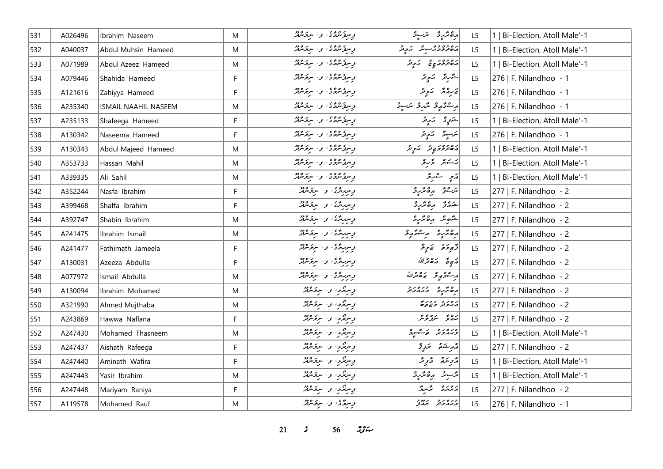| 531 | A026496 | Ibrahim Naseem              | M  | پس گرگرگان او سرگرماند     | رە ئرىر ئىسر                          | L <sub>5</sub> | 1   Bi-Election, Atoll Male'-1 |
|-----|---------|-----------------------------|----|----------------------------|---------------------------------------|----------------|--------------------------------|
| 532 | A040037 | Abdul Muhsin Hameed         | M  | د سرگاه گاه د سرگاه در     | ره وه وه مشهد بروتر                   | L5             | 1   Bi-Election, Atoll Male'-1 |
| 533 | A071989 | Abdul Azeez Hameed          | M  | پرسوگرگونگور سرکرمور       | رەدورىپى كېچىد                        | L <sub>5</sub> | 1   Bi-Election, Atoll Male'-1 |
| 534 | A079446 | Shahida Hameed              | F. | وسرو عرفری، وسیر مرکز میرو | شَرىرَ بَرْدِيرَ                      | L5             | 276   F. Nilandhoo - 1         |
| 535 | A121616 | Zahiyya Hameed              | F  | پس گوه کار سرکر میرو       | پر پروژ پر چر                         | L <sub>5</sub> | 276   F. Nilandhoo - 1         |
| 536 | A235340 | <b>ISMAIL NAAHIL NASEEM</b> | M  | پس گروگان او استخالگان     | ر قۇرۇ ئېرۇ ئېرىق                     | L5             | 276   F. Nilandhoo - 1         |
| 537 | A235133 | Shafeega Hameed             | F  | د سره شره د اسر د سره دو   | شَرْرٍ کَمْ کَمَ کِمْ ا               | L5             | 1   Bi-Election, Atoll Male'-1 |
| 538 | A130342 | Naseema Hameed              | F. | د سروره ده ده سروره دو     | يرَسودٌ - يَروِيْرُ -                 | L5             | 276   F. Nilandhoo - 1         |
| 539 | A130343 | Abdul Majeed Hameed         | M  | پرسرگاندگان و سرگاندگان    | ده دوم د پر د تر                      | L <sub>5</sub> | 1   Bi-Election, Atoll Male'-1 |
| 540 | A353733 | Hassan Mahil                | M  | پس گروگان او استر کردو     | يَاسَدُ عَلَيْ عَلَيْهِ عَلَيْهِ مِنْ | L <sub>5</sub> | 1   Bi-Election, Atoll Male'-1 |
| 541 | A339335 | Ali Sahil                   | M  | د سره شره د اسر د سره دو   | رَمِ سَمَرِ وَ                        | L5             | 1   Bi-Election, Atoll Male'-1 |
| 542 | A352244 | Nasfa Ibrahim               | F  | د سربرگری، و ، سرکرمرگر    | برسوش مرەمجرىرد                       | L5             | 277   F. Nilandhoo - 2         |
| 543 | A399468 | Shaffa Ibrahim              | F  | و سربردی و سروسرد          | شهرتز رەمزر                           | L <sub>5</sub> | 277   F. Nilandhoo - 2         |
| 544 | A392747 | Shabin Ibrahim              | M  | د سربرگری، و . سرکرمرگر    | شوهر رەئر                             | L5             | 277   F. Nilandhoo - 2         |
| 545 | A241475 | Ibrahim Ismail              | M  | و سرمردی و سرخترد          | رە ئەبە ئەسە ئەر                      | L5             | 277   F. Nilandhoo - 2         |
| 546 | A241477 | Fathimath Jameela           | F  | د سربردی و سروسرد          | دُّەدە ئەدٍ دُّ                       | L5             | 277   F. Nilandhoo - 2         |
| 547 | A130031 | Azeeza Abdulla              | F. | پسربردگان او سرکاندگان     | أَرَسِيٌّ رَصْحَرْاللَّهُ             | L5             | 277   F. Nilandhoo - 2         |
| 548 | A077972 | Ismail Abdulla              | M  | د سر پر د . سر د مرد       | أرعوهم والله                          | L <sub>5</sub> | 277   F. Nilandhoo - 2         |
| 549 | A130094 | Ibrahim Mohamed             | M  | ویرنگردا و ایروکلیم        | دە ئەرەرد                             | L <sub>5</sub> | 277   F. Nilandhoo - 2         |
| 550 | A321990 | Ahmed Mujthaba              | M  | اړسرندو، واسرندند          | ر ه ر د د د در و<br>مدر د د د د ه     | L <sub>5</sub> | 277   F. Nilandhoo - 2         |
| 551 | A243869 | Hawwa Naflana               | F. | ویرنگو، و ایرځنګټر         | رەپ ئوۋىگە                            | L5             | 277   F. Nilandhoo - 2         |
| 552 | A247430 | Mohamed Thasneem            | M  | ویرنگو، و ایرځنګټر         | ورەرو رەسور                           | L <sub>5</sub> | 1   Bi-Election, Atoll Male'-1 |
| 553 | A247437 | Aishath Rafeega             | F. | ویرنگویا و الریکنگه        | مەم ئىستىمى ئىستىرىتى                 | L5             | 277   F. Nilandhoo - 2         |
| 554 | A247440 | Aminath Wafira              | F  | ویرنگو، و ایرځنګټر         | رمح قرير                              | L5             | 1   Bi-Election, Atoll Male'-1 |
| 555 | A247443 | Yasir Ibrahim               | M  | ویبرندو، و. سرقرمرټر       | پژسويز به هنگريز                      | L5             | 1   Bi-Election, Atoll Male'-1 |
| 556 | A247448 | Mariyam Raniya              | F  | ويبرندو، او، البرندندند    | دەرە ئەر                              | L5             | 277   F. Nilandhoo - 2         |
| 557 | A119578 | Mohamed Rauf                | M  | وببرهمى والبرومين          | כנסנכ נחבר<br>כמהכנה מהצ              | L5             | 276   F. Nilandhoo - 1         |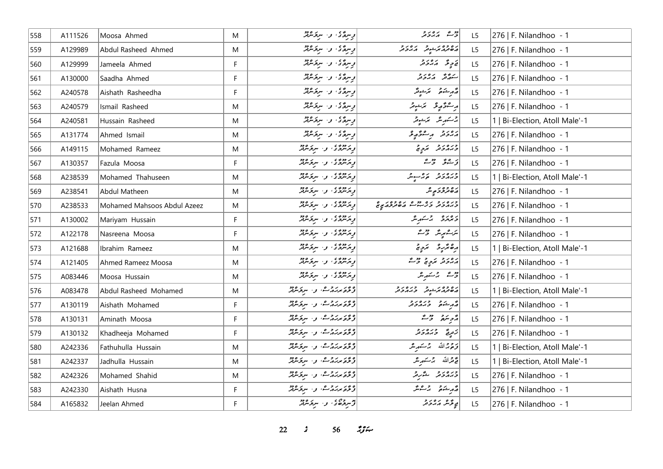| 558 | A111526 | Moosa Ahmed                 | M           | د سرگانگان و اسر پر شرکتر                | وقت كەردىر                                                | L <sub>5</sub> | 276   F. Nilandhoo - 1         |
|-----|---------|-----------------------------|-------------|------------------------------------------|-----------------------------------------------------------|----------------|--------------------------------|
| 559 | A129989 | Abdul Rasheed Ahmed         | M           | وسرة ي، وسير سرة مريد                    | ده وه مرسوم ده د ور                                       | L <sub>5</sub> | 276   F. Nilandhoo - 1         |
| 560 | A129999 | Jameela Ahmed               | F           | وسرهمي، وسيروهيند                        | ق ح ع حمد المراجع                                         | L <sub>5</sub> | 276   F. Nilandhoo - 1         |
| 561 | A130000 | Saadha Ahmed                | $\mathsf F$ | وسره ی و سرنوموټر                        | سەھەر ئەرەبەر                                             | L5             | 276   F. Nilandhoo - 1         |
| 562 | A240578 | Aishath Rasheedha           | F           | پرېدگان واستومبرټر                       | مەر ھەتمى سىم سىر ئىگە                                    | L <sub>5</sub> | 276   F. Nilandhoo - 1         |
| 563 | A240579 | Ismail Rasheed              | M           | وسرة ي، و- سرقرمريز                      | أبر سائر موقع محرشوند                                     | L5             | 276   F. Nilandhoo - 1         |
| 564 | A240581 | Hussain Rasheed             | M           | وسرة في الاسترامين                       | 2سكىرىشى مۇھىيىتى                                         | L5             | 1   Bi-Election, Atoll Male'-1 |
| 565 | A131774 | Ahmed Ismail                | M           | وسرة دار سرخ شرقه                        | رەرە بەسە ئەر                                             | L <sub>5</sub> | 276   F. Nilandhoo - 1         |
| 566 | A149115 | Mohamed Rameez              | M           | در دوه ، د سرو مود                       | درور د برد د                                              | L <sub>5</sub> | 276   F. Nilandhoo - 1         |
| 567 | A130357 | Fazula Moosa                | F           | د پروژه و سرگرمور                        | زیوی ژبے                                                  | L <sub>5</sub> | 276   F. Nilandhoo - 1         |
| 568 | A238539 | Mohamed Thahuseen           | M           | د پروه ی و . سروکرد                      | دره د د ده سورتر<br>  د بربرد تر مرگ                      | L <sub>5</sub> | 1   Bi-Election, Atoll Male'-1 |
| 569 | A238541 | Abdul Matheen               | M           | پر دوه ی<br>  پر سرگاری او ۱۰ سرگر سرگار | رە دەر<br>  ئەھىرىگە دېرىش                                | L <sub>5</sub> | 276   F. Nilandhoo - 1         |
| 570 | A238533 | Mohamed Mahsoos Abdul Azeez | M           | در دوه ، د سرو مود                       | כנסנד נס מס נסדסנ ס                                       | L <sub>5</sub> | 276   F. Nilandhoo - 1         |
| 571 | A130002 | Mariyam Hussain             | F           | د دوه ، د سرو ودو                        | د مردو بر شهر شر                                          | L5             | 276   F. Nilandhoo - 1         |
| 572 | A122178 | Nasreena Moosa              | F           | پر دوه ، په سربر ۹۶۵                     | يتر شمېر پنگ د ده شگ                                      | L <sub>5</sub> | 276   F. Nilandhoo - 1         |
| 573 | A121688 | Ibrahim Rameez              | M           | د «و»، د سرکرمه                          | دەندىرو ئەدى                                              | L5             | 1   Bi-Election, Atoll Male'-1 |
| 574 | A121405 | Ahmed Rameez Moosa          | M           | د پروه ، د سرکرمند                       | رور و برونج وقت                                           | L <sub>5</sub> | 276   F. Nilandhoo - 1         |
| 575 | A083446 | Moosa Hussain               | M           | پر دوره ، بن سروره دو                    | ج شهر شهر شر                                              | L <sub>5</sub> | 276   F. Nilandhoo - 1         |
| 576 | A083478 | Abdul Rasheed Mohamed       | M           | <i>وغر برزو</i> م، واسترومه              | ره وه برشوتر المربر در د<br>  پره تر پر شوتر المربر تر تر | L5             | 1   Bi-Election, Atoll Male'-1 |
| 577 | A130119 | Aishath Mohamed             | F           | د ځو مرکزه شالو اسرخ مرکز                |                                                           | L <sub>5</sub> | 276   F. Nilandhoo - 1         |
| 578 | A130131 | Aminath Moosa               | F           | ویر روے، وسیرویز                         | أأزمر معنى والمحمد                                        | L5             | 276   F. Nilandhoo - 1         |
| 579 | A130132 | Khadheeja Mohamed           | F           | <i>ویمن دو</i> ے، بی سروس                | زَمِرِيحَ دُبَرُودَرْ                                     | L <sub>5</sub> | 276   F. Nilandhoo - 1         |
| 580 | A242336 | Fathuhulla Hussain          | M           | ویر روم، وسرومه                          | ترة جرالله برستهر عر                                      | L5             | 1   Bi-Election, Atoll Male'-1 |
| 581 | A242337 | Jadhulla Hussain            | M           | <i>ویمن دو</i> ے، بی سروس                | قَوْقَرَاللّهُ بِرْسَمَهِ مِرْ                            | L5             | 1   Bi-Election, Atoll Male'-1 |
| 582 | A242326 | Mohamed Shahid              | M           | و در روف، و البرده دو                    | ورەرو ئەرە                                                | L5             | 276   F. Nilandhoo - 1         |
| 583 | A242330 | Aishath Husna               | F           | ویخونمدروے، و، سربرماند                  | قەربىئەتى برگەنگر                                         | L <sub>5</sub> | 276   F. Nilandhoo - 1         |
| 584 | A165832 | Jeelan Ahmed                | F           | توسره ده ده سرکر مورد                    | م <sub>و</sub> تۇنى <i>ر مەددى</i> ر                      | L5             | 276   F. Nilandhoo - 1         |

**22** *s* **56** *n***<sub>3</sub>**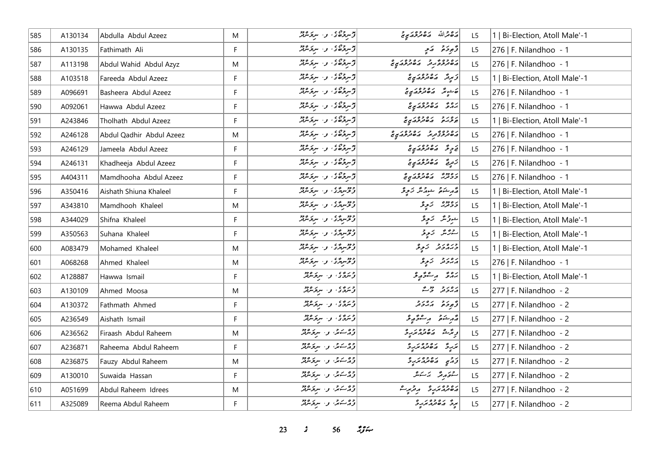| 585 | A130134 | Abdulla Abdul Azeez      | M  | اپو وہ ہ<br>اوسروہ <sub>کا ک</sub> ہ سروسربر       | رە والله   رە وە <i>رى</i> ج                 | L5             | 1   Bi-Election, Atoll Male'-1 |
|-----|---------|--------------------------|----|----------------------------------------------------|----------------------------------------------|----------------|--------------------------------|
| 586 | A130135 | Fathimath Ali            | F  | پر دە، باركان                                      | د پوځنو په کړې                               | L <sub>5</sub> | 276   F. Nilandhoo - 1         |
| 587 | A113198 | Abdul Wahid Abdul Azyz   | M  | المسروه ي . و . سروسرفر                            | ره وه ده ده ده ده ده م                       | L5             | 276   F. Nilandhoo - 1         |
| 588 | A103518 | Fareeda Abdul Azeez      | F  | از سروه ی و سروسربر                                | ئى پەنگە ئەھەم بولىقى تى                     | L <sub>5</sub> | 1   Bi-Election, Atoll Male'-1 |
| 589 | A096691 | Basheera Abdul Azeez     | F  | المسروه ي - والمسرور ودو                           | خارش مان ده ده در د                          | L <sub>5</sub> | 276   F. Nilandhoo - 1         |
| 590 | A092061 | Hawwa Abdul Azeez        | F  | المسروه ي المسرور المسرور وجود                     | ره ده ده ده ره<br>  پروگر در هنرمروکړي       | L5             | 276   F. Nilandhoo - 1         |
| 591 | A243846 | Tholhath Abdul Azeez     | F  | د روه ، و الروه                                    | رور در دروور و<br>  بوخه در ماه مرحمد ی      | L5             | 1   Bi-Election, Atoll Male'-1 |
| 592 | A246128 | Abdul Qadhir Abdul Azeez | M  | د سروه ی و سروسرور                                 | د ۱۶۶۵ د ۱۶۶۵ مخ                             | L5             | 276   F. Nilandhoo - 1         |
| 593 | A246129 | Jameela Abdul Azeez      | F  | المسروه ي المسرور المسرور وجود                     | خ چ قد صدر محمد من ح                         | L5             | 276   F. Nilandhoo - 1         |
| 594 | A246131 | Khadheeja Abdul Azeez    | F. | توسروه ی و سروسربر                                 | زېږمځ پره ده پر د                            | L <sub>5</sub> | 276   F. Nilandhoo - 1         |
| 595 | A404311 | Mamdhooha Abdul Azeez    | F  | د ده ، و سروسرد                                    | ره دوه ده وه در ه                            | L5             | 276   F. Nilandhoo - 1         |
| 596 | A350416 | Aishath Shiuna Khaleel   | F. | دومبردی و سردمد                                    | در شهر شهر مگر زیرو<br>  در شهر شهر مگر زیرو | L <sub>5</sub> | 1   Bi-Election, Atoll Male'-1 |
| 597 | A343810 | Mamdhooh Khaleel         | M  | وَفَرْسِرْدُى ۚ وَ ۚ سِرْدَسْرَدْ.                 | دەپىرە تەربى                                 | L <sub>5</sub> | 1   Bi-Election, Atoll Male'-1 |
| 598 | A344029 | Shifna Khaleel           | F. | ووسروی و سروسر                                     | جوثر كولى                                    | L <sub>5</sub> | 1   Bi-Election, Atoll Male'-1 |
| 599 | A350563 | Suhana Khaleel           | F  | در سرگری و سرگرمزنگر                               | التارُسُ ارَبِّرِوْ                          | L5             | 1   Bi-Election, Atoll Male'-1 |
| 600 | A083479 | Mohamed Khaleel          | M  | دومبرگری، و استخانگر                               | ورەرو زېږو                                   | L <sub>5</sub> | 1   Bi-Election, Atoll Male'-1 |
| 601 | A068268 | Ahmed Khaleel            | M  | دوم پری او است میتراند<br>  و څسرمرگی او استخداملر | <i>ړور د زوی</i>                             | L5             | 276   F. Nilandhoo - 1         |
| 602 | A128887 | Hawwa Ismail             | F  | ۇتىرگەمى بولىسىرىكىرلىر                            | بروژ پرےژ <sub>و</sub> پو                    | L <sub>5</sub> | 1   Bi-Election, Atoll Male'-1 |
| 603 | A130109 | Ahmed Moosa              | M  | وروی کی میکرده دو                                  | پرور دورم                                    | L5             | $ 277 $ F. Nilandhoo - 2       |
| 604 | A130372 | Fathmath Ahmed           | F  | ویروی و سرقرمرفر                                   | د بر د بره بر د                              | L <sub>5</sub> | 277   F. Nilandhoo - 2         |
| 605 | A236549 | Aishath Ismail           | F  | وروی کی سروس                                       | أقدم شوقه وستتحويك                           | L <sub>5</sub> | 277   F. Nilandhoo - 2         |
| 606 | A236562 | Firaash Abdul Raheem     | M  | وه کړې و سروس                                      | دِ تَرْ شَه مَ مَ مَ مِرْ بِرِ وَ            | L <sub>5</sub> | 277   F. Nilandhoo - 2         |
| 607 | A236871 | Raheema Abdul Raheem     | F  | دەسىمى ئەسىرىمىدە                                  | برگ دەمدەرە                                  | L <sub>5</sub> | 277   F. Nilandhoo - 2         |
| 608 | A236875 | Fauzy Abdul Raheem       | M  | دەكتەر، بەر سېۋىترلىر                              |                                              | L5             | 277   F. Nilandhoo - 2         |
| 609 | A130010 | Suwaida Hassan           | F. | دەكتەر، بەر سېۋىترلىر                              | شقەرقە - ئەسكىش                              | L5             | 277   F. Nilandhoo - 2         |
| 610 | A051699 | Abdul Raheem Idrees      | M  | وەسەتى، وسىرى ھەد                                  | رەۋە ئەركىرى ئىس ئىس                         | L5             | 277   F. Nilandhoo - 2         |
| 611 | A325089 | Reema Abdul Raheem       | F. | دەسىمى ئەسىر ئىبر                                  | برگ ره ده بر ره                              | L5             | 277   F. Nilandhoo - 2         |

**23** *s* **56** *n***<sub>3</sub>**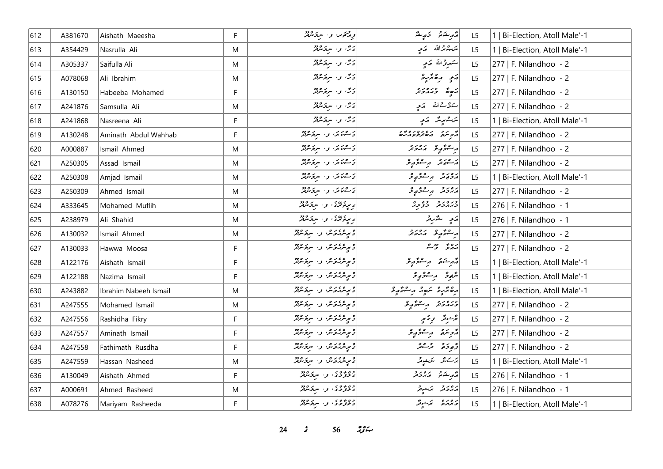| 612 | A381670 | Aishath Maeesha       | F.        | ودهممن والبرقراني                                       | أثار منكاتها التحاريب عثر                            | L5             | 1   Bi-Election, Atoll Male'-1 |
|-----|---------|-----------------------|-----------|---------------------------------------------------------|------------------------------------------------------|----------------|--------------------------------|
| 613 | A354429 | Nasrulla Ali          | ${\sf M}$ | دی. و . سروسرپر                                         | ىترجىترالله كمتحي                                    | L5             | 1   Bi-Election, Atoll Male'-1 |
| 614 | A305337 | Saifulla Ali          | M         | دی، و . سروسربر                                         | سَمرِرْ اللّهِ صَعِي                                 | L5             | 277   F. Nilandhoo - 2         |
| 615 | A078068 | Ali Ibrahim           | M         | دُمَّ، وسيرتمبر                                         | ړَ په پره پر په                                      | L5             | 277   F. Nilandhoo - 2         |
| 616 | A130150 | Habeeba Mohamed       | F         | دُرٌ، و سرگرمرکز                                        | ره وره دو                                            | L <sub>5</sub> | 277   F. Nilandhoo - 2         |
| 617 | A241876 | Samsulla Ali          | ${\sf M}$ | ئۇڭ بو، سىرتىرلىق                                       | يحوث الله كه محيه                                    | L5             | 277   F. Nilandhoo - 2         |
| 618 | A241868 | Nasreena Ali          | F.        | ئۇڭ بى سىر ئىشلار                                       | ىكەسىم كەر                                           | L <sub>5</sub> | 1   Bi-Election, Atoll Male'-1 |
| 619 | A130248 | Aminath Abdul Wahhab  | F.        | ئەسىمىتى، ئەسىر ئەھەم                                   | د بر د بره ده بره د و<br>  د د سره د م ه تر و د بر ه | L5             | 277   F. Nilandhoo - 2         |
| 620 | A000887 | Ismail Ahmed          | M         | كالمحاسكة المستراس والمحارثة                            | ر عۇرپى ئەرر                                         | L5             | 277   F. Nilandhoo - 2         |
| 621 | A250305 | Assad Ismail          | M         | كەنتىمىگە بەر سرپۇش بىر                                 | پر ۱۳ در مرگ می شود.                                 | L5             | 277   F. Nilandhoo - 2         |
| 622 | A250308 | Amjad Ismail          | M         | كالمحاسبين والبرودو                                     | دەرو بەسىۋە بى                                       | L5             | 1   Bi-Election, Atoll Male'-1 |
| 623 | A250309 | Ahmed Ismail          | M         | ئەسىمىتىكى بەر ئەيدىن ئە                                | دەرە بەسۇر ئو                                        | L5             | 277   F. Nilandhoo - 2         |
| 624 | A333645 | Mohamed Muflih        | ${\sf M}$ | د بره برد ، و ، سرتر ودو                                | ورورو ووو                                            | L <sub>5</sub> | 276   F. Nilandhoo - 1         |
| 625 | A238979 | Ali Shahid            | M         | د بره برد ، و ، سرو برد .<br>  د بره برد ، و ، سرو برند | رَمِي شَرْرِتْر                                      | L <sub>5</sub> | 276   F. Nilandhoo - 1         |
| 626 | A130032 | Ismail Ahmed          | ${\sf M}$ | د پرسربروس و استرسرفر                                   | ر صوّر و د در د                                      | L5             | 277   F. Nilandhoo - 2         |
| 627 | A130033 | Hawwa Moosa           | F.        | و پرترکزوش و استخشانگر                                  | پروژ وژځ                                             | L5             | 277   F. Nilandhoo - 2         |
| 628 | A122176 | Aishath Ismail        | F.        | د پرېش وي سرچس پر                                       | أقهر شئعتي ومستحرمه فلتحض                            | L <sub>5</sub> | 1   Bi-Election, Atoll Male'-1 |
| 629 | A122188 | Nazima Ismail         | F         | و پر <i>مرکز کرد و به مرکز مر</i> کز                    | شَعِرَة مِ سَرَّمٍ وَ                                | L5             | 1   Bi-Election, Atoll Male'-1 |
| 630 | A243882 | Ibrahim Nabeeh Ismail | ${\sf M}$ | اء موسر <i>کرده شو و . سرخ سرق</i> ر                    | أرەمزىر سەر رەمز                                     | L5             | 1   Bi-Election, Atoll Male'-1 |
| 631 | A247555 | Mohamed Ismail        | M         | د پرسربروس و استرسرفر                                   | ورەرو بەسۇر ئو                                       | L <sub>5</sub> | 277   F. Nilandhoo - 2         |
| 632 | A247556 | Rashidha Fikry        | F.        | د پرېش کويل لو، سربو پېړند                              | برّحود ويتمي                                         | L5             | 277   F. Nilandhoo - 2         |
| 633 | A247557 | Aminath Ismail        | F         | و پرترکروش و البربر وجود                                | أقريتهم وبسقوقة                                      | L <sub>5</sub> | 277   F. Nilandhoo - 2         |
| 634 | A247558 | Fathimath Rusdha      | F         | و مەركەش و سرگرىقلا                                     | تو پر چې په پېښتونکر                                 | L5             | 277   F. Nilandhoo - 2         |
| 635 | A247559 | Hassan Nasheed        | M         | و پرپاژه کل و استخلافه                                  | پرسكى مىتىدىتى                                       | L5             | 1   Bi-Election, Atoll Male'-1 |
| 636 | A130049 | Aishath Ahmed         | F         | ده ده د .<br>  د تروگان و . سرپرسرټر                    | أقهر مشكوه المركز وراد                               | L5             | 276   F. Nilandhoo - 1         |
| 637 | A000691 | Ahmed Rasheed         | ${\sf M}$ | دەۋە ئەس سىر ئىرود                                      | پروتر برشیر                                          | L <sub>5</sub> | 276   F. Nilandhoo - 1         |
| 638 | A078276 | Mariyam Rasheeda      | F.        | وه وه ه ، .<br>  د تروگان او ا سرتوسرلمر                | دەرە - ئەجەنگە                                       | L <sub>5</sub> | 1   Bi-Election, Atoll Male'-1 |

**24** *s* 56 *if***<sub>s</sub>**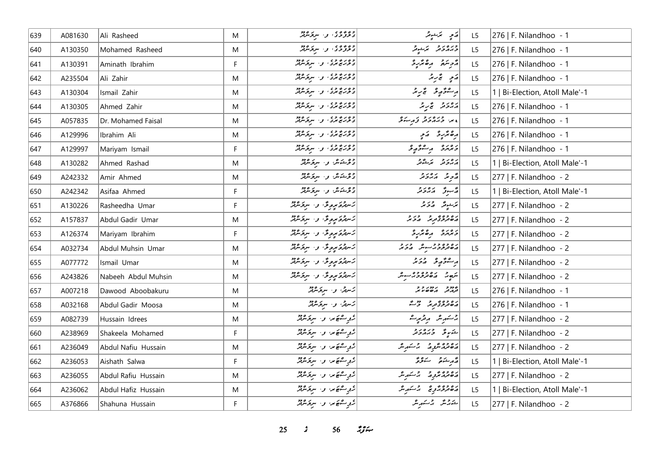| 639 | A081630 | Ali Rasheed         | M           | وه وه ه ع السر المستخدم العربي.<br>  د خرگر خري المسلم المستخدم المستخدم المستخدم المستخدم الله الله | ړی پرېدوگر                            | L <sub>5</sub> | 276   F. Nilandhoo - 1         |
|-----|---------|---------------------|-------------|------------------------------------------------------------------------------------------------------|---------------------------------------|----------------|--------------------------------|
| 640 | A130350 | Mohamed Rasheed     | M           | وه وه ه ،<br>  د نوتون و ، سرنوس                                                                     | ورەرو برىيوتر                         | L <sub>5</sub> | 276   F. Nilandhoo - 1         |
| 641 | A130391 | Aminath Ibrahim     | F           | وہ رے وہ<br>  د ترریخ مرد ، او ، اسرترسربر                                                           | أرجع الله المعالم المعالم المعالم الم | L5             | 276   F. Nilandhoo - 1         |
| 642 | A235504 | Ali Zahir           | M           | وہ رہ وہ<br>  د ترریخ بری کی سرترس                                                                   | رَمَدِ تَجْرَبَرُ                     | L5             | 276   F. Nilandhoo - 1         |
| 643 | A130304 | Ismail Zahir        | M           | وہ رہ وہ<br>  د ترریخ بری کی سرترس                                                                   | رەشقەق ئىرىتى                         | L <sub>5</sub> | 1   Bi-Election, Atoll Male'-1 |
| 644 | A130305 | Ahmed Zahir         | M           | وہ رہ وہ<br>  د ترریخ بری او اسرترس                                                                  | دەر د ئى ئى                           | L <sub>5</sub> | 276   F. Nilandhoo - 1         |
| 645 | A057835 | Dr. Mohamed Faisal  | M           | وہ رہ وہ<br>  د ترریخ بری کو اسرپرسربر                                                               | ، درورو در دو                         | L5             | 276   F. Nilandhoo - 1         |
| 646 | A129996 | Ibrahim Ali         | M           | وہ رہ وہ<br>  د ترریخ بری او اسرترس                                                                  | دەنزىر ئىي                            | L <sub>5</sub> | 276   F. Nilandhoo - 1         |
| 647 | A129997 | Mariyam Ismail      | F           | وه بره وي.<br>  د تربری برد او ا سرتوسربر                                                            | دەرە بەشۇر ئو                         | L <sub>5</sub> | 276   F. Nilandhoo - 1         |
| 648 | A130282 | Ahmed Rashad        | M           | دوشكاش والسركانين                                                                                    | پروتر برگرگر                          | L <sub>5</sub> | 1   Bi-Election, Atoll Male'-1 |
| 649 | A242332 | Amir Ahmed          | M           | د و شک <i>ش و ا سرنگرفته</i>                                                                         | روبه در در د                          | L <sub>5</sub> | 277   F. Nilandhoo - 2         |
| 650 | A242342 | Asifaa Ahmed        | F           | د ویک شرکت او در سربر مورد                                                                           | ئەسىرق ئەبرىرى                        | L5             | 1   Bi-Election, Atoll Male'-1 |
| 651 | A130226 | Rasheedha Umar      | F           | كەھەكم بولۇق بەر سرىكرىلار                                                                           | يَرَجُونَ = 12 كَرْ يَرْ              | L <sub>5</sub> | 277   F. Nilandhoo - 2         |
| 652 | A157837 | Abdul Gadir Umar    | M           | كەرگە ئوپوڭ ن سرىگەنلە                                                                               | دەۋە ئوبۇ ھەم                         | L5             | 277   F. Nilandhoo - 2         |
| 653 | A126374 | Mariyam Ibrahim     | F.          | كالتركوكوريونك والمسرقر مردقته                                                                       | د وره د ه ټربرو                       | L <sub>5</sub> | 277   F. Nilandhoo - 2         |
| 654 | A032734 | Abdul Muhsin Umar   | M           | كالتذكر مربوق والترفر فرقاني                                                                         | رەمەدە دىسى ھەدىر                     | L5             | 277   F. Nilandhoo - 2         |
| 655 | A077772 | Ismail Umar         | M           | كسرة كالموبوقة الاسترار المرتد                                                                       | ر ھۇرپى ئەدىر                         | L5             | 277   F. Nilandhoo - 2         |
| 656 | A243826 | Nabeeh Abdul Muhsin | M           | كالترة مروق والبرودير                                                                                | شهر ده ده ده سور                      | L <sub>5</sub> | 277   F. Nilandhoo - 2         |
| 657 | A007218 | Dawood Aboobakuru   | M           | كسرنس والسرقر مريم                                                                                   | 22/32/2324                            | L <sub>5</sub> | 276   F. Nilandhoo - 1         |
| 658 | A032168 | Abdul Gadir Moosa   | M           | كەس ئى سىرىكىنىڭ                                                                                     | دە دە يەر دە دە ئە                    | L <sub>5</sub> | 276   F. Nilandhoo - 1         |
| 659 | A082739 | Hussain Idrees      | M           | ژوپستھیں اور سرپر مربر                                                                               | پرستمبر شہر مریز میرے                 | L5             | 277   F. Nilandhoo - 2         |
| 660 | A238969 | Shakeela Mohamed    | F           | ژبې سقه تنگه او ۱۰ سرچ شرفتر                                                                         | شەرقى ئەرەر ئ                         | L <sub>5</sub> | 277   F. Nilandhoo - 2         |
| 661 | A236049 | Abdul Nafiu Hussain | M           | ژېږ سفه و سربر مرد ل                                                                                 | دەۋەشرە ئەسەر                         | L5             | 277   F. Nilandhoo - 2         |
| 662 | A236053 | Aishath Salwa       | $\mathsf F$ | روح علا والبرقر مريح مرقد                                                                            | د مشهور سنور                          | L5             | 1   Bi-Election, Atoll Male'-1 |
| 663 | A236055 | Abdul Rafiu Hussain | M           | روس کامر، وسیر مردم                                                                                  | دەدە ئەرج بىر شەر ش                   | L5             | 277   F. Nilandhoo - 2         |
| 664 | A236062 | Abdul Hafiz Hussain | M           | روپرے میں وسیر مرکز مرکز                                                                             | رەۋە ئۇيۇرقى باشكىرىش                 | L5             | 1   Bi-Election, Atoll Male'-1 |
| 665 | A376866 | Shahuna Hussain     | F           | روپە ھەير، بەر سرىترىش                                                                               | شەرجى رقىستىرىش                       | L5             | 277   F. Nilandhoo - 2         |

*s*  $56$  *n***<sub>3</sub>** *n***<sub>3</sub>** *i*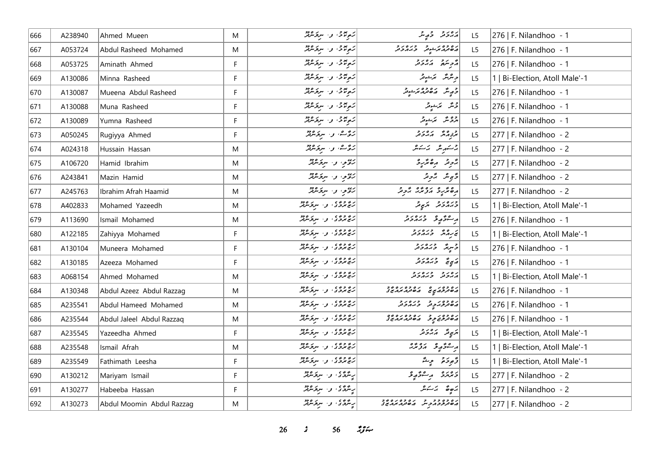| 666 | A238940 | Ahmed Mueen               | M           | رَمِیْنَ وَاسِعَاهِ مِنْ       | دەروھە ئەھمىر                                                   | L <sub>5</sub> | 276   F. Nilandhoo - 1         |
|-----|---------|---------------------------|-------------|--------------------------------|-----------------------------------------------------------------|----------------|--------------------------------|
| 667 | A053724 | Abdul Rasheed Mohamed     | M           | ریوندی و سروکردو               | د ۱۵۶۵ د مربور د ۲۵۷۵ د و                                       | L5             | 276   F. Nilandhoo - 1         |
| 668 | A053725 | Aminath Ahmed             | F           | رَمِرْسُ وَاسِرَمْهُمْ         | د پره د بره بر د                                                | L5             | 276   F. Nilandhoo - 1         |
| 669 | A130086 | Minna Rasheed             | F           | ریده، و سرومین                 | حریثر بر مینویر<br>  حریثر بر مینویر                            | L5             | 1   Bi-Election, Atoll Male'-1 |
| 670 | A130087 | Mueena Abdul Rasheed      | F           | رَمِرْتَمْنَ وَ سِرْحَمْدَتْرٌ | د پر می ده ده د برد د                                           | L5             | 276   F. Nilandhoo - 1         |
| 671 | A130088 | Muna Rasheed              | F           | زیرموی و سروموړ                | جې تر تر تو تر                                                  | L5             | 276   F. Nilandhoo - 1         |
| 672 | A130089 | Yumna Rasheed             | $\mathsf F$ | رَمِرْتُمْنٌ وَ سِرْقَاشِيْرٌ  | أووعر بمسور                                                     | L5             | 276   F. Nilandhoo - 1         |
| 673 | A050245 | Rugiyya Ahmed             | F           | رَحْمَتْ، وَ سِرْحَمْتُوْتُرْ  | حرق مدور                                                        | L5             | $ 277 $ F. Nilandhoo - 2       |
| 674 | A024318 | Hussain Hassan            | M           | رَحْمَتْ، و. سِرْحَسْنْتْرُ    | چەسىر سىر ئەسىر                                                 | L <sub>5</sub> | 277   F. Nilandhoo - 2         |
| 675 | A106720 | Hamid Ibrahim             | M           | ر» د سرو دو                    | پژوند اره ټربرو                                                 | L5             | $ 277 $ F. Nilandhoo - 2       |
| 676 | A243841 | Mazin Hamid               | M           | ریمو، و سروکرد                 | دَّى عَلَى مَدَّرَ مِّدْ                                        | L5             | 277   F. Nilandhoo - 2         |
| 677 | A245763 | Ibrahim Afrah Haamid      | M           | ریمو، و سرق مربر               | <br>  دهتر د و برو بر بردند                                     | L5             | 277   F. Nilandhoo - 2         |
| 678 | A402833 | Mohamed Yazeedh           | M           | ره ووی و . سروسرد              | دره د د سرپړ تر                                                 | L5             | 1   Bi-Election, Atoll Male'-1 |
| 679 | A113690 | Ismail Mohamed            | M           | رو و د ، و ، سرو وود           | ر عوصو ورەرو                                                    | L5             | 276   F. Nilandhoo - 1         |
| 680 | A122185 | Zahiyya Mohamed           | F           | روده، والبرودود                | پروژ ورورو                                                      | L5             | 1   Bi-Election, Atoll Male'-1 |
| 681 | A130104 | Muneera Mohamed           | F           | ر و و و ، و ، سرو وود          | د سر پژوره د د                                                  | L5             | 276   F. Nilandhoo - 1         |
| 682 | A130185 | Azeeza Mohamed            | F           | ر و و و ، او ا اسرو مود        | مَيِيحٌ وَيَرْمُ وَمَرْ                                         | L <sub>5</sub> | 276   F. Nilandhoo - 1         |
| 683 | A068154 | Ahmed Mohamed             | M           | رچ وي پېښتونونو                | د ۱۵ د ور ۵ د و                                                 | L <sub>5</sub> | 1   Bi-Election, Atoll Male'-1 |
| 684 | A130348 | Abdul Azeez Abdul Razzag  | M           | رپوری پی سرکردی                | בפרים מיינים מיינים<br>  המיינים המיינים המיינים                | L <sub>5</sub> | 276   F. Nilandhoo - 1         |
| 685 | A235541 | Abdul Hameed Mohamed      | M           | رووه ده و. سروه دو             | ره ده ر د در در د                                               | L <sub>5</sub> | 276   F. Nilandhoo - 1         |
| 686 | A235544 | Abdul Jaleel Abdul Razzaq | M           | رو ووی به سرو وود              | ۱۵۶۵ - د ۱۵۶۵ مورد وه<br>  پره تر تر تر تر می تر بر تر بر تر تر | L5             | 276   F. Nilandhoo - 1         |
| 687 | A235545 | Yazeedha Ahmed            | F           | رەپەرە، بەسكەن دە              | پرېږ ته پر پر پر د                                              | L <sub>5</sub> | 1   Bi-Election, Atoll Male'-1 |
| 688 | A235548 | Ismail Afrah              | M           | رەپروى بى سېۋىترلىر            | ر عۇرپى دۇمۇر                                                   | L5             | 1   Bi-Election, Atoll Male'-1 |
| 689 | A235549 | Fathimath Leesha          | F           | رە دە، بەر سېزىللە             | وَجرِدَةٌ وَإِيشٌ                                               | L5             | 1   Bi-Election, Atoll Male'-1 |
| 690 | A130212 | Mariyam Ismail            | F           | پەتتۇئ نەسىر ئەتتى             | دەرە مەئەر                                                      | L <sub>5</sub> | 277   F. Nilandhoo - 2         |
| 691 | A130277 | Habeeba Hassan            | F           | پەتتۇئ نەسىر تەرەپر            | يَهِ صَحَبَ يَرْمَشْ                                            | L5             | 277   F. Nilandhoo - 2         |
| 692 | A130273 | Abdul Moomin Abdul Razzag | M           | پەنگەڭ نەسىر ئارەتلەر          | מפימים כי מסיפים משירה<br>  המשתיכת כית המשתיבת הא              | L5             | $ 277 $ F. Nilandhoo - 2       |

*s* 56 *i***<sub>3</sub>** $\approx$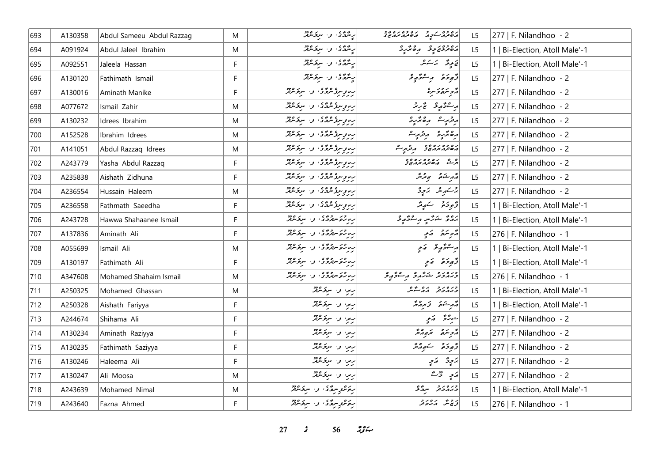| 693 | A130358 | Abdul Sameeu Abdul Razzag | M  | بریٹرڈی وسیروفیر                                    | גם כם גב"גם כם גם כביר<br>המינה ביקה" השינה בה בי | L5             | 277   F. Nilandhoo - 2         |
|-----|---------|---------------------------|----|-----------------------------------------------------|---------------------------------------------------|----------------|--------------------------------|
| 694 | A091924 | Abdul Jaleel Ibrahim      | M  | پر مرکزی و سربر مرکز                                | دەۋەنجۇ مەھكرىد                                   | L <sub>5</sub> | 1   Bi-Election, Atoll Male'-1 |
| 695 | A092551 | Jaleela Hassan            | F  | په ټرنگو کې سرچ شمکر                                |                                                   | L5             | 1   Bi-Election, Atoll Male'-1 |
| 696 | A130120 | Fathimath Ismail          | F  | ریٹرنگئ وسیر میں                                    | د پره په پره په پر                                | L5             | 277   F. Nilandhoo - 2         |
| 697 | A130016 | Aminath Manike            | F  | رووسومی می در سرومبرد                               |                                                   | L <sub>5</sub> | 277   F. Nilandhoo - 2         |
| 698 | A077672 | Ismail Zahir              | M  | ر، وسۇمۇمۇ، و. سرىمىڭ                               | ر شۇرچى ئىرىز                                     | L5             | 277   F. Nilandhoo - 2         |
| 699 | A130232 | Idrees Ibrahim            | M  | پروپوری همده و سروه د                               | ریزیرے رہ مریز د                                  | L5             | 277   F. Nilandhoo - 2         |
| 700 | A152528 | Ibrahim Idrees            | M  | ر، وسۇمۇمۇ، و. سرىمىڭ                               | رە ئۇرۇ بەترىرى                                   | L5             | 277   F. Nilandhoo - 2         |
| 701 | A141051 | Abdul Razzaq Idrees       | M  | ریوویوژنگردی، او استخانگرد                          | ره ده ده د د د مرسمه                              | L5             | 277   F. Nilandhoo - 2         |
| 702 | A243779 | Yasha Abdul Razzaq        | F. | ر، د سره عرمی، د. سرم عرمی                          | د ده ده ده ده و د<br>در شه ده مهر مردم و د        | L5             | 277   F. Nilandhoo - 2         |
| 703 | A235838 | Aishath Zidhuna           | F  | رووسۇمۇمۇ، بەسىر ئەدەر<br>  رىزىرلىرىگەنى بەسىر ئىس | رژمر شور ہے ترمگر                                 | L5             | 277   F. Nilandhoo - 2         |
| 704 | A236554 | Hussain Haleem            | M  | رىدۇ سۇ شۇي، بەر سرىگەنگە                           | جر سَمْرِ مَدْ جِرْدَةِ السَّارِيةِ وَ            | L5             | 277   F. Nilandhoo - 2         |
| 705 | A236558 | Fathmath Saeedha          | F  | پروپوسری ه پری و . سربر ۱۶۵                         | وَجوحَمْ سَهِيمٌ                                  | L5             | 1   Bi-Election, Atoll Male'-1 |
| 706 | A243728 | Hawwa Shahaanee Ismail    | F  | ربار و سروره و البرورود                             | پروژ ځرنګې رسونځ پرو                              | L5             | 1   Bi-Election, Atoll Male'-1 |
| 707 | A137836 | Aminath Ali               | F  | با برگە سەرگە ئەسىر ئەرە                            | مزحر سنتمر منظم                                   | L5             | 276   F. Nilandhoo - 1         |
| 708 | A055699 | Ismail Ali                | M  | را رحو سهروی او ا سروسهر                            | پرسموګوريو کمکمو                                  | L5             | 1   Bi-Election, Atoll Male'-1 |
| 709 | A130197 | Fathimath Ali             | F. | ریا رکھ سرگردی کی سرگر موثر                         | د څو خو په کړې                                    | L5             | 1   Bi-Election, Atoll Male'-1 |
| 710 | A347608 | Mohamed Shahaim Ismail    | M  | را روم مهرده و . سرومهر                             | ورەرو خەر ە مەھم ئ                                | L5             | 276   F. Nilandhoo - 1         |
| 711 | A250325 | Mohamed Ghassan           | M  | رین و سروکرد                                        | ورەرو رەپ                                         | L5             | 1   Bi-Election, Atoll Male'-1 |
| 712 | A250328 | Aishath Fariyya           | F  | رین و سرقرندند                                      | شهر مشترق و مرماند                                | L5             | 1   Bi-Election, Atoll Male'-1 |
| 713 | A244674 | Shihama Ali               | F. | ریزا وا سرکانگر                                     | جرئرمي كالمح                                      | L <sub>5</sub> | 277   F. Nilandhoo - 2         |
| 714 | A130234 | Aminath Raziyya           | F  | رین و سروکله                                        | أروسكو بمبرار                                     | L5             | 277   F. Nilandhoo - 2         |
| 715 | A130235 | Fathimath Saziyya         | F. | رین و- سرقرندنگ                                     | ژُهِ دَهُ سَمَعٍ رُهُ رَ                          | L <sub>5</sub> | 277   F. Nilandhoo - 2         |
| 716 | A130246 | Haleema Ali               | F  | ریزا وا سرندمده                                     | پر پڑھ کے پر                                      | L5             | 277   F. Nilandhoo - 2         |
| 717 | A130247 | Ali Moosa                 | M  | اریر، و- سرندمدین                                   | $23 \div 2$                                       | L5             | 277   F. Nilandhoo - 2         |
| 718 | A243639 | Mohamed Nimal             | M  | رۇش بېرىگى، بەسىر ئىبرىز                            | ورەرو سرگەمى                                      | L5             | 1   Bi-Election, Atoll Male'-1 |
| 719 | A243640 | Fazna Ahmed               | F. | رەھرىرىدەگە كەرسىدە دەھ                             | توسي مرورو                                        | L5             | 276   F. Nilandhoo - 1         |

**27** *s* **56** *n***<sub>3</sub>**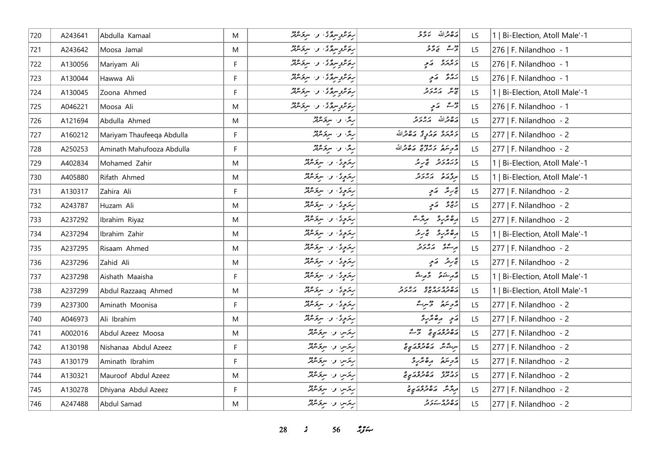| 720 | A243641 | Abdulla Kamaal            | M  | رەگروپىرەگى، بەر ئىرمەدە   | مَدْهِ مَرْاللّه يَدَوَّجْهِ                                                                           | L5             | 1   Bi-Election, Atoll Male'-1 |
|-----|---------|---------------------------|----|----------------------------|--------------------------------------------------------------------------------------------------------|----------------|--------------------------------|
| 721 | A243642 | Moosa Jamal               | M  | ر ئەھرىس ئىس بەر مەردە دە  | جزئے ۔ انے بڑ تو                                                                                       | L5             | 276   F. Nilandhoo - 1         |
| 722 | A130056 | Mariyam Ali               | F. | رەپرىدىگە: ئەسىر مەد       | رەرە كەير                                                                                              | L5             | 276   F. Nilandhoo - 1         |
| 723 | A130044 | Hawwa Ali                 | F  | رەكروپىرەكى، وسىرىرەدە     | برواق الأبوا                                                                                           | L <sub>5</sub> | 276   F. Nilandhoo - 1         |
| 724 | A130045 | Zoona Ahmed               | F. | بەھرىر سىدى، بەر سىز سىنىڭ |                                                                                                        | L5             | 1   Bi-Election, Atoll Male'-1 |
| 725 | A046221 | Moosa Ali                 | M  | رەمزىر سرگەن كى سرگەمدىنى  | روشہ ارتبو                                                                                             | L5             | 276   F. Nilandhoo - 1         |
| 726 | A121694 | Abdulla Ahmed             | M  | رگ و سرگرمین               | مَصْعَراللّه مَهْرَدَتْر                                                                               | L5             | 277   F. Nilandhoo - 2         |
| 727 | A160212 | Mariyam Thaufeeqa Abdulla | F. | روگا و ا سربۇشمېر          | د ه د ه مرد پرځ مرگانگه                                                                                | L5             | 277   F. Nilandhoo - 2         |
| 728 | A250253 | Aminath Mahufooza Abdulla | F  | رش و سرگرمینز              | أمر برد بره ده بره دالله                                                                               | L <sub>5</sub> | 277   F. Nilandhoo - 2         |
| 729 | A402834 | Mohamed Zahir             | M  | ریزوی و سرومبرد            | ورورو گرگر                                                                                             | L5             | 1   Bi-Election, Atoll Male'-1 |
| 730 | A405880 | Rifath Ahmed              | M  | ریزوی و سرومیند            | مروحده برورد                                                                                           | L5             | 1   Bi-Election, Atoll Male'-1 |
| 731 | A130317 | Zahira Ali                | F. | رېزوي، و، سرچشمېر          | تجربته ارَمٍ                                                                                           | L <sub>5</sub> | 277   F. Nilandhoo - 2         |
| 732 | A243787 | Huzam Ali                 | M  | رېزمونۍ، و. سرټرموټر       | رجع ومالمج                                                                                             | L <sub>5</sub> | 277   F. Nilandhoo - 2         |
| 733 | A237292 | Ibrahim Riyaz             | M  | ريزوي، و. سرقر عايش        | رە ئرىر ئىر ئىش                                                                                        | L <sub>5</sub> | 277   F. Nilandhoo - 2         |
| 734 | A237294 | Ibrahim Zahir             | M  | ر ټروپی، و . سرچسمبر       | رەپرىرو پى بر                                                                                          | L5             | 1   Bi-Election, Atoll Male'-1 |
| 735 | A237295 | Risaam Ahmed              | M  | ریزوی و سرویترنتر          | پرسگای پره پرو                                                                                         | L <sub>5</sub> | 277   F. Nilandhoo - 2         |
| 736 | A237296 | Zahid Ali                 | M  | ر ټرمونۍ و. سرنوموټر       | تجرير الأمي                                                                                            | L5             | 277   F. Nilandhoo - 2         |
| 737 | A237298 | Aishath Maaisha           | F. | ریزوی و سرقرمرتز           | أَيُّ مِنْ شَمْعٍ وَ أَمِنْ شَمْ                                                                       | L <sub>5</sub> | 1   Bi-Election, Atoll Male'-1 |
| 738 | A237299 | Abdul Razzaaq Ahmed       | M  | ریزیدی، و ا سربر موفقه     | גם כם גם מים גם גב<br>השנג גראי בי הגבינ                                                               | L5             | 1   Bi-Election, Atoll Male'-1 |
| 739 | A237300 | Aminath Moonisa           | F  | ر ټرېږي، و. سرچشمتر        | أروبتهم وحميرة                                                                                         | L <sub>5</sub> | 277   F. Nilandhoo - 2         |
| 740 | A046973 | Ali Ibrahim               | M  | ريزوي، وسيرتده             | ړَ په پره پر په                                                                                        | L <sub>5</sub> | 277   F. Nilandhoo - 2         |
| 741 | A002016 | Abdul Azeez Moosa         | M  | ریزس و سرقرندند            | ג 2020 - 2020 - 2020 - 2020 - 2020 - 2020 - 2021 - 2021 - 2021 - 2021 - 2021 - 2021 - 2021 - 2021 - 20 | L <sub>5</sub> | 277   F. Nilandhoo - 2         |
| 742 | A130198 | Nishanaa Abdul Azeez      | F. | ریزس و سرقرندند            | سرڪش ھەقىر جاھىي                                                                                       | L <sub>5</sub> | 277   F. Nilandhoo - 2         |
| 743 | A130179 | Aminath Ibrahim           | F. | ریزس و سرقرمرفتر           | أترجعني مقترع                                                                                          | L5             | 277   F. Nilandhoo - 2         |
| 744 | A130321 | Mauroof Abdul Azeez       | M  | ریزس و سرقرندند            | ر و دوه در ره وه در ده<br>در مرز در مورد مربع                                                          | L5             | 277   F. Nilandhoo - 2         |
| 745 | A130278 | Dhiyana Abdul Azeez       | F  | ریزس و سربرنده             | د پر شهر موجود موجد بر حر                                                                              | L5             | 277   F. Nilandhoo - 2         |
| 746 | A247488 | Abdul Samad               | M  | ریزس و سرقرمرفز            | ر ه ده بر ر د<br>پره تروگر                                                                             | L5             | 277   F. Nilandhoo - 2         |

**28** *s* **56** *n***<sub>3</sub>** *n*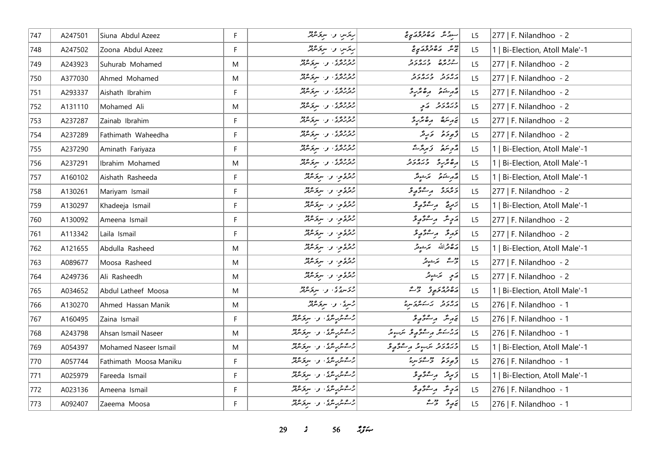| 747 | A247501 | Siuna Abdul Azeez      | F. | ریزس و سرقرمرفز                        | سوړش پره ده د کړي                         | L <sub>5</sub> | 277   F. Nilandhoo - 2         |
|-----|---------|------------------------|----|----------------------------------------|-------------------------------------------|----------------|--------------------------------|
| 748 | A247502 | Zoona Abdul Azeez      | F  | ریزس و سرقرمرفتر                       | پیش <sub>م</sub> ین و وه ر <sub>و</sub> ه | L5             | 1   Bi-Election, Atoll Male'-1 |
| 749 | A243923 | Suhurab Mohamed        | M  | دوووه و سروه دو                        | رووه وره در                               | L5             | 277   F. Nilandhoo - 2         |
| 750 | A377030 | Ahmed Mohamed          | M  | دوووه ، و . سروسرو                     | גפני כנסני<br>גגבע כגגבע                  | L <sub>5</sub> | 277   F. Nilandhoo - 2         |
| 751 | A293337 | Aishath Ibrahim        | F. | دوووه ، و . سرنومبرد                   | أقرم شوقو المره مركب و                    | L <sub>5</sub> | 277   F. Nilandhoo - 2         |
| 752 | A131110 | Mohamed Ali            | M  | وووږي .<br>  رفزرفری : و ا سربوسرټر    | دره رو پر کرد                             | L5             | 277   F. Nilandhoo - 2         |
| 753 | A237287 | Zainab Ibrahim         | F  | وووږي .<br>  رفزرفری : و ا سربوسرفر    | پرېتم رەئرىد                              | L5             | 277   F. Nilandhoo - 2         |
| 754 | A237289 | Fathimath Waheedha     | F. | وووږي .<br>  رفزرفری : و ا سربوسرفر    | وَجوحَة وَرِيْدَ                          | L5             | 277   F. Nilandhoo - 2         |
| 755 | A237290 | Aminath Fariyaza       | F  | دوووی کی سروکردو                       | أوهبتهم وسروت                             | L <sub>5</sub> | 1   Bi-Election, Atoll Male'-1 |
| 756 | A237291 | Ibrahim Mohamed        | M  | دوووی کی سروکردو                       | رە ئەرە دىرەرد                            | L <sub>5</sub> | 1   Bi-Election, Atoll Male'-1 |
| 757 | A160102 | Aishath Rasheeda       | F  | رقرة محور المستحدث المحمد              | د مر شو سر سور د کر                       | L5             | 1   Bi-Election, Atoll Male'-1 |
| 758 | A130261 | Mariyam Ismail         | F. | روءي والبروتين                         | دیرو رےوگیو                               | L5             | 277   F. Nilandhoo - 2         |
| 759 | A130297 | Khadeeja Ismail        | F  | رقرة وسرومين                           | زَمِيعٌ پِرِ صُوَّيٍّ وَ                  | L <sub>5</sub> | 1   Bi-Election, Atoll Male'-1 |
| 760 | A130092 | Ameena Ismail          | F. | رقرة من سرة عرقه                       | ړَ پِسٌ پُرِ سُنَّے پِر مُح               | L <sub>5</sub> | 277   F. Nilandhoo - 2         |
| 761 | A113342 | Laila Ismail           | F  | روءي والبروكرود                        | خەرقى بەستىۋە يۇ                          | L5             | 277   F. Nilandhoo - 2         |
| 762 | A121655 | Abdulla Rasheed        | M  | رقرة وسرو مريد                         | 2014 سَرْجُوتِر                           | L5             | 1   Bi-Election, Atoll Male'-1 |
| 763 | A089677 | Moosa Rasheed          | M  | روءي والبريز مين                       | قرمسم محرسوقر                             | L5             | 277   F. Nilandhoo - 2         |
| 764 | A249736 | Ali Rasheedh           | M  | رژوعي و سروگرټر                        | ړی پرېنونه                                | L5             | 277   F. Nilandhoo - 2         |
| 765 | A034652 | Abdul Latheef Moosa    | M  | ژوسوی و سروه پیم                       | גום כסב פרי בריה                          | L5             | 1   Bi-Election, Atoll Male'-1 |
| 766 | A130270 | Ahmed Hassan Manik     | M  | 2سری، و سربرسرد                        | رورو برے مریر مریز                        | L5             | 276   F. Nilandhoo - 1         |
| 767 | A160495 | Zaina Ismail           | F. | ژےمریکریمنگ و، سربرصرفر                | ئەرىئە بەستۇر ئو                          | L <sub>5</sub> | 276   F. Nilandhoo - 1         |
| 768 | A243798 | Ahsan Ismail Naseer    | M  | رحم شریعی و سرخ مرفد                   | پرچاعش پرڪنگهاي امريكي گر                 | L <sub>5</sub> | 276   F. Nilandhoo - 1         |
| 769 | A054397 | Mohamed Naseer Ismail  | M  | ژےمربہ میں واسر واقع                   | ورەرو ترىپىد رىشۇر ق                      | L5             | 1   Bi-Election, Atoll Male'-1 |
| 770 | A057744 | Fathimath Moosa Maniku | F. | رحم شریر مرکزی از استفراند             | أوالم والمستخر والمحمد                    | L5             | 276   F. Nilandhoo - 1         |
| 771 | A025979 | Fareeda Ismail         | F  | ژےش پر سنگاری اور سربر سرچر سرچر       | ئەبەئىر بەستىھ بۇ                         | L5             | 1   Bi-Election, Atoll Male'-1 |
| 772 | A023136 | Ameena Ismail          | F. | 2سىترىرىتىكى، بىلە س <i>ى</i> ترىترىتر | ړَ <sub>چ</sub> ِسٌ پرِ شوَ پِرو          | L5             | 276   F. Nilandhoo - 1         |
| 773 | A092407 | Zaeema Moosa           | F. | اژ شمر پر مرکز او . سربر مرکز ا        | ئەرپۇ قاشۇ                                | L5             | 276   F. Nilandhoo - 1         |

**29** *s* 56 *ij***<sub>i</sub>**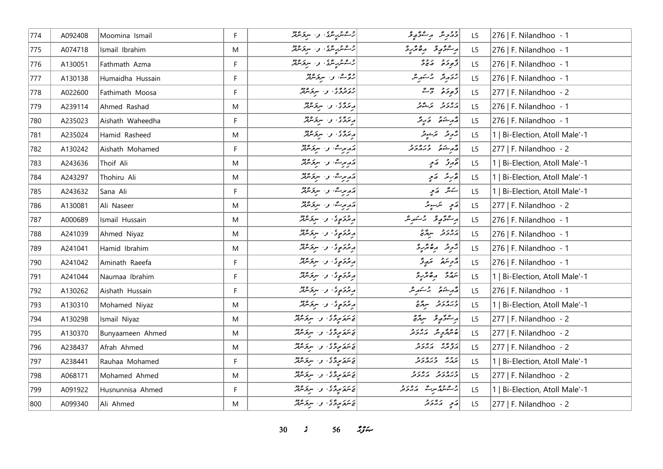| 774 | A092408 | Moomina Ismail   | F. | ژےمر پر سر سر پر مرکز میں                      | دېمرمثر پر سرگوړی              | L <sub>5</sub> | 276   F. Nilandhoo - 1         |
|-----|---------|------------------|----|------------------------------------------------|--------------------------------|----------------|--------------------------------|
| 775 | A074718 | Ismail Ibrahim   | M  | رحم شریعی و سربر میر                           | أرجعتم ومسترجع                 | L5             | 276   F. Nilandhoo - 1         |
| 776 | A130051 | Fathmath Azma    | F. | رحم شریر مرکزی از استفراند                     | $550 - 550$                    | L5             | 276   F. Nilandhoo - 1         |
| 777 | A130138 | Humaidha Hussain | F  | رځ ک، و ا سرخ مرکز                             | رورة رئيسرها                   | L <sub>5</sub> | 276   F. Nilandhoo - 1         |
| 778 | A022600 | Fathimath Moosa  | F. | وروم د .<br>  رومروً د ، و ، سرومريز           | د پره د ديگر                   | L <sub>5</sub> | 277   F. Nilandhoo - 2         |
| 779 | A239114 | Ahmed Rashad     | M  | .<br>برنگری، وسیونگر                           | پروتر برخوتر                   | L5             | 276   F. Nilandhoo - 1         |
| 780 | A235023 | Aishath Waheedha | F  | پروی و سرومین                                  | مەم ئىستىمى ئىتى ئىستىكى       | L5             | 276   F. Nilandhoo - 1         |
| 781 | A235024 | Hamid Rasheed    | M  | پرځوي وسروموړ                                  | بۇرۇر ئېمىشەر                  | L5             | 1   Bi-Election, Atoll Male'-1 |
| 782 | A130242 | Aishath Mohamed  | F  | أركار برسماء والسريح مثر فر                    | أقرم شوقو وبروبر               | L5             | 277   F. Nilandhoo - 2         |
| 783 | A243636 | Thoif Ali        | M  | أوربرت والمستحققة                              | پروژ پر په                     | L5             | 1   Bi-Election, Atoll Male'-1 |
| 784 | A243297 | Thohiru Ali      | M  | په برگ و سرتوشه                                | پرستر پر کمی                   | L5             | 1   Bi-Election, Atoll Male'-1 |
| 785 | A243632 | Sana Ali         | F  | پر برے، و . سرقرمانی                           | سەشر كەمچ                      | L <sub>5</sub> | 1   Bi-Election, Atoll Male'-1 |
| 786 | A130081 | Ali Naseer       | M  | مەمرىك، بىر سرىتىرلىر                          | ړی پرېښور                      | L <sub>5</sub> | 277   F. Nilandhoo - 2         |
| 787 | A000689 | Ismail Hussain   | M  | پرځوړي وا سرځشګر                               | وستورو ومنوره                  | L <sub>5</sub> | 276   F. Nilandhoo - 1         |
| 788 | A241039 | Ahmed Niyaz      | M  | ریزد دی، و ا سرد مرکز                          | د ۵ د ۶ سرگریم                 | L5             | 276   F. Nilandhoo - 1         |
| 789 | A241041 | Hamid Ibrahim    | M  | پرځوړي وا سرځش                                 | پژوند اره ټرېږد                | L5             | 276   F. Nilandhoo - 1         |
| 790 | A241042 | Aminath Raeefa   | F  | پرچر کاری او است مرکز میں پر                   | أرجابه من المناسقية من المركز  | L5             | 276   F. Nilandhoo - 1         |
| 791 | A241044 | Naumaa Ibrahim   | F. | پرځوړي وا سرځشګر                               | پروژ دەشرو                     | L <sub>5</sub> | 1   Bi-Election, Atoll Male'-1 |
| 792 | A130262 | Aishath Hussain  | F. | ریزد دی، و . سرد مردم                          | أقمر شوقو المرسكر مثر مثر      | L5             | 276   F. Nilandhoo - 1         |
| 793 | A130310 | Mohamed Niyaz    | M  | پرځوړي وا سرځنګنګ                              | כמחכת ייתרה                    | L5             | 1   Bi-Election, Atoll Male'-1 |
| 794 | A130298 | Ismail Niyaz     | M  | د بربر برگاه او استخابر ۱۹۵                    | برےدو پر قریبی مریض            | L <sub>5</sub> | 277   F. Nilandhoo - 2         |
| 795 | A130370 | Bunyaameen Ahmed | M  | في سَرَة سِرِيْرِيْ فِي السِرْسِرْيْتَرْبَعْرَ | <mark>و مرگز پ</mark> ر مدر د  | L <sub>5</sub> | 277   F. Nilandhoo - 2         |
| 796 | A238437 | Afrah Ahmed      | M  | في سَرَة سِرِيْرِيْ فِي السِرْسِرْيْتَرْبَعْرَ | ره په درورو<br>مروتربر مربروتر | L <sub>5</sub> | 277   F. Nilandhoo - 2         |
| 797 | A238441 | Rauhaa Mohamed   | F  | يې سرچ سرچ سرچ سرچ سرچر شرچر                   | ر و مده د و د و                | L5             | 1   Bi-Election, Atoll Male'-1 |
| 798 | A068171 | Mohamed Ahmed    | M  | يې تروکيورگان و، سربۇشمار                      | כנסנכ נסנכ                     | L5             | 277   F. Nilandhoo - 2         |
| 799 | A091922 | Husnunnisa Ahmed | F. | يَ سَرَةَ سِرِيَةٍ فِي السِرْقِرَ مِنْزَةٍ     | و عمروسرے مدون                 | L5             | 1   Bi-Election, Atoll Male'-1 |
| 800 | A099340 | Ali Ahmed        | M  | ئەنئۇم ئۆڭ ئەسىر ئىقلار                        | ړَ په درور                     | L5             | 277   F. Nilandhoo - 2         |

*30 s* 56  $23\div$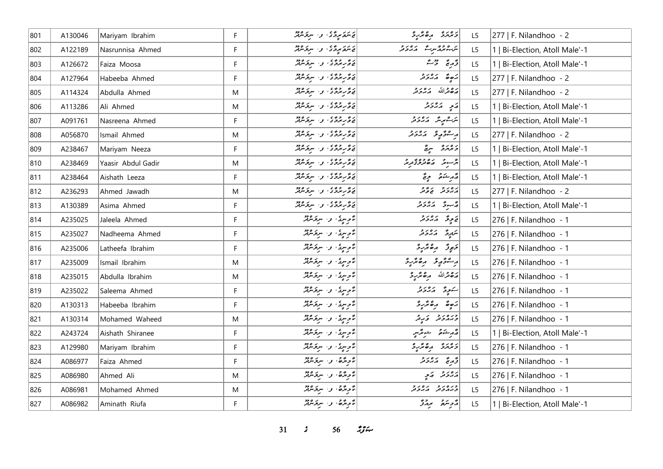| 801 | A130046 | Mariyam Ibrahim    | F. | يَاسَمَةَ بِرِدَّةً ﴾ و السربخسينة.                                     | د مرمز د ه محمد د               | L <sub>5</sub> | 277   F. Nilandhoo - 2         |
|-----|---------|--------------------|----|-------------------------------------------------------------------------|---------------------------------|----------------|--------------------------------|
| 802 | A122189 | Nasrunnisa Ahmed   | F  | ي سَمَعَ مِرِيَّ ي السَّرِيقِ مِنْ مِنْ السَّرِيقِ مِنْ السَّرِيقِ مِنْ | ر ۲۶۵ مرحد در در د              | L <sub>5</sub> | 1   Bi-Election, Atoll Male'-1 |
| 803 | A126672 | Faiza Moosa        | F  | 20 رىزدى، و سرىرىدىز                                                    | دَرِيحَ حَرْثَةَ                | L <sub>5</sub> | 1   Bi-Election, Atoll Male'-1 |
| 804 | A127964 | Habeeba Ahmed      | F. | د ه د ده و .<br>  د ه د مرد د . او . اسر د سرد                          | 5,0,1,0,0,1                     | L5             | 277   F. Nilandhoo - 2         |
| 805 | A114324 | Abdulla Ahmed      | M  | پر گرېزگري او . سرگر مربر                                               | أروم قرالله كدرور               | L <sub>5</sub> | 277   F. Nilandhoo - 2         |
| 806 | A113286 | Ali Ahmed          | M  | پروژوی و سروه دود                                                       | پر په پرور د                    | L <sub>5</sub> | 1   Bi-Election, Atoll Male'-1 |
| 807 | A091761 | Nasreena Ahmed     | F  | ئەھمە ئەمەدە بىر ئەھمەدىن ئەھمەدىر                                      | ىر شەمرىگە كەردىر               | L5             | 1   Bi-Election, Atoll Male'-1 |
| 808 | A056870 | Ismail Ahmed       | M  | خ ځ پرېږي و . سرچسرچر                                                   | وستؤرثه والمدونر                | L5             | $ 277 $ F. Nilandhoo - 2       |
| 809 | A238467 | Mariyam Neeza      | F. | ئەڭرىرى ئەسىر مەد                                                       | د ۱٫۵ مربعً                     | L5             | 1   Bi-Election, Atoll Male'-1 |
| 810 | A238469 | Yaasir Abdul Gadir | M  | 20 رومی و سرومین                                                        | <br>  پژسویز   ۱۳۵۸ وه بورتو    | L5             | 1   Bi-Election, Atoll Male'-1 |
| 811 | A238464 | Aishath Leeza      | F. | ئەھمەتمۇق، بەسىر ئىبرى                                                  | قەربىئەق بويى                   | L <sub>5</sub> | 1   Bi-Election, Atoll Male'-1 |
| 812 | A236293 | Ahmed Jawadh       | M  | خ ځ پر څو ی و . سرخ سرچر                                                | برەر د برور                     | L5             | 277   F. Nilandhoo - 2         |
| 813 | A130389 | Asima Ahmed        | F  | پر گرېزگري او . سرگر مربر                                               | د سوځ د د د د د                 | L5             | 1   Bi-Election, Atoll Male'-1 |
| 814 | A235025 | Jaleela Ahmed      | F  | ءٌ وسيدٌ، و· سرقرمريزٌ                                                  | ق م ع ح ح ح ح ح ح               | L5             | 276   F. Nilandhoo - 1         |
| 815 | A235027 | Nadheema Ahmed     | F  | توسیعُ، و سرعه تقریرٌ                                                   | سَمِرِیَّ دَرُدور               | L5             | 276   F. Nilandhoo - 1         |
| 816 | A235006 | Latheefa Ibrahim   | F  | مُتَوسِكَ، و· سِرْحَسْنَدْ                                              | دَوِرْ رەترىرد                  | L5             | 276   F. Nilandhoo - 1         |
| 817 | A235009 | Ismail Ibrahim     | M  | مُتَوسِيدُ، و· سِرْحَسْنِدْ                                             | ر عۇرپۇ رەھرىر                  | L5             | 276   F. Nilandhoo - 1         |
| 818 | A235015 | Abdulla Ibrahim    | M  | مُوسِكَ، و· سركر معمَّد                                                 | رَصْحْرَاللّهُ مِنْ مِحْرَبِ وَ | L5             | 276   F. Nilandhoo - 1         |
| 819 | A235022 | Saleema Ahmed      | F. | مُوسِرِمُ، و· سربر معمّد                                                | سَوِرَة الاردور                 | L5             | 276   F. Nilandhoo - 1         |
| 820 | A130313 | Habeeba Ibrahim    | F. | تأوسرتي، و- سرقر سرقر                                                   | $\frac{2}{3}$                   | L5             | 276   F. Nilandhoo - 1         |
| 821 | A130314 | Mohamed Waheed     | M  | مۇرسۇ، بى سرىگەنلە                                                      | ورەر د پر د                     | L <sub>5</sub> | 276   F. Nilandhoo - 1         |
| 822 | A243724 | Aishath Shiranee   | F. | مُتَوسِيدُ، و· سِرْحَسْنِدْ                                             | لەر ئىكەنتى سىنقىس              | L5             | 1   Bi-Election, Atoll Male'-1 |
| 823 | A129980 | Mariyam Ibrahim    | F  | مُتَوسِينٌ، و· سِرَفَسْهُمْ                                             | د مرمز د ه محرب د               | L5             | 276   F. Nilandhoo - 1         |
| 824 | A086977 | Faiza Ahmed        | F. | تأويرها والمسروقين                                                      | دَّىرِ يَمْ يَرْهُ مِنْ دِ      | L <sub>5</sub> | 276   F. Nilandhoo - 1         |
| 825 | A086980 | Ahmed Ali          | M  | نۇپەر ئەسىر ئەدە                                                        | پروژو کامچ                      | L5             | 276   F. Nilandhoo - 1         |
| 826 | A086981 | Mohamed Ahmed      | M  | مُتَاحِدَهُا وَالسِّرَةِ مِنْ مِنْ                                      | כנסנכ נסנכ<br>כגתכת הגכת        | L <sub>5</sub> | 276   F. Nilandhoo - 1         |
| 827 | A086982 | Aminath Riufa      | F. | تأج برگ في المستوجب المعرفين                                            | أروبته براز                     | L <sub>5</sub> | 1   Bi-Election, Atoll Male'-1 |

*31 s* 56  $23.$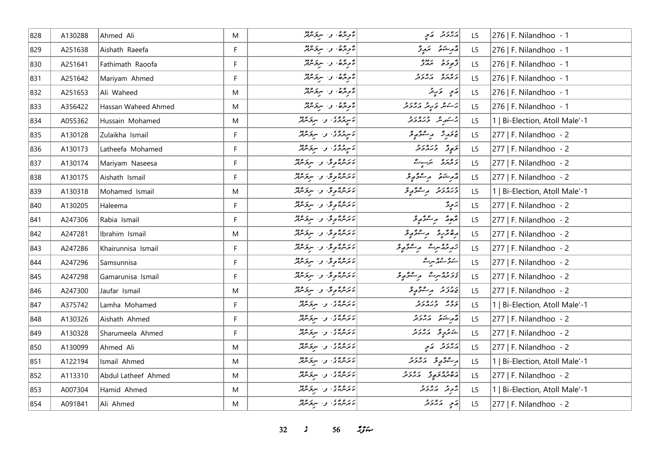| 828 | A130288 | Ahmed Ali           | M           | تأج الركاء و سرى مركز                                                                                        | پروژ په په                    | L5             | 276   F. Nilandhoo - 1         |
|-----|---------|---------------------|-------------|--------------------------------------------------------------------------------------------------------------|-------------------------------|----------------|--------------------------------|
| 829 | A251638 | Aishath Raeefa      | F           | تأجدتم في البرير معرض                                                                                        | مەرىشىمى ئىمەيۇ               | L <sub>5</sub> | 276   F. Nilandhoo - 1         |
| 830 | A251641 | Fathimath Raoofa    | F           | مُحرِّرُهُ، و· سربر معمَّد                                                                                   |                               | L5             | 276   F. Nilandhoo - 1         |
| 831 | A251642 | Mariyam Ahmed       | $\mathsf F$ | مُرْحِدٌ وَ سِرَوْسُهْرٌ                                                                                     | د ۱۵ د ۲۵ د و                 | L5             | 276   F. Nilandhoo - 1         |
| 832 | A251653 | Ali Waheed          | M           | مُرْحِدٌ وَ سِرْحَسْرُ لَهُ مَ                                                                               | ړَم په د                      | L5             | 276   F. Nilandhoo - 1         |
| 833 | A356422 | Hassan Waheed Ahmed | M           | مُرْحِدٌهُ، و· سِرَحْسِرْتُمْ                                                                                | پر کنده که بره برد ته         | L5             | 276   F. Nilandhoo - 1         |
| 834 | A055362 | Hussain Mohamed     | M           | ئاسرچەي بى سرچىلىد                                                                                           | پرسکر سر محدد اللہ دید اللہ ج | L5             | 1   Bi-Election, Atoll Male'-1 |
| 835 | A130128 | Zulaikha Ismail     | F           | ئاسرچرى، ن-سرچىلىقە                                                                                          | جَزَيرِ دَ مِرْ جُوَيْدِ وَ   | L5             | 277   F. Nilandhoo - 2         |
| 836 | A130173 | Latheefa Mohamed    | F           | مَسِيمَدَّى، وَسَبِعَ مَرْمَد                                                                                | دَيِورٌ دَيَہُ دَور           | L <sub>5</sub> | 277   F. Nilandhoo - 2         |
| 837 | A130174 | Mariyam Naseesa     | F           | ئائەش ئامۇق را سىزىشلا                                                                                       | دەرە بىر بەشتى                | L <sub>5</sub> | 277   F. Nilandhoo - 2         |
| 838 | A130175 | Aishath Ismail      | F           | ئەنگەنگەنى ۋە سىۋىلىك                                                                                        | أقهر شدة وسنتجوج              | L5             | 277   F. Nilandhoo - 2         |
| 839 | A130318 | Mohamed Ismail      | M           | لايزمرندگان و سرگرمزنگر                                                                                      | دره د د مره د مرگور           | L5             | 1   Bi-Election, Atoll Male'-1 |
| 840 | A130205 | Haleema             | F           | لابرەمۇمۇ» و سرىرمىز                                                                                         | پروگ                          | L <sub>5</sub> | 277   F. Nilandhoo - 2         |
| 841 | A247306 | Rabia Ismail        | F           | ئەنگەنگە ئۇ سەر مەد                                                                                          | أترەر ئەستىر ئور              | L <sub>5</sub> | 277   F. Nilandhoo - 2         |
| 842 | A247281 | Ibrahim Ismail      | M           | ئەئەرمەتمۇق ق سىزىلىر                                                                                        | رە ئرىر بەسترىي ئو            | L <sub>5</sub> | 277   F. Nilandhoo - 2         |
| 843 | A247286 | Khairunnisa Ismail  | F           | ئەنگەنگەرگە بەر سرىگەنلەر                                                                                    | زېږېدسرت پر موځو چو           | L5             | 277   F. Nilandhoo - 2         |
| 844 | A247296 | Samsunnisa          | F           | ئائىرىدىگە بىر ئاز سىرتىرىدىكە                                                                               | سەۋ سىھەسرىگە                 | L5             | 277   F. Nilandhoo - 2         |
| 845 | A247298 | Gamarunisa Ismail   | F           | ئائىرمىرتقوقت و سرىر مەد                                                                                     | ئىر ئەھرىرىگە بەر شۇر ئو      | L5             | 277   F. Nilandhoo - 2         |
| 846 | A247300 | Jaufar Ismail       | M           | مَعَسْرَةً وَفِي وَاسْتِعْسَرْهُمْ وَفَرْ                                                                    | ئەرزىر بەر ئەۋرىد             | L <sub>5</sub> | 277   F. Nilandhoo - 2         |
| 847 | A375742 | Lamha Mohamed       | F           | ئەس ئەرەپ سىز ئەھ                                                                                            | كروية ورەرو                   | L <sub>5</sub> | 1   Bi-Election, Atoll Male'-1 |
| 848 | A130326 | Aishath Ahmed       | F           | ئەس ئەرەپ بەر مەدە                                                                                           | در شده در در د                | L5             | 277   F. Nilandhoo - 2         |
| 849 | A130328 | Sharumeela Ahmed    | F           | ئەندىق ئەسىر ئەھىر                                                                                           | شەترىپە ئەرەپر                | L <sub>5</sub> | 277   F. Nilandhoo - 2         |
| 850 | A130099 | Ahmed Ali           | M           | ئەس ئەرەپ سىز ئەدە                                                                                           | پروژ په کی په                 | L5             | 277   F. Nilandhoo - 2         |
| 851 | A122194 | Ismail Ahmed        | M           | ئەس ئەس ئەس ئەھ                                                                                              | د عوم ده د د د د              | L5             | 1   Bi-Election, Atoll Male'-1 |
| 852 | A113310 | Abdul Latheef Ahmed | M           | ئەس ئەرەپ سىر ئەرەپ ئەرەپ ئەرەپ ئەرەپ ئەرەپ ئەرەپ ئەرەپ ئەرەپ ئەرەپ ئەرەپ ئەرەپ ئەرەپ ئەرەپ ئەرەپ ئەرەپ ئەرە | ده وه ده ده د در و            | L5             | 277   F. Nilandhoo - 2         |
| 853 | A007304 | Hamid Ahmed         | M           | دره وي که سرو مع                                                                                             | پژونز اړ پرونز                | L5             | 1   Bi-Election, Atoll Male'-1 |
| 854 | A091841 | Ali Ahmed           | M           | ئەس ئەرەپ بىر ئەرەپ ئەرەپ ئەرەپ ئەرەپ ئەرەپ ئەرەپ ئەرەپ ئەرەپ ئەرەپ ئەرەپ ئەرەپ ئەرەپ ئەرەپ ئەرەپ ئەرەپ ئەرە | مَعٍ مَدْدَمْر                | L5             | 277   F. Nilandhoo - 2         |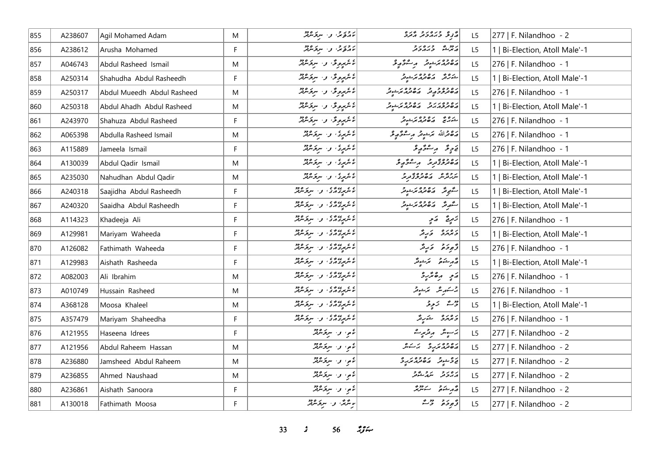| 855 | A238607 | Agil Mohamed Adam          | M            | ئەرقۇش بى سېۋىترلىر                                                                                | ه و دره دو وره<br>مربح دبر دور مر                                                                                                                                                                                               | L5             | 277   F. Nilandhoo - 2         |
|-----|---------|----------------------------|--------------|----------------------------------------------------------------------------------------------------|---------------------------------------------------------------------------------------------------------------------------------------------------------------------------------------------------------------------------------|----------------|--------------------------------|
| 856 | A238612 | Arusha Mohamed             | F.           | ئەر ئەترىس سىر ئىر ئەتەر                                                                           | ر دوسته می وره د و<br>مرسمت می از جهان                                                                                                                                                                                          | L5             | 1   Bi-Election, Atoll Male'-1 |
| 857 | A046743 | Abdul Rasheed Ismail       | M            | ئائىرىمىدىگە ئەسىر ئىرەدد                                                                          | رەدە برخونى برخىۋېرى                                                                                                                                                                                                            | L5             | 276   F. Nilandhoo - 1         |
| 858 | A250314 | Shahudha Abdul Rasheedh    | F            | ءُ شَهْدِهِ ٿُن سِ تَشْرُدُ لِلْهِ                                                                 | ره ده په ۱۵۶۵ ورو د<br>شورتر کاره ترو بر شوتر                                                                                                                                                                                   | L5             | 1   Bi-Election, Atoll Male'-1 |
| 859 | A250317 | Abdul Mueedh Abdul Rasheed | M            | ءَ عَهومِ قُ وَ سِرَ عَرْمَةٌ                                                                      | גם כם כ"כ"ם כם ג'יליים ביותר בריים ביותר ביותר ביותר ביותר ביותר ביותר ביותר ביותר ביותר ביותר ביותר ביותר ביו<br>המוספות ביותר ביותר ביותר ביותר ביותר ביותר ביותר ביותר ביותר ביותר ביותר ביותר ביותר ביותר ביותר ביותר ביותר | L5             | 276   F. Nilandhoo - 1         |
| 860 | A250318 | Abdul Ahadh Abdul Rasheed  | M            | ءَ عَبِرِهِ ٿَ، و. سرقرمائِرُ                                                                      | ره وه ربر و در بره وه د.<br>مصر در در مصر مر شوتر                                                                                                                                                                               | L5             | 1   Bi-Election, Atoll Male'-1 |
| 861 | A243970 | Shahuza Abdul Rasheed      | F.           | ءَ عَمِيعِ ٿَ وَ سَرتَدْ عَمَدٌ                                                                    | شكره مه المن ده د مر د در د                                                                                                                                                                                                     | L5             | 276   F. Nilandhoo - 1         |
| 862 | A065398 | Abdulla Rasheed Ismail     | M            | ئۇنترىرى، بىر سرىزىندىز                                                                            | أرەقماللە برىنونر رېڭگورېۋ                                                                                                                                                                                                      | L5             | 276   F. Nilandhoo - 1         |
| 863 | A115889 | Jameela Ismail             | F.           | ءَ تربيءَ، و. سرتر مير                                                                             | ق حوٍ قد سر سر حمد حق الله عليه و                                                                                                                                                                                               | L5             | 276   F. Nilandhoo - 1         |
| 864 | A130039 | Abdul Qadir Ismail         | M            | ءَ مِرِيَ وَ سِرَقَاهِ لِهِ                                                                        | رە دەپرىر بېرىشگېرى                                                                                                                                                                                                             | L <sub>5</sub> | 1   Bi-Election, Atoll Male'-1 |
| 865 | A235030 | Nahudhan Abdul Qadir       | M            | ئۇنئوپىدى، بىر سىزىتىرلىر                                                                          | ر د و ه د د د وه و د د                                                                                                                                                                                                          | L5             | 1   Bi-Election, Atoll Male'-1 |
| 866 | A240318 | Saajidha Abdul Rasheedh    | F.           | ، ، ، ، ، ، و البرودو                                                                              | ر<br>سگھے تگر کے کھاتھ <i>مریک میٹ</i> وٹر                                                                                                                                                                                      | L5             | 1   Bi-Election, Atoll Male'-1 |
| 867 | A240320 | Saaidha Abdul Rasheedh     | F.           |                                                                                                    | گەر ئەھەر ئەھمى ئە                                                                                                                                                                                                              | L5             | 1   Bi-Election, Atoll Male'-1 |
| 868 | A114323 | Khadeeja Ali               | F            |                                                                                                    | زَمِرِيَّ   رَمِّ                                                                                                                                                                                                               | L5             | 276   F. Nilandhoo - 1         |
| 869 | A129981 | Mariyam Waheeda            | $\mathsf{F}$ | ) ، ، ، ، ، ، و ، سربر و دو                                                                        | ويروره وبرقر                                                                                                                                                                                                                    | L5             | 1   Bi-Election, Atoll Male'-1 |
| 870 | A126082 | Fathimath Waheeda          | F.           | ع میروه و میکرده در<br>  ما شهروه و میکرد                                                          | وَجوحَامُ عَارِمٌد                                                                                                                                                                                                              | L5             | 276   F. Nilandhoo - 1         |
| 871 | A129983 | Aishath Rasheeda           | F            | ء ۽ پيءَ ۽ ۽ سرپر وود<br> لاس پروازي او سرپرس                                                      | مەرشەق سىمئىيەتىر                                                                                                                                                                                                               | L <sub>5</sub> | 1   Bi-Election, Atoll Male'-1 |
| 872 | A082003 | Ali Ibrahim                | M            |                                                                                                    | أرمو برەممرىرد                                                                                                                                                                                                                  | L5             | 276   F. Nilandhoo - 1         |
| 873 | A010749 | Hussain Rasheed            | M            | ع میرو می و سرخ می می<br>  ما مسرح می و سرخ می می                                                  | يركسكر مكر المراسوس                                                                                                                                                                                                             | L5             | 276   F. Nilandhoo - 1         |
| 874 | A368128 | Moosa Khaleel              | M            | ه د ده ده د از سرگرماند.<br>مشرکت در سرگرماند                                                      | ده شه د تر پایی                                                                                                                                                                                                                 | L5             | 1   Bi-Election, Atoll Male'-1 |
| 875 | A357479 | Mariyam Shaheedha          | F.           | ع س عدد ع السر المسرح معرفة المسرح معرفة المسرح معرفة المسرح معرفة المسرح العربية المسرح المسرح ال | د ۱۵ د ۱۵ شریر گر                                                                                                                                                                                                               | L5             | 276   F. Nilandhoo - 1         |
| 876 | A121955 | Haseena Idrees             | F.           | ئام، ئەسىرىكى ق                                                                                    | يرسوپى <i>گە بەيۋىيەت</i>                                                                                                                                                                                                       | L5             | 277   F. Nilandhoo - 2         |
| 877 | A121956 | Abdul Raheem Hassan        | M            | نامو، و- سرقرمرفر                                                                                  | رە دەر ەسكەر                                                                                                                                                                                                                    | L5             | 277   F. Nilandhoo - 2         |
| 878 | A236880 | Jamsheed Abdul Raheem      | M            | نامو، و- سرفرمونژ                                                                                  | ره شوتر دره وه در ه                                                                                                                                                                                                             | L5             | 277   F. Nilandhoo - 2         |
| 879 | A236855 | Ahmed Naushaad             | M            | ءَمِ، و· سِرَقَسْمَةٌ                                                                              | أرەرو ئەرمىقور                                                                                                                                                                                                                  | L5             | 277   F. Nilandhoo - 2         |
| 880 | A236861 | Aishath Sanoora            | F            | ءَمِ، وَ- سِرَقَسْمَةٌ                                                                             | لقرم ينحو سنتهتز                                                                                                                                                                                                                | L5             | 277   F. Nilandhoo - 2         |
| 881 | A130018 | Fathimath Moosa            | F.           | بوشگار و سرکرمنگر                                                                                  | د پوځو په د حم                                                                                                                                                                                                                  | L5             | 277   F. Nilandhoo - 2         |

**33** *s* **56** *n***<sub>y</sub><sub>***n***</sub>**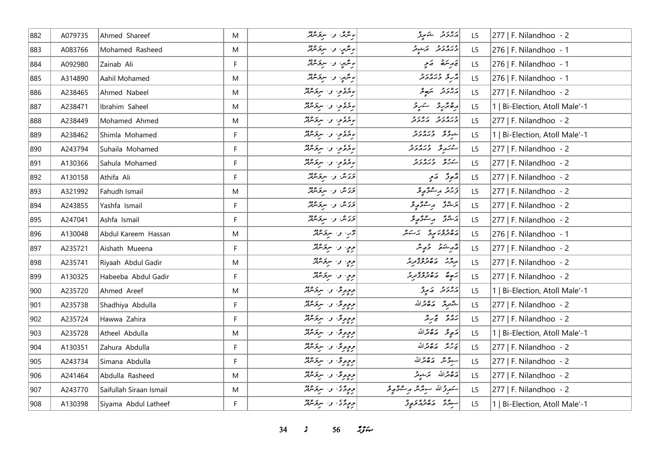| 882 | A079735 | Ahmed Shareef           | M         | ر مگرمگر، و <sub>ا</sub> سربر م <sup>ور</sup> | كەردى ئىمبۇ                                  | L <sub>5</sub> | 277   F. Nilandhoo - 2         |
|-----|---------|-------------------------|-----------|-----------------------------------------------|----------------------------------------------|----------------|--------------------------------|
| 883 | A083766 | Mohamed Rasheed         | M         | بورغمبر، و- سرخ شرقه                          | ورەرو كەنبوتر                                | L5             | 276   F. Nilandhoo - 1         |
| 884 | A092980 | Zainab Ali              | F         | بویژمیا و اسربختلند                           | تەرىئىقە كەمپە                               | L5             | 276   F. Nilandhoo - 1         |
| 885 | A314890 | Aahil Mohamed           | M         | برندسي، و- سرقه عرفته                         | أثرع وبره برو                                | L5             | 276   F. Nilandhoo - 1         |
| 886 | A238465 | Ahmed Nabeel            | M         | بروكوموا والمتركوفة                           | أرور و سكھ و                                 | L5             | 277   F. Nilandhoo - 2         |
| 887 | A238471 | Ibrahim Saheel          | M         | بروغور و سروم مع                              | أرەنزىر ئىسىز                                | L5             | 1   Bi-Election, Atoll Male'-1 |
| 888 | A238449 | Mohamed Ahmed           | ${\sf M}$ | بورد و سرد مدید                               | ورەرو رەرو                                   | L5             | 277   F. Nilandhoo - 2         |
| 889 | A238462 | Shimla Mohamed          | F         | بورد دا سرد مرد م                             | ده وره در د<br>درگر درگردن                   | L5             | 1   Bi-Election, Atoll Male'-1 |
| 890 | A243794 | Suhaila Mohamed         | F         | بورد دو سربر مده                              | ستركز ورەرو                                  | L5             | $ 277 $ F. Nilandhoo - 2       |
| 891 | A130366 | Sahula Mohamed          | F         | بورد و سرد مدیر                               | سەرق ئەيرەر ئ                                | L5             | $ 277 $ F. Nilandhoo - 2       |
| 892 | A130158 | Athifa Ali              | F.        | تحرّكن والسرقر معرفة                          | په پورس کې کړې                               | L5             | 277   F. Nilandhoo - 2         |
| 893 | A321992 | Fahudh Ismail           | M         | ئۇتەش بىر سېڭەنلەش                            | درو ريځ د ع                                  | L5             | $277$   F. Nilandhoo - 2       |
| 894 | A243855 | Yashfa Ismail           | F         | ئۇتەش بىر سىرتكىلىكى                          | يرشۇ پەستىھ يو                               | L5             | $277$   F. Nilandhoo - 2       |
| 895 | A247041 | Ashfa Ismail            | F         | ئۇتەش بىر سىرتىرلىر                           | أرشنق وعقوقه                                 | L5             | $ 277 $ F. Nilandhoo - 2       |
| 896 | A130048 | Abdul Kareem Hassan     | ${\sf M}$ | تخر، و- سرىگەنگر                              | رە دەر يوۋە ئەسكەش                           | L5             | 276   F. Nilandhoo - 1         |
| 897 | A235721 | Aishath Mueena          | F         | وو، و- سرقائدة                                | روشنو درسگر                                  | L5             | 277   F. Nilandhoo - 2         |
| 898 | A235741 | Riyaah Abdul Gadir      | ${\sf M}$ | وو، و- سرقائيل                                | بروژ ده وه وه در د<br>  بروژ در مقدم و تورمز | L5             | $ 277 $ F. Nilandhoo - 2       |
| 899 | A130325 | Habeeba Abdul Gadir     | F         | ووٍ، واسرفرمند                                | پر مقدم ده وه پور د                          | L5             | $ 277 $ F. Nilandhoo - 2       |
| 900 | A235720 | Ahmed Areef             | M         | ووه ده الروح                                  | دەر د كەيرۇ                                  | L5             | 1   Bi-Election, Atoll Male'-1 |
| 901 | A235738 | Shadhiya Abdulla        | F         | پروپوټی و. سرپر ۱۶۵۵<br>  پروپوټی و. سرپرسرټر | شَّعْتِبِيرَ صَـصْحَرَاللَّهُ                | L5             | 277   F. Nilandhoo - 2         |
| 902 | A235724 | Hawwa Zahira            | F         | د د دوگ و . سرد میلاد                         | بروغ تج سربتند                               | L5             | 277   F. Nilandhoo - 2         |
| 903 | A235728 | Atheel Abdulla          | M         | ووهرتى والبرترود                              | أتهويحه الاقتلالله                           | L5             | 1   Bi-Election, Atoll Male'-1 |
| 904 | A130351 | Zahura Abdulla          | F         | ووٍوِیٌ و سروَسْنَدٌ                          | تحريحه وكالحدالله                            | L5             | $ 277 $ F. Nilandhoo - 2       |
| 905 | A243734 | Simana Abdulla          | F         | و و و د .<br>  د و و د . سروسرند              | اسودٌ مَّذَ مَدَّدَاللَّهُ                   | L5             | $ 277 $ F. Nilandhoo - 2       |
| 906 | A241464 | Abdulla Rasheed         | M         | و و و د الله الله معرف ده د                   | رەقمەللە مەئىوم                              | L5             | $ 277 $ F. Nilandhoo - 2       |
| 907 | A243770 | Saifullah Siraan Ismail | M         | د د د کال او استر شرفتر                       | سَمَرِوْاللَّهُ سَمِعْتَمْتُ مِسْعَوَّدٍ وَ  | L <sub>5</sub> | 277   F. Nilandhoo - 2         |
| 908 | A130398 | Siyama Abdul Latheef    | F.        | وودٌی و الروکرد                               | ر ده ده ده ده د م                            | L5             | 1   Bi-Election, Atoll Male'-1 |

*34 s* 56 *zg*<sub>2</sub>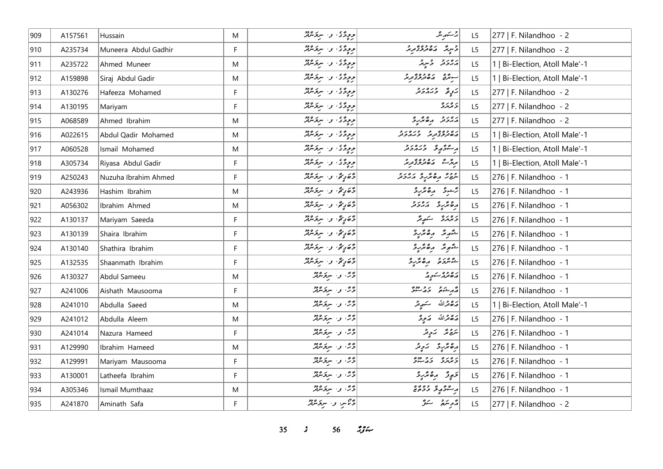| 909 | A157561 | Hussain              | M           | وودٌی و سروکرد          | جە سە <sub>م</sub> بەر بىر                          | L <sub>5</sub> | 277   F. Nilandhoo - 2         |
|-----|---------|----------------------|-------------|-------------------------|-----------------------------------------------------|----------------|--------------------------------|
| 910 | A235734 | Muneera Abdul Gadhir | F           | د د چگی و سر د مرد      | د سرپر مصر د ده و د د د<br>  د سرپر مصر مصر د کريم  | L5             | 277   F. Nilandhoo - 2         |
| 911 | A235722 | Ahmed Muneer         | M           | وودٌّى والبرودي         | ړورو وتړي                                           | L5             | 1   Bi-Election, Atoll Male'-1 |
| 912 | A159898 | Siraj Abdul Gadir    | M           | وودگان و البرودو        | سوندن بره وه و د<br>سوندنی ایر <i>ه تورو تور</i> ند | L5             | 1   Bi-Election, Atoll Male'-1 |
| 913 | A130276 | Hafeeza Mohamed      | F           | د د دگاه او . سرد مرکز  | ټرپهٔ دره د د                                       | L5             | 277   F. Nilandhoo - 2         |
| 914 | A130195 | Mariyam              | F           | د د دي. د ۱۰ سرد مردد   | ر ه ر ه<br><del>ر</del> بربر د                      | L5             | 277   F. Nilandhoo - 2         |
| 915 | A068589 | Ahmed Ibrahim        | M           | ووددی و سرومبر          | رەرو رەشرو                                          | L <sub>5</sub> | 277   F. Nilandhoo - 2         |
| 916 | A022615 | Abdul Qadir Mohamed  | M           | د د د د سرد مرد .       | د ۱۵۶۵ - د د ۲۵۷ م                                  | L5             | 1   Bi-Election, Atoll Male'-1 |
| 917 | A060528 | Ismail Mohamed       | M           | د د د کال سرد مرد د     | أرعوهم وره دو                                       | L5             | 1   Bi-Election, Atoll Male'-1 |
| 918 | A305734 | Riyasa Abdul Gadir   | F           | وودٌی و سرومبر          | پروژے دھوری توریز                                   | L <sub>5</sub> | 1   Bi-Election, Atoll Male'-1 |
| 919 | A250243 | Nuzuha Ibrahim Ahmed | F           |                         | ووو رەپرىي دەرو                                     | L5             | 276   F. Nilandhoo - 1         |
| 920 | A243936 | Hashim Ibrahim       | M           | دې په و۰ سروسر          | را شوی ده تر پرو                                    | L5             | 276   F. Nilandhoo - 1         |
| 921 | A056302 | Ibrahim Ahmed        | M           | دې په وسرومه            | ده عرب د در د                                       | L5             | 276   F. Nilandhoo - 1         |
| 922 | A130137 | Mariyam Saeeda       | F           | دې په د سردس            | دەرە سەرىگە                                         | L <sub>5</sub> | 276   F. Nilandhoo - 1         |
| 923 | A130139 | Shaira Ibrahim       | $\mathsf F$ | دې کړي: و سروکړن        | شمریم رەممرچ                                        | L5             | 276   F. Nilandhoo - 1         |
| 924 | A130140 | Shathira Ibrahim     | F           | وَصَرِيقٌ و الرَّحْسُرُ | شهر متر مصر برد                                     | L5             | 276   F. Nilandhoo - 1         |
| 925 | A132535 | Shaanmath Ibrahim    | F           | دې دي. و٠ سروسرور       | كشروم مقدو                                          | L <sub>5</sub> | 276   F. Nilandhoo - 1         |
| 926 | A130327 | Abdul Sameeu         | M           | دُمَّ، و· سِرْحَسْنْدُ  | رە دە ئەر د                                         | L5             | 276   F. Nilandhoo - 1         |
| 927 | A241006 | Aishath Mausooma     | F           | دخ، و- سروسمبر          | انج د شده در دوند.<br>  در شده د در دوند            | L5             | 276   F. Nilandhoo - 1         |
| 928 | A241010 | Abdulla Saeed        | M           | دُرٌ، و سردَ مَرْدٌ     | أضفاه متصريته                                       | L <sub>5</sub> | 1   Bi-Election, Atoll Male'-1 |
| 929 | A241012 | Abdulla Aleem        | M           | دخش و ا سروسرپر         | رَحْمَدْاللّه - رَحِرْ                              | L5             | 276   F. Nilandhoo - 1         |
| 930 | A241014 | Nazura Hameed        | F           | دُرٌ، و سردَ مَرْتَمْ   | يَرْجِعُهُ لِمَ يَرْجِعُهُ                          | L5             | 276   F. Nilandhoo - 1         |
| 931 | A129990 | Ibrahim Hameed       | M           | دَرَّ ، د سِرَمبرد      | رەپرىر ئىي تىر                                      | L5             | 276   F. Nilandhoo - 1         |
| 932 | A129991 | Mariyam Mausooma     | F           | دُرٌ، و سردَ مَرْدٌ     | و ده ده در دور                                      | L <sub>5</sub> | 276   F. Nilandhoo - 1         |
| 933 | A130001 | Latheefa Ibrahim     | F           | دَرَّ، و سرد میر        | دَوِرْ رەتمەرد                                      | L5             | 276   F. Nilandhoo - 1         |
| 934 | A305346 | Ismail Mumthaaz      | M           | دُرٌ، و سردَ مَرْدٌ     | پرستو په ده وه وه وه                                | L <sub>5</sub> | 276   F. Nilandhoo - 1         |
| 935 | A241870 | Aminath Safa         | F           | در پاس و سروسرند        | پژویزه مسکو                                         | L5             | 277   F. Nilandhoo - 2         |

**35** *s* **56** *n***<sub>3</sub>** *n*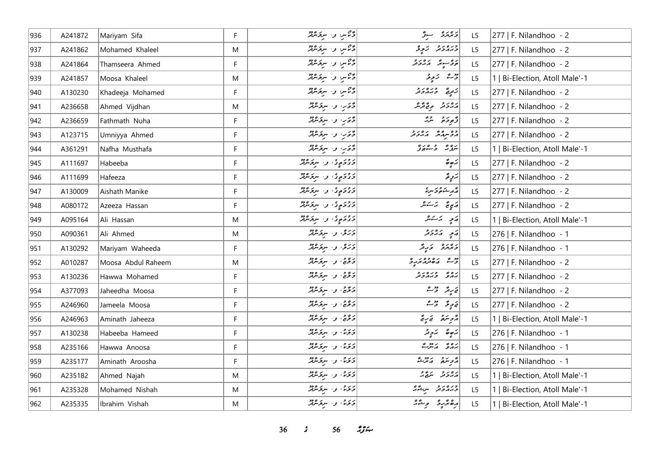| 936 | A241872 | Mariyam Sifa       | F           | 23 س و. سرىگرىزلىر              | دَ عَهْدَةْ مِسْتَرَ                                                                   | L5             | 277   F. Nilandhoo - 2         |
|-----|---------|--------------------|-------------|---------------------------------|----------------------------------------------------------------------------------------|----------------|--------------------------------|
| 937 | A241862 | Mohamed Khaleel    | M           | در سرو مرد م                    | ورەر ئىچى ئىچ                                                                          | L <sub>5</sub> | 277   F. Nilandhoo - 2         |
| 938 | A241864 | Thamseera Ahmed    | F           | وحمس واستقبلته                  | پروسوند که پروتر                                                                       | L5             | 277   F. Nilandhoo - 2         |
| 939 | A241857 | Moosa Khaleel      | M           | در سربر مرید می                 | ژے زیوڈ                                                                                | L5             | 1   Bi-Election, Atoll Male'-1 |
| 940 | A130230 | Khadeeja Mohamed   | F           | ويمس والتوقيعة                  | زَ مِنْ حَ رَ رَ رَ رَ                                                                 | L5             | 277   F. Nilandhoo - 2         |
| 941 | A236658 | Ahmed Vijdhan      | M           | دې و سرد شود                    | دەر دەپ ۋە                                                                             | L5             | 277   F. Nilandhoo - 2         |
| 942 | A236659 | Fathmath Nuha      | F           | دَّءَبِ وَ سِرْحَمْدُوْ         | دَّەبە ئەھ مەرگە                                                                       | L5             | 277   F. Nilandhoo - 2         |
| 943 | A123715 | Umniyya Ahmed      | F           | دُءَبِ وَ سِرَدَ مَرْثَر        | גפיעגות גם גב                                                                          | L5             | 277   F. Nilandhoo - 2         |
| 944 | A361291 | Nafha Musthafa     | F           | دَّءَبَ وَ سِرْحَمْنَهُ         | برواو والمعادي                                                                         | L5             | 1   Bi-Election, Atoll Male'-1 |
| 945 | A111697 | Habeeba            | F           | د د د پرو پرو در مرکز می        | $\overset{\circ}{\mathcal{Q}}\overset{\circ}{\mathcal{Q}}\overset{\circ}{\mathcal{A}}$ | L <sub>5</sub> | 277   F. Nilandhoo - 2         |
| 946 | A111699 | Hafeeza            | F           | دورې و سروه پر                  | برويج                                                                                  | L5             | 277   F. Nilandhoo - 2         |
| 947 | A130009 | Aishath Manike     | $\mathsf F$ | د د د کام د سرکرمرګر            | ا په ديه شوه د سره<br>م                                                                | L5             | 277   F. Nilandhoo - 2         |
| 948 | A080172 | Azeeza Hassan      | F           | دوکالموی و سرکانده              | مَبِيءٌ يَرَ يَرْمَ                                                                    | L <sub>5</sub> | 277   F. Nilandhoo - 2         |
| 949 | A095164 | Ali Hassan         | M           | د در ، و سرو معد                | $\begin{array}{ c c } \hline z&z&z\\ \hline z&z&z^2\\ \hline \end{array}$              | L5             | 1   Bi-Election, Atoll Male'-1 |
| 950 | A090361 | Ali Ahmed          | M           | درو، و- سرومانی                 | پَي پروژو                                                                              | L5             | 276   F. Nilandhoo - 1         |
| 951 | A130292 | Mariyam Waheeda    | F           | درو، دا سرومهر                  | د ۱۶ د کار میں پر                                                                      | L5             | 276   F. Nilandhoo - 1         |
| 952 | A010287 | Moosa Abdul Raheem | M           | دَ دَّيْ پِ سِرَ سَرْدَ مِنْ    |                                                                                        | L <sub>5</sub> | 277   F. Nilandhoo - 2         |
| 953 | A130236 | Hawwa Mohamed      | F           | دَ دَّيْءَ ، وَ الْبَرْسُرْيْشْ | ره دره دور                                                                             | L5             | 277   F. Nilandhoo - 2         |
| 954 | A377093 | Jaheedha Moosa     | F           | دۇئى، وسىرەتلەر                 | يَرِيمٌ حِيْثٌ                                                                         | L5             | 277   F. Nilandhoo - 2         |
| 955 | A246960 | Jameela Moosa      | F           | دۇرى، ئەسىر ئىرور               | يَا حِي حَمْدُ اللَّهُ عَمْدُ اللَّهُ                                                  | L5             | 277   F. Nilandhoo - 2         |
| 956 | A246963 | Aminath Jaheeza    | F           | دۇرى، ئەسىر ئىرور               | أَرْحِرْ مَنْهُمْ فَيَ مِنْ يَنْ                                                       | L5             | 1   Bi-Election, Atoll Male'-1 |
| 957 | A130238 | Habeeba Hameed     | F           | 55، وسيرقده                     | پَرْحِرَةٌ لِيَ يَرْدِيْرُ                                                             | L5             | 276   F. Nilandhoo - 1         |
| 958 | A235166 | Hawwa Anoosa       | F           | 55، والبرقرانية                 | برە ئەسىر                                                                              | L <sub>5</sub> | 276   F. Nilandhoo - 1         |
| 959 | A235177 | Aminath Aroosha    | F           | 55، وسيرتمبر                    | أأزويتهم أماجزهم                                                                       | L5             | 276   F. Nilandhoo - 1         |
| 960 | A235182 | Ahmed Najah        | M           | 55، وسيخترم                     | پرورو مرور                                                                             | L5             | 1   Bi-Election, Atoll Male'-1 |
| 961 | A235328 | Mohamed Nishah     | M           | 55، والبرقرين                   | ورەرو سرگەر                                                                            | L <sub>5</sub> | 1   Bi-Election, Atoll Male'-1 |
| 962 | A235335 | Ibrahim Vishah     | M           | د ده، و سرومهر                  | رەمزرو وشەر                                                                            | L <sub>5</sub> | 1   Bi-Election, Atoll Male'-1 |

**36** *s* **56** *i***<sub>s</sub>** $\frac{2}{5}$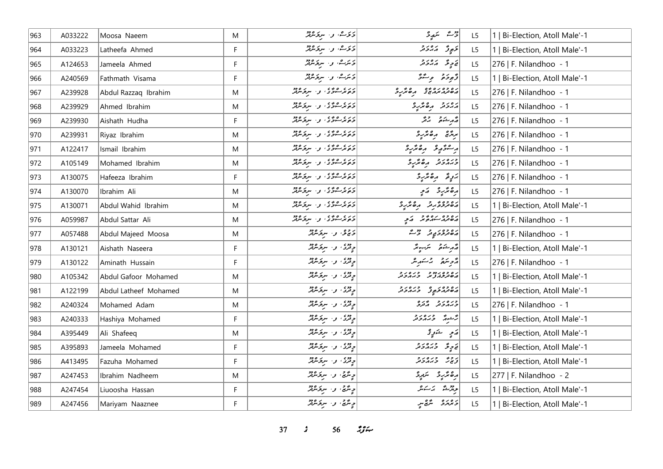| 963 | A033222 | Moosa Naeem           | M         | 55ش، و- سرقرمرټر                | رُ سَمِيرُ                                          | L <sub>5</sub> | 1   Bi-Election, Atoll Male'-1 |
|-----|---------|-----------------------|-----------|---------------------------------|-----------------------------------------------------|----------------|--------------------------------|
| 964 | A033223 | Latheefa Ahmed        | F.        | دىرے، و، سرومبرد                | توری په کار در د                                    | L5             | 1   Bi-Election, Atoll Male'-1 |
| 965 | A124653 | Jameela Ahmed         | F         | ۇترىش، بەر سېۋىترتىر            | يَا حِرِ عَلَمَ مَدَ حَرَ مَرْ                      | L5             | 276   F. Nilandhoo - 1         |
| 966 | A240569 | Fathmath Visama       | F.        | دىرے، بى سىزىدى                 | وٌبوحَمْ وِسَوَّ                                    | L5             | 1   Bi-Election, Atoll Male'-1 |
| 967 | A239928 | Abdul Razzaq Ibrahim  | M         | دره ۵۶۵ و. سرومبرد              | ره ده ره ده وه مر و                                 | L5             | 276   F. Nilandhoo - 1         |
| 968 | A239929 | Ahmed Ibrahim         | M         | دره ۱۵۵۵ و. سرومبرد             | رەرو مەھرىپ                                         | L5             | 276   F. Nilandhoo - 1         |
| 969 | A239930 | Aishath Hudha         | F         | دره ۱۵۵۵ و. سرومبرد             | د مرد د د تر                                        | L5             | 276   F. Nilandhoo - 1         |
| 970 | A239931 | Riyaz Ibrahim         | M         | ر د ، ه و ، ، و ، سرو میزد      | برزیج و محرّر د                                     | L5             | 276   F. Nilandhoo - 1         |
| 971 | A122417 | Ismail Ibrahim        | ${\sf M}$ | دره ووه و سروره د               | ر مؤرو رەئرو                                        | L5             | 276   F. Nilandhoo - 1         |
| 972 | A105149 | Mohamed Ibrahim       | M         | دره ووه، و سرومبرد              | ورەرو مەرو                                          | L5             | 276   F. Nilandhoo - 1         |
| 973 | A130075 | Hafeeza Ibrahim       | F.        | دره ووه، و سرگرمانه             | أيربر وهتربرد                                       | L5             | 276   F. Nilandhoo - 1         |
| 974 | A130070 | Ibrahim Ali           | M         | دره ۱۵۵۵ و. سروسرد              | رە ئرىر ئىي                                         | L5             | 276   F. Nilandhoo - 1         |
| 975 | A130071 | Abdul Wahid Ibrahim   | M         | دره ۱۵۵۵ و. سرپر ۱۶۵۵           | دەۋە ئەر مەھكەد                                     | L5             | 1   Bi-Election, Atoll Male'-1 |
| 976 | A059987 | Abdul Sattar Ali      | M         | دره ۱۵۵۵ و. سرومبرد             | د ۵۶۵ مره د و د کم م                                | L <sub>5</sub> | 276   F. Nilandhoo - 1         |
| 977 | A057488 | Abdul Majeed Moosa    | M         | دیږي، و، سرټرمرټر               | رەدەر پەر تەر                                       | L5             | 276   F. Nilandhoo - 1         |
| 978 | A130121 | Aishath Naseera       | F         | وقرى، وسيؤمريز                  | قەرىشكە قىسىر ئىسىر                                 | L5             | 1   Bi-Election, Atoll Male'-1 |
| 979 | A130122 | Aminath Hussain       | F.        | دوی او استروپی                  | دمحر سنقرم بالمستقرم المحمد                         | L5             | 276   F. Nilandhoo - 1         |
| 980 | A105342 | Abdul Gafoor Mohamed  | M         | وده و سرقرمود                   | ره ده در دو د در در د<br>  پره تر ژبر د تر تر تر تر | L5             | 1   Bi-Election, Atoll Male'-1 |
| 981 | A122199 | Abdul Latheef Mohamed | M         | دوه .<br>  د تری . و . سربرسرتر | د ۱۵۶۵ - د د د د و                                  | L5             | 1   Bi-Election, Atoll Male'-1 |
| 982 | A240324 | Mohamed Adam          | M         | دوي . د . سر <del>ت</del> و دود | وره رو په ده<br>وبرورو وترو                         | L5             | 276   F. Nilandhoo - 1         |
| 983 | A240333 | Hashiya Mohamed       | F         | دودې او استوسرې                 | رٌجه وره د                                          | L5             | 1   Bi-Election, Atoll Male'-1 |
| 984 | A395449 | Ali Shafeeq           | M         | دوی و سرکرمرد                   | پر په سندونو                                        | L5             | 1   Bi-Election, Atoll Male'-1 |
| 985 | A395893 | Jameela Mohamed       | F         | دوه .<br>  د تری . و . سربرسرتر | <br>  ق ح ح ح بر م د ح مر ح                         | L5             | 1   Bi-Election, Atoll Male'-1 |
| 986 | A413495 | Fazuha Mohamed        | F         | دوه .<br>  د تری . و . سربوسرتر | ترجر وره دو                                         | L5             | 1   Bi-Election, Atoll Male'-1 |
| 987 | A247453 | Ibrahim Nadheem       | M         | د پر په د سرکرمند               | بر®مَّرْرِدْ - سَرَبِرِدْ                           | L5             | $ 277 $ F. Nilandhoo - 2       |
| 988 | A247454 | Liuoosha Hassan       | F         | پر سر پر سر پر کردند            | جەرئىق ئەسكىلى                                      | L5             | 1   Bi-Election, Atoll Male'-1 |
| 989 | A247456 | Mariyam Naaznee       | F.        | د مريم، و البرو مرد             | دەرە شەس                                            | L5             | 1   Bi-Election, Atoll Male'-1 |

*37 s* 56 *<i>z*<sub>3</sub> *i*</sup>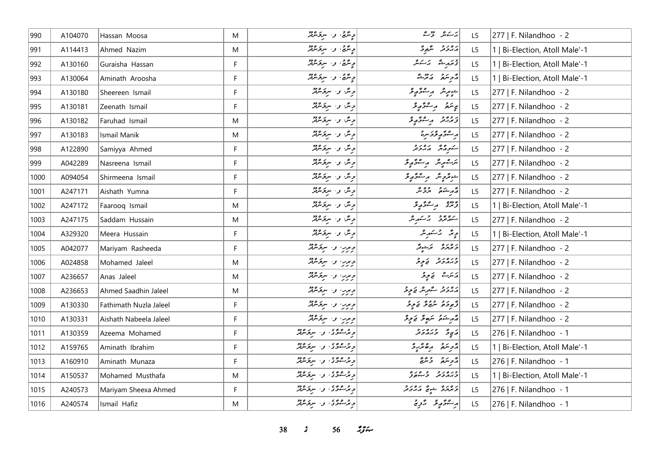| 990  | A104070 | Hassan Moosa           | M  | ج <i>ِ مَرَّجٌ، و- سِرْ مَرْتَرُ</i> | ير سەش تۇسىگە                   | L <sub>5</sub> | 277   F. Nilandhoo - 2         |
|------|---------|------------------------|----|--------------------------------------|---------------------------------|----------------|--------------------------------|
| 991  | A114413 | Ahmed Nazim            | M  | د مرگې ، و . سرو مرکز                | رەر د شھرى                      | L5             | 1   Bi-Election, Atoll Male'-1 |
| 992  | A130160 | Guraisha Hassan        | F  | وینگئی، و اسروکسربر                  | قىمرىق ئەسكىر                   | L5             | 1   Bi-Election, Atoll Male'-1 |
| 993  | A130064 | Aminath Aroosha        | F  | په تنگی کو ۱۰ سربر ۱۶۵ کل            | أترمر تمريح                     | L5             | 1   Bi-Election, Atoll Male'-1 |
| 994  | A130180 | Sheereen Ismail        | F  | ویگر، و- سرقرمرفر                    | شهرش وسطح ويحر                  | L <sub>5</sub> | 277   F. Nilandhoo - 2         |
| 995  | A130181 | Zeenath Ismail         | F. | ویگا و اسرفرمرفتر                    | پې سَمَرُ په مِستَوَمَرِ مُح    | L <sub>5</sub> | 277   F. Nilandhoo - 2         |
| 996  | A130182 | Faruhad Ismail         | M  | وینگ و- سربخسرفتر                    | زبرته را مرتگر پولو             | L5             | 277   F. Nilandhoo - 2         |
| 997  | A130183 | Ismail Manik           | M  | وینگ و- سربر تنزیقر                  | ر مشوَّر و د مريز               | L5             | 277   F. Nilandhoo - 2         |
| 998  | A122890 | Samiyya Ahmed          | F  | وینگ و- سربر مربع                    | ستورش رورو                      | L <sub>5</sub> | 277   F. Nilandhoo - 2         |
| 999  | A042289 | Nasreena Ismail        | F  | ویگ و سرگریزگر                       | برےبہرسمر پر پر موٹر پر قر      | L <sub>5</sub> | 277   F. Nilandhoo - 2         |
| 1000 | A094054 | Shirmeena Ismail       | F. | ویگن و سرگرمیند                      | جوعرج يتر برجود ويحر            | L5             | 277   F. Nilandhoo - 2         |
| 1001 | A247171 | Aishath Yumna          | F. | وینگ و- سربرگرفتر                    | محمد مشوق مروشر                 | L5             | 277   F. Nilandhoo - 2         |
| 1002 | A247172 | Faarooq Ismail         | M  | ویگ و- سرگریزیز                      | در ده در سرگاه کار              | L <sub>5</sub> | 1   Bi-Election, Atoll Male'-1 |
| 1003 | A247175 | Saddam Hussain         | M  | ویگ و- سرکرندگر                      | شەھرىقە ئەستىرلىش               | L <sub>5</sub> | 277   F. Nilandhoo - 2         |
| 1004 | A329320 | Meera Hussain          | F. | وینگ و- سربخسرفتر                    | دپر ترسکه پر                    | L <sub>5</sub> | 1   Bi-Election, Atoll Male'-1 |
| 1005 | A042077 | Mariyam Rasheeda       | F. | ویرب و سرپر مردم<br>  دربر           | دەرە بەئدىگر                    | L <sub>5</sub> | 277   F. Nilandhoo - 2         |
| 1006 | A024858 | Mohamed Jaleel         | M  | ویرب و سرنگرفتر                      | ورەر دىموتى                     | L5             | 277   F. Nilandhoo - 2         |
| 1007 | A236657 | Anas Jaleel            | M  | ویرب و سرونده                        | پر سَرِ کَے ہِ یَوْ             | L <sub>5</sub> | 277   F. Nilandhoo - 2         |
| 1008 | A236653 | Ahmed Saadhin Jaleel   | M  | دبربا والرقاقة                       | رەرو گەرش ئەربۇ                 | L <sub>5</sub> | 277   F. Nilandhoo - 2         |
| 1009 | A130330 | Fathimath Nuzla Jaleel | F. | ویرب و سرنگرفتر                      | ژٌجِ دَمَ صَحَرَ وَ مَرِ دَ     | L5             | 277   F. Nilandhoo - 2         |
| 1010 | A130331 | Aishath Nabeela Jaleel | F  | ویرر، و- سرندماند<br>  رزر او-       | رو شکاه انگلو سر انگلو می در شر | L <sub>5</sub> | 277   F. Nilandhoo - 2         |
| 1011 | A130359 | Azeema Mohamed         | F. | د و ه دی. د سروسرد                   | در په دره د د                   | L <sub>5</sub> | 276   F. Nilandhoo - 1         |
| 1012 | A159765 | Aminath Ibrahim        | F  | ویژگودی و البروژو                    | أروبتكم رەمزىرد                 | L5             | 1   Bi-Election, Atoll Male'-1 |
| 1013 | A160910 | Aminath Munaza         | F  | و پر شوی و سرپر میر                  | أزويتم وتتبع                    | L5             | 276   F. Nilandhoo - 1         |
| 1014 | A150537 | Mohamed Musthafa       | M  | د و و وی د سروسر                     | ورەرو وەرە                      | L5             | 1   Bi-Election, Atoll Male'-1 |
| 1015 | A240573 | Mariyam Sheexa Ahmed   | F  | د ده ده د سرورود                     | و مرمرو شيخ كرورو               | L <sub>5</sub> | 276   F. Nilandhoo - 1         |
| 1016 | A240574 | Ismail Hafiz           | M  | و و ه و و و سرپر ورد                 | پر سمو پر پر پر چ               | L5             | 276   F. Nilandhoo - 1         |

**38** *s* **56** *n***<sub>3</sub>** *n*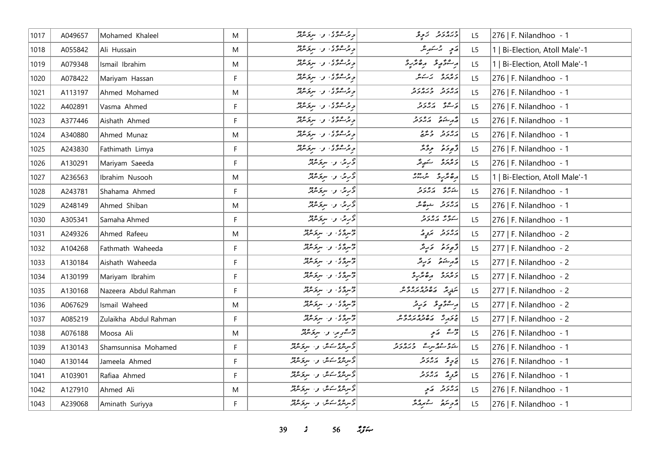| 1017 | A049657 | Mohamed Khaleel       | M  | ویژگوگوی و استرکوهیز                              | ورەر د تەرپى                         | L <sub>5</sub> | 276   F. Nilandhoo - 1         |
|------|---------|-----------------------|----|---------------------------------------------------|--------------------------------------|----------------|--------------------------------|
| 1018 | A055842 | Ali Hussain           | M  | د و ده دی و ا سروسرود                             | رَمِ بِرْسَهِ بِرْ                   | L <sub>5</sub> | 1   Bi-Election, Atoll Male'-1 |
| 1019 | A079348 | Ismail Ibrahim        | M  | ویژگوی و سرومین                                   | أرعوه وهرزو                          | L <sub>5</sub> | 1   Bi-Election, Atoll Male'-1 |
| 1020 | A078422 | Mariyam Hassan        | F. | د حرص د از سربر ۱۶۵                               | د ۱۳۶۵   بر کشکر                     | L5             | 276   F. Nilandhoo - 1         |
| 1021 | A113197 | Ahmed Mohamed         | M  | د حرص دی . د . سربر مردر                          | גפניק כנסניק<br>הגבע כגהכע           | L <sub>5</sub> | 276   F. Nilandhoo - 1         |
| 1022 | A402891 | Vasma Ahmed           | F. | د پر شوی و سربر میر                               | ى ھەش ئەرەبەر                        | L5             | 276   F. Nilandhoo - 1         |
| 1023 | A377446 | Aishath Ahmed         | F  | د پر شوی و سربر میر                               | أصمر شدة مسترد ور                    | L5             | 276   F. Nilandhoo - 1         |
| 1024 | A340880 | Ahmed Munaz           | M  | د و ده وی و . سروکرد                              | رەرو وش                              | L <sub>5</sub> | 276   F. Nilandhoo - 1         |
| 1025 | A243830 | Fathimath Limya       | F. | د و ه دی. د ا سرو مرد                             | وٌمودَهُ دِوْسٌ                      | L <sub>5</sub> | 276   F. Nilandhoo - 1         |
| 1026 | A130291 | Mariyam Saeeda        | F  | وربر، واسروسر                                     | دەرە سەرىگە                          | L5             | 276   F. Nilandhoo - 1         |
| 1027 | A236563 | Ibrahim Nusooh        | M  | دربر، و سروکرد                                    | ده تر ده ده دوه<br>  ده تر تر سر دوه | L5             | 1   Bi-Election, Atoll Male'-1 |
| 1028 | A243781 | Shahama Ahmed         | F  | وګریز، و۰ سروکلنډ                                 | شەرىخ كەردى                          | L5             | 276   F. Nilandhoo - 1         |
| 1029 | A248149 | Ahmed Shiban          | M  | وَرِيْنَ وَ سِرْقَاشِيْرٌ                         | أربرو ويدهم                          | L <sub>5</sub> | 276   F. Nilandhoo - 1         |
| 1030 | A305341 | Samaha Ahmed          | F  | وګریز، و۰ سروکلنډ                                 | سەۋىر برەر د                         | L5             | 276   F. Nilandhoo - 1         |
| 1031 | A249326 | Ahmed Rafeeu          | M  | 3°سرگان او اسر کرده دو                            | پرور د بروړ                          | L5             | 277   F. Nilandhoo - 2         |
| 1032 | A104268 | Fathmath Waheeda      | F  | د سرگان و سرگرمور                                 | وَجِوحَة وَرِيْدَ                    | L5             | 277   F. Nilandhoo - 2         |
| 1033 | A130184 | Aishath Waheeda       | F. | 3سرگەمى، ئەسىر ئىبرى                              | وَأَمْرِ شَنَاهُمْ = وَكَرِ فَرْ     | L5             | 277   F. Nilandhoo - 2         |
| 1034 | A130199 | Mariyam Ibrahim       | F. | دروی و سرفرماند                                   | د مرمزد ره مربرد                     | L5             | 277   F. Nilandhoo - 2         |
| 1035 | A130168 | Nazeera Abdul Rahman  | F  | دهردگی، و اسربر مرد                               | برز ده ده ده ده و                    | L <sub>5</sub> | 277   F. Nilandhoo - 2         |
| 1036 | A067629 | Ismail Waheed         | M  | دروی و سرومبرد                                    | أراعتم وتماريم                       | L <sub>5</sub> | 277   F. Nilandhoo - 2         |
| 1037 | A085219 | Zulaikha Abdul Rahman | F  | اد ده ده از مرد ۱۶۵ مختلفر<br>د سرگان از مرکز مرد | در دی می ده ده ده ده م               | L5             | 277   F. Nilandhoo - 2         |
| 1038 | A076188 | Moosa Ali             | M  | وصمي والبرودية                                    | رژشت که پر                           | L <sub>5</sub> | 276   F. Nilandhoo - 1         |
| 1039 | A130143 | Shamsunnisa Mohamed   | F. | ئۇس ئۇسكەش بىر سېرىتىرلىر                         | شوشور ورەرو                          | L5             | 276   F. Nilandhoo - 1         |
| 1040 | A130144 | Jameela Ahmed         | F  | ئۇس <sub>ت</sub> قرىمى <i>گەن بىر سوپۇسىتى</i> ر  | ق ح ح ح م ي ح ح حر                   | L5             | 276   F. Nilandhoo - 1         |
| 1041 | A103901 | Rafiaa Ahmed          | F  | ئۇس ئۆركەش بىر سىر <i>ى ئۆرلۈ</i> ر               | پژوِرْ سی پرورو                      | L5             | 276   F. Nilandhoo - 1         |
| 1042 | A127910 | Ahmed Ali             | Μ  | ۇسرىئرى كەش بىر سرىخ ئىرلىر                       | پروژ په په                           | L <sub>5</sub> | 276   F. Nilandhoo - 1         |
| 1043 | A239068 | Aminath Suriyya       | F. | 2سرمری کے ملک اور اسریکر میں<br> 2سرمری کے ملک    | أو جامع المستمر المراجع              | L5             | 276   F. Nilandhoo - 1         |

**39** *s* **56** *i***<sub>S</sub>** $\approx$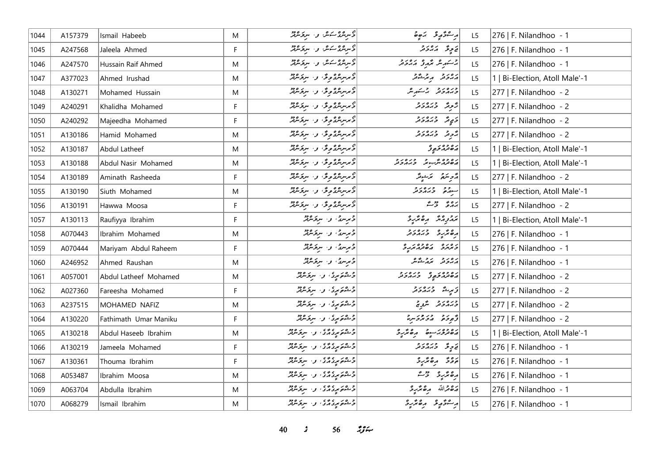| 1044 | A157379 | Ismail Habeeb         | M           | توسرىندى كەنگە <sub>ن ك</sub> ور س <sub>رى</sub> غ ئىرىد       | ر شرگې ته شوه                           | L <sub>5</sub> | 276   F. Nilandhoo - 1         |
|------|---------|-----------------------|-------------|----------------------------------------------------------------|-----------------------------------------|----------------|--------------------------------|
| 1045 | A247568 | Jaleela Ahmed         | F           | ئۇس ئۇسىدىك بولىسىدە ئۆزگەر                                    | يَا جِرِ حَدَّ مَدْ يَا جَمْدَ مَدْ     | L5             | 276   F. Nilandhoo - 1         |
| 1046 | A247570 | Hussain Raif Ahmed    | M           | وسرچور شهر اور سرچسرچر                                         | پر سکر مرکز میگرویمر                    | L5             | 276   F. Nilandhoo - 1         |
| 1047 | A377023 | Ahmed Irushad         | M           | دىرىبرىدى يۇ ئەر سرىزىدىن                                      | أرەر دېر شەھ                            | L5             | 1   Bi-Election, Atoll Male'-1 |
| 1048 | A130271 | Mohamed Hussain       | M           | وىرسرىندىمۇ ، ر. سرىزىندىز                                     | ورەرو ئەسىر ش                           | L5             | 277   F. Nilandhoo - 2         |
| 1049 | A240291 | Khalidha Mohamed      | F.          | ۇىرسرىئرى بوق بول سرىزىندىز                                    | د دره دره د                             | L5             | 277   F. Nilandhoo - 2         |
| 1050 | A240292 | Majeedha Mohamed      | F           | ۇىرسرىئرى بوق بول سرىزىندىز                                    | د پوتر وره رو                           | L5             | 277   F. Nilandhoo - 2         |
| 1051 | A130186 | Hamid Mohamed         | M           | ۇىرسرىئرى بوق بول سرىزىندىز                                    | پژوند وره دو                            | L5             | 277   F. Nilandhoo - 2         |
| 1052 | A130187 | Abdul Latheef         | M           | ۇىرىرىگرى ئۇن سرىزىللە                                         | ړه وه د پور                             | L5             | 1   Bi-Election, Atoll Male'-1 |
| 1053 | A130188 | Abdul Nasir Mohamed   | M           | ۇىرسرىئرى بۇق بەر سرىزىنزلىر                                   | ره وه شهر وره رو                        | L <sub>5</sub> | 1   Bi-Election, Atoll Male'-1 |
| 1054 | A130189 | Aminath Rasheeda      | F           | ۇىرسىترىمۇس ر. سرىزىنىڭ                                        | مزهر سمني مراكبه مركز                   | L5             | 277   F. Nilandhoo - 2         |
| 1055 | A130190 | Siuth Mohamed         | M           | ۇىرسرىئرى بوق بول سرىۋىنىڭ                                     | سود وره دو<br>سوره وبردونر              | L5             | 1   Bi-Election, Atoll Male'-1 |
| 1056 | A130191 | Hawwa Moosa           | F.          | ۇىرسىترىمۇس ر. سرىزىنىڭ                                        | بره و دهه                               | L5             | 277   F. Nilandhoo - 2         |
| 1057 | A130113 | Raufiyya Ibrahim      | F.          | 3 مرسرچ، و- سربر مرد                                           | גבנה הפיליב                             | L5             | 1   Bi-Election, Atoll Male'-1 |
| 1058 | A070443 | Ibrahim Mohamed       | M           | ولمرس والبرقرور                                                |                                         | L <sub>5</sub> | 276   F. Nilandhoo - 1         |
| 1059 | A070444 | Mariyam Abdul Raheem  | F           | درسری و سرگرمزند                                               | מינים נפרפינים                          | L5             | 276   F. Nilandhoo - 1         |
| 1060 | A246952 | Ahmed Raushan         | M           | وَمِرْسُ وَاسِرَقَهُمْ                                         | رەرە بەرشەر                             | L5             | 276   F. Nilandhoo - 1         |
| 1061 | A057001 | Abdul Latheef Mohamed | M           | وعرض والسرقر ملاحظ                                             | د ۱۵۶۵ و د ۱۵۷۶                         | L <sub>5</sub> | 277   F. Nilandhoo - 2         |
| 1062 | A027360 | Fareesha Mohamed      | F.          | د هم پری و سرگرمهر                                             | توسط وره د و                            | L5             | 277   F. Nilandhoo - 2         |
| 1063 | A237515 | MOHAMED NAFIZ         | M           | وَجْمُوَمِرِیْ وَ سِرْقَاشِرْ                                  | ورەرو شرح                               | L5             | 277   F. Nilandhoo - 2         |
| 1064 | A130220 | Fathimath Umar Maniku | F           | و ۵ د ر په د سرگرماند<br>  د شوم مړي و سرگرماند                | أو برو وبرور برد                        | L5             | 277   F. Nilandhoo - 2         |
| 1065 | A130218 | Abdul Haseeb Ibrahim  | M           | و ۵ د ۲۵ د ۲۰ و ۱۰ سربر ۱۶۶۵                                   | رەدورىيە مەئرى                          | L5             | 1   Bi-Election, Atoll Male'-1 |
| 1066 | A130219 | Jameela Mohamed       | F           | و ۵ د ۲۵ د ۲۵<br>  و شهر د د د ۲۵ د ۲۵ د مرکز مرکز             | د په دره د د                            | L5             | 276   F. Nilandhoo - 1         |
| 1067 | A130361 | Thouma Ibrahim        | $\mathsf F$ | وَجْهُوَ مِرْدَارُدُ ﴾ و البروكلولو                            | ده ده مرد                               | L5             | 276   F. Nilandhoo - 1         |
| 1068 | A053487 | Ibrahim Moosa         | M           | و ۵ د ۲ د ۲ د ۲ د سربوس                                        | أرە ئۆرە ھەم                            | L <sub>5</sub> | 276   F. Nilandhoo - 1         |
| 1069 | A063704 | Abdulla Ibrahim       | M           | د ۱۳۵ م د ۲۵ و۰ سرگرمونز                                       | رەقماللە مەھەرد                         | L5             | 276   F. Nilandhoo - 1         |
| 1070 | A068279 | Ismail Ibrahim        | M           | و ۵ د پره ده و ۱۰ سربوسربر<br>  و شونو پرو در د او ۱۰ سربوسربر | رامو الموقع المعالم المعالم المعالم الم | L5             | 276   F. Nilandhoo - 1         |

*40 s* 56 *i*<sub>S</sub> $\approx$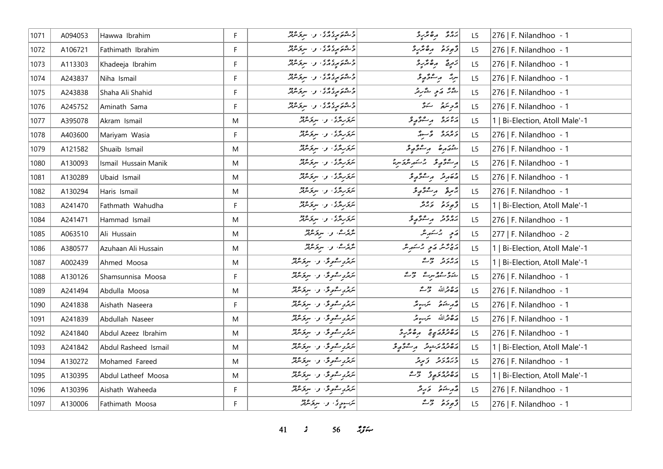| 1071 | A094053 | Hawwa Ibrahim        | F            | د ده د بره ده و . سرگرماند                      | بروء رەئزېر                     | L <sub>5</sub> | 276   F. Nilandhoo - 1         |
|------|---------|----------------------|--------------|-------------------------------------------------|---------------------------------|----------------|--------------------------------|
| 1072 | A106721 | Fathimath Ibrahim    | F            | و ۱۵ م و و و و د او د برخ مرد و دو              | توجدة مقترع                     | L5             | 276   F. Nilandhoo - 1         |
| 1073 | A113303 | Khadeeja Ibrahim     | F            | و ۵ د ۲۵ د و ۱۰ سرپوس                           | زرة رەئزرۇ                      | L5             | 276   F. Nilandhoo - 1         |
| 1074 | A243837 | Niha Ismail          | $\mathsf F$  | و ۵ د ۲۵ د ۲۰ و ۱۰ سربر ۹۶۵                     | سرشم مرسفتم محمد و              | L5             | 276   F. Nilandhoo - 1         |
| 1075 | A243838 | Shaha Ali Shahid     | F            | و ۵ د ۲۵ د ۲۵<br>  و شوه مرد د د ۲ و ۱ سربوسربر | لمثركا كالمح المشرقر            | L <sub>5</sub> | 276   F. Nilandhoo - 1         |
| 1076 | A245752 | Aminath Sama         | F            | و ۵ د ۲۵ د ۲۰ و۰ سرگرمزند                       | مزهر منتقر                      | L5             | 276   F. Nilandhoo - 1         |
| 1077 | A395078 | Akram Ismail         | M            | ئىرتجەر ئىرى بىر بىر ئىر ئىرلىر                 | رەبرە بەستىۋېرى                 | L5             | 1   Bi-Election, Atoll Male'-1 |
| 1078 | A403600 | Mariyam Wasia        | F            | لترقر برمزق والمسرقر مرقد                       | ويوره ومسهو                     | L5             | 276   F. Nilandhoo - 1         |
| 1079 | A121582 | Shuaib Ismail        | M            | مَتَوَرِيْرُى } و الرقائيل                      | شمكرة رئيمو                     | L5             | 276   F. Nilandhoo - 1         |
| 1080 | A130093 | Ismail Hussain Manik | M            | مَرَكَزِيرُدُّى، و. سِرْكَرْمَلَّذِ             | ر قوم د سامر مرد مرد            | L5             | 276   F. Nilandhoo - 1         |
| 1081 | A130289 | Ubaid Ismail         | M            | مرکز مردم و استر مردم دو                        | دەرىر رەشۇرى                    | L5             | 276   F. Nilandhoo - 1         |
| 1082 | A130294 | Haris Ismail         | M            | پروگروی و سروه پو                               | شعره مرسوشور                    | L5             | 276   F. Nilandhoo - 1         |
| 1083 | A241470 | Fathmath Wahudha     | $\mathsf F$  | ئىرقرىر ئەن سېۋىترلىر                           | وٌموحَمْ وَبَرْتَرُ             | L5             | 1   Bi-Election, Atoll Male'-1 |
| 1084 | A241471 | Hammad Ismail        | M            | پرتوبردی و سرترمین                              | برە بور مەشرىم بو               | L5             | 276   F. Nilandhoo - 1         |
| 1085 | A063510 | Ali Hussain          | M            | شركرے، و. سركرمركز                              | پر پور پر شکر پر                | L5             | 277   F. Nilandhoo - 2         |
| 1086 | A380577 | Azuhaan Ali Hussain  | M            | شرکرے، وسیوکروژ                                 | روم ته که په برگسته په          | L5             | 1   Bi-Election, Atoll Male'-1 |
| 1087 | A002439 | Ahmed Moosa          | M            | يرچري کيمونځا او ا سرپوسرټر                     | رەر دىگ                         | L5             | 1   Bi-Election, Atoll Male'-1 |
| 1088 | A130126 | Shamsunnisa Moosa    | F            | سَمَّرَ سُمُومٌ وَ سَرَوْسَهُ                   | شور وومريد وسم                  | L <sub>5</sub> | 276   F. Nilandhoo - 1         |
| 1089 | A241494 | Abdulla Moosa        | M            | ئىرقما يەھمۇق بەر ئىرقىتىرلىر                   | مَدْهُ قَرْاللّه حَقَّ تَ       | L5             | 276   F. Nilandhoo - 1         |
| 1090 | A241838 | Aishath Naseera      | $\mathsf F$  | شهر سموی و سروسمد                               | أقرم شكرة التكريبونتر           | L5             | 276   F. Nilandhoo - 1         |
| 1091 | A241839 | Abdullah Naseer      | M            | مریز پر شوی و سربر معر                          | أرَّة مَّرَاللَّهُ مَرَسِوِمِرْ | L5             | 276   F. Nilandhoo - 1         |
| 1092 | A241840 | Abdul Azeez Ibrahim  | M            | يرچري کيمونځا او ا سرپوسرټر                     | גפננגים גפתיל                   | L5             | 276   F. Nilandhoo - 1         |
| 1093 | A241842 | Abdul Rasheed Ismail | M            | مریزی کے موثق اور استریکرفتر                    | دەۋە ئەجەد بەستۇر ئو            | L5             | 1   Bi-Election, Atoll Male'-1 |
| 1094 | A130272 | Mohamed Fareed       | M            | برچرى شوى و. بىرىدىق                            | ورەر ئەتەر                      | L5             | 276   F. Nilandhoo - 1         |
| 1095 | A130395 | Abdul Latheef Moosa  | M            | لىرىموگەرى بە سرىكەنلەر                         | دەدەر ۋە دەك                    | L5             | 1   Bi-Election, Atoll Male'-1 |
| 1096 | A130396 | Aishath Waheeda      | $\mathsf{F}$ | ترېژو کومونځ، او، اسریز ترګټر                   | د م شرح کر د د گر               | L5             | 276   F. Nilandhoo - 1         |
| 1097 | A130006 | Fathimath Moosa      | F.           | سَ سِوِيٌّ، وَ سَرِيَتَ مِنْ لَهُمْ             | د پوځو چې                       | L5             | 276   F. Nilandhoo - 1         |

*s* 56 *ig*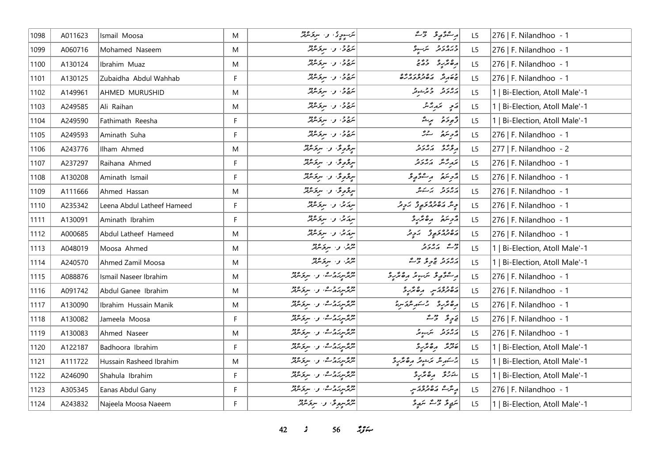| 1098 | A011623 | Ismail Moosa               | M | ىكرسوچ، بەر سركەنلەتتى                                                                                | بر شۇم ئىس ئىست                                          | L <sub>5</sub> | 276   F. Nilandhoo - 1         |
|------|---------|----------------------------|---|-------------------------------------------------------------------------------------------------------|----------------------------------------------------------|----------------|--------------------------------|
| 1099 | A060716 | Mohamed Naseem             | M | شجرحى، و- سرىكرىمىتى                                                                                  | ورەرو شەر                                                | L5             | 276   F. Nilandhoo - 1         |
| 1100 | A130124 | Ibrahim Muaz               | M | بروج، و- سرکرمرکز                                                                                     | ده تدره دوره<br>  ده تدره دوره                           | L5             | 276   F. Nilandhoo - 1         |
| 1101 | A130125 | Zubaidha Abdul Wahhab      | F | سَرِج ح ، و ، سِرجَ سَرْتِهْرٌ                                                                        | ور و ده وه ده وه                                         | L5             | 276   F. Nilandhoo - 1         |
| 1102 | A149961 | AHMED MURUSHID             | M | سَرِجْ حِ، وَ، سِرْجَامَرْتُمْرِ                                                                      | أرور ويرشور                                              | L5             | 1   Bi-Election, Atoll Male'-1 |
| 1103 | A249585 | Ali Raihan                 | M | ئىرج ئە بىر سىرىكە ئەر                                                                                | رَمِي سَمَدِيَّتْرُ                                      | L5             | 1   Bi-Election, Atoll Male'-1 |
| 1104 | A249590 | Fathimath Reesha           | F | ىردۇ، بەر سرىرىدىگە                                                                                   | وَجرِدَة لِ سِنَّة                                       | L5             | 1   Bi-Election, Atoll Male'-1 |
| 1105 | A249593 | Aminath Suha               | F | ىترىمى ئەسترىھىر                                                                                      | رژح سر مشرقه                                             | L5             | 276   F. Nilandhoo - 1         |
| 1106 | A243776 | Ilham Ahmed                | M | سرگرمرگی و سرکرمیٹر                                                                                   | برورو برەر د                                             | L <sub>5</sub> | 277   F. Nilandhoo - 2         |
| 1107 | A237297 | Raihana Ahmed              | F | سرگرموگر، و اسرکرمورد                                                                                 | بزرگر مهرور و                                            | L <sub>5</sub> | 276   F. Nilandhoo - 1         |
| 1108 | A130208 | Aminath Ismail             | F | سرچمونځا وا سرچمند                                                                                    | دوسمه رواد ويو                                           | L <sub>5</sub> | 276   F. Nilandhoo - 1         |
| 1109 | A111666 | Ahmed Hassan               | M | سرقروق واسرقرمرتز                                                                                     | رەرد برىكە                                               | L <sub>5</sub> | 276   F. Nilandhoo - 1         |
| 1110 | A235342 | Leena Abdul Latheef Hameed | F | سرمگر، وسیر سربر شرقتر                                                                                | وِیتَر ماه وه دَو وَ آرام و تَدَ                         | L5             | 276   F. Nilandhoo - 1         |
| 1111 | A130091 | Aminath Ibrahim            | F | سرم می او سرمح مرفق                                                                                   | أأزويتهم وقاريره                                         | L <sub>5</sub> | 276   F. Nilandhoo - 1         |
| 1112 | A000685 | Abdul Latheef Hameed       | M | سرمانی، وسیر سربر شرفتر                                                                               | رەۋە ئەچ ئەچ ئىكەن                                       | L5             | 276   F. Nilandhoo - 1         |
| 1113 | A048019 | Moosa Ahmed                | M | شرحی، و استِکرشویژ                                                                                    | وقت كەندونى                                              | L5             | 1   Bi-Election, Atoll Male'-1 |
| 1114 | A240570 | Ahmed Zamil Moosa          | M | شریح، و اسرنج مرکز                                                                                    | دەرە پەرو ۋە                                             | L <sub>5</sub> | 1   Bi-Election, Atoll Male'-1 |
| 1115 | A088876 | Ismail Naseer Ibrahim      | M | شرمز مرد مع المسر من المسر من المسر من المسر من المسر من المسر من المسر من المسر من المسر من المسر من | أرجع ويؤيد المستر المتحديد                               | L <sub>5</sub> | 276   F. Nilandhoo - 1         |
| 1116 | A091742 | Abdul Ganee Ibrahim        | M |                                                                                                       | פיניק הסתקיב                                             | L <sub>5</sub> | 276   F. Nilandhoo - 1         |
| 1117 | A130090 | Ibrahim Hussain Manik      | M | شهرسر دیم. و سرخسد                                                                                    | أرە ئەر ئەسەر شەھرىدە                                    | L5             | 276   F. Nilandhoo - 1         |
| 1118 | A130082 | Jameela Moosa              | F | شهر سرزمر والمسروجين                                                                                  | $\begin{bmatrix} 2 & 2 & 3 \\ -2 & 2 & 5 \end{bmatrix}$  | L5             | 276   F. Nilandhoo - 1         |
| 1119 | A130083 | Ahmed Naseer               | M |                                                                                                       | پرورو سکیلومر                                            | L <sub>5</sub> | 276   F. Nilandhoo - 1         |
| 1120 | A122187 | Badhoora Ibrahim           | F | شمرسر مرکز میں اس کا مرکز میں ہوتا ہے                                                                 | 200 مرے محرر د                                           | L5             | 1   Bi-Election, Atoll Male'-1 |
| 1121 | A111722 | Hussain Rasheed Ibrahim    | M | مریم سر بر مریم میکرد و در<br>  سریم سربر بر مرگ سر مریم مریم                                         | پر سکر مر شونر ارده تر رو<br>  پر سکر مر شوند ارده تر رو | L5             | 1   Bi-Election, Atoll Male'-1 |
| 1122 | A246090 | Shahula Ibrahim            | F | پیرسر بر ده ۱۰ و ۱۰ سربر ۱۶۵۵<br>  سربر سربر سربر اسربر سربر                                          | شركرقى مرەكرىرى                                          | L <sub>5</sub> | Bi-Election, Atoll Male'-1     |
| 1123 | A305345 | Eanas Abdul Gany           | F | تربر سرز برگ و . سربر مرد                                                                             | أريثر شاه معاملاته المعنى                                | L5             | 276   F. Nilandhoo - 1         |
| 1124 | A243832 | Najeela Moosa Naeem        | F | شهرسرمرق و سرقرمرش                                                                                    | سَمِعٌ وَ سَمَ سَمِهِ وَ                                 | L5             | 1   Bi-Election, Atoll Male'-1 |

*42 s* 56 *zg*<sub>2</sub>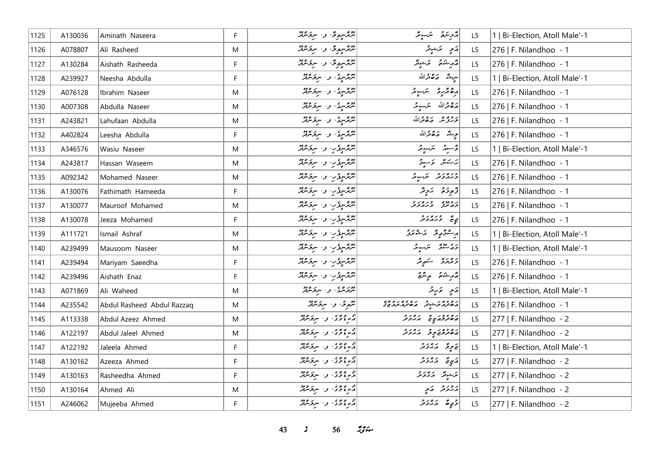| 1125           | A130036 | Aminath Naseera            | F           | مر پر <sub>سر ک</sub> ور مرکز میں مقرر میں مقرر میں مقرر میں مقرر میں مقرر میں مقرر میں مقرر میں مقرر میں مقرر میں مقرر م<br>مقرر مقرر میں مقرر میں مقرر میں مقرر میں مقرر میں مقرر میں مقرر میں مقرر میں مقرر میں مقرر میں مقرر میں مقرر | أقرمتكم التهبوشر                                                                               | L <sub>5</sub> | 1   Bi-Election, Atoll Male'-1 |
|----------------|---------|----------------------------|-------------|-------------------------------------------------------------------------------------------------------------------------------------------------------------------------------------------------------------------------------------------|------------------------------------------------------------------------------------------------|----------------|--------------------------------|
| 1126           | A078807 | Ali Rasheed                | M           | شگېرمونځا وا سرنځ شتر                                                                                                                                                                                                                     | پر سي سي پر شوند                                                                               | L5             | 276   F. Nilandhoo - 1         |
| 1127           | A130284 | Aishath Rasheeda           | F           | شگەرموگە: 1. سرگرىقتر                                                                                                                                                                                                                     | أَمَّهُ مِشْتُمَ مَنْ يَشْتَمَّةٌ                                                              | L5             | 276   F. Nilandhoo - 1         |
| 1128           | A239927 | Neesha Abdulla             | F           | سرچرسوی، و. سرچرمرفتر                                                                                                                                                                                                                     | سِيشٌ صَهْقَراللَّه                                                                            | L5             | 1   Bi-Election, Atoll Male'-1 |
| 1129           | A076128 | Ibrahim Naseer             | M           | شرمزسری، و اسرمحامرتز                                                                                                                                                                                                                     | أرە ئۇر ئىسىر ئىسىر                                                                            | L <sub>5</sub> | 276   F. Nilandhoo - 1         |
| 1130           | A007308 | Abdulla Naseer             | M           | شهرسی، و سرفرمرفتر                                                                                                                                                                                                                        | رَصْحْرَاللّهُ تَرَسِعِيمُ                                                                     | L <sub>5</sub> | 276   F. Nilandhoo - 1         |
| 1131           | A243821 | Lahufaan Abdulla           | M           | شرمگرسیدگی و استروکلیند                                                                                                                                                                                                                   | ترويوه ره والله                                                                                | L5             | 276   F. Nilandhoo - 1         |
| 1132           | A402824 | Leesha Abdulla             | F           | مرگر سرگر بر سرگر مرکز<br>مرگر سرگر سرگر مرکز                                                                                                                                                                                             | يوِينَة كَ صَفْرَاللَّهِ                                                                       | L <sub>5</sub> | 276   F. Nilandhoo - 1         |
| 1133           | A346576 | Wasiu Naseer               | M           | شرمح سرور، وسربر عرفته                                                                                                                                                                                                                    | قرسور سندسور                                                                                   | L5             | 1   Bi-Election, Atoll Male'-1 |
| 1134           | A243817 | Hassan Waseem              | M           | شمرسروین و سربرمدیند                                                                                                                                                                                                                      | پرستمبر کا کار کے حاصرت                                                                        | L <sub>5</sub> | 276   F. Nilandhoo - 1         |
| 1135           | A092342 | Mohamed Naseer             | M           | شمرسوکرین و سربر مرکز                                                                                                                                                                                                                     | دبره بر دبر سربر بر                                                                            | L5             | 276   F. Nilandhoo - 1         |
| 1136           | A130076 | Fathimath Hameeda          | F           | شرمح سرور المسروك المركز                                                                                                                                                                                                                  | ژَّجِرَةَ جَنَّ جَدَّ                                                                          | L5             | 276   F. Nilandhoo - 1         |
| 1137           | A130077 | Mauroof Mohamed            | M           | شرمگیریزب و سرفرمرفتر                                                                                                                                                                                                                     | ני פנים יכנים ניבי<br>המינות הממיכות                                                           | L <sub>5</sub> | 276   F. Nilandhoo - 1         |
| 1138           | A130078 | Jeeza Mohamed              | F           | شرمخ سریکریس و اسر بحر شرقته                                                                                                                                                                                                              | يې تنځ د جره رح                                                                                | L5             | 276   F. Nilandhoo - 1         |
| 1139           | A111721 | Ismail Ashraf              | M           | شمرسروین و سربرمدیند                                                                                                                                                                                                                      | ر شۇر ئەشمەر                                                                                   | L <sub>5</sub> | 1   Bi-Election, Atoll Male'-1 |
| $ 1140\rangle$ | A239499 | Mausoom Naseer             | M           | شرمح سرور، وسربر عرفته                                                                                                                                                                                                                    | د د دوه په پېړۍ په د                                                                           | L5             | 1   Bi-Election, Atoll Male'-1 |
| 1141           | A239494 | Mariyam Saeedha            | F           | شرم میکرد و سر <i>کار</i> میکرد.<br>مسیح سر کار میکرد که میکرد و میکرد                                                                                                                                                                    | د ۱۳ په شر شر ش                                                                                | L5             | 276   F. Nilandhoo - 1         |
| 1142           | A239496 | Aishath Enaz               | F           | شرمح سرع مرکز مرکز مرکز                                                                                                                                                                                                                   | قەرشىقى يېشى                                                                                   | L <sub>5</sub> | 276   F. Nilandhoo - 1         |
| 1143           | A071869 | Ali Waheed                 | M           | پیرسری، و ا سرخسرفتر                                                                                                                                                                                                                      | ړی تر پر                                                                                       | L5             | 1   Bi-Election, Atoll Male'-1 |
| 1144           | A235542 | Abdul Rasheed Abdul Razzaq | M           | شروقى: والسرىح سركة وفر                                                                                                                                                                                                                   | <br>  پره تر پر سوتر در ه تر پر تر پر تو تو ه<br>  پره تر پر تر تو تر است تر بر تر تر تو تو تو | L <sub>5</sub> | 276   F. Nilandhoo - 1         |
| 1145           | A113338 | Abdul Azeez Ahmed          | M           | در ۱۶۵ و. سرومبرد                                                                                                                                                                                                                         | رە دەرىپى مەدد                                                                                 | L <sub>5</sub> | $ 277 $ F. Nilandhoo - 2       |
| 1146           | A122197 | Abdul Jaleel Ahmed         | M           | در ۱۶۵ و. سرومبرد                                                                                                                                                                                                                         | دەۋەر بەر ئەرەر د                                                                              | L5             | 277   F. Nilandhoo - 2         |
| 1147           | A122192 | Jaleela Ahmed              | F           | م ده ده د سرگرماند.<br>مربع څک و سرگرماند                                                                                                                                                                                                 | فَاحٍ فِرَّ أَمَدُونَ لَهُ أَ                                                                  | L5             | 1   Bi-Election, Atoll Male'-1 |
| 1148           | A130162 | Azeeza Ahmed               | $\mathsf F$ | ا در ۱۶۵ و سربر دور<br>امر د بر د سربر مرکز                                                                                                                                                                                               | دَيِيحٌ دَرُورٌ                                                                                | L5             | 277   F. Nilandhoo - 2         |
| 1149           | A130163 | Rasheedha Ahmed            | F           | ا در دود .<br>او در دو . سربر مرکز مرکز                                                                                                                                                                                                   | پرېشونژ د پرونر                                                                                | L5             | 277   F. Nilandhoo - 2         |
| 1150           | A130164 | Ahmed Ali                  | M           | اړ <i>نا ووی و سرفرمان</i> د                                                                                                                                                                                                              | پروژ په په                                                                                     | L5             | 277   F. Nilandhoo - 2         |
| 1151           | A246062 | Mujeeba Ahmed              | F           | ا در دور از مرکز دور است.<br>او در دور است در مرکز دور در ایران                                                                                                                                                                           | دَمٍ صَدَر در م                                                                                | L5             | $ 277 $ F. Nilandhoo - 2       |

*s* 56 *ig*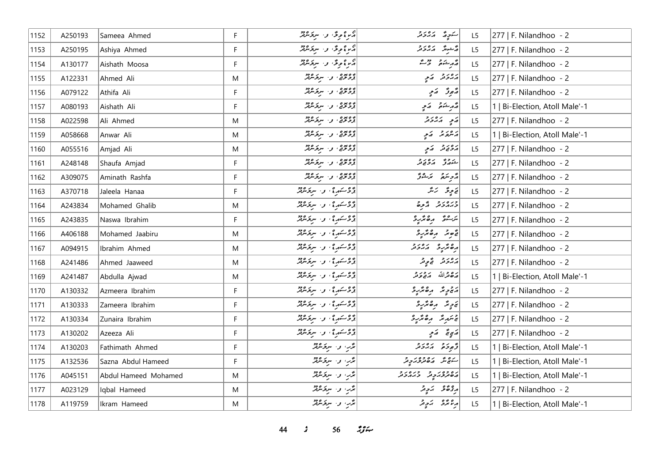| 1152 | A250193 | Sameea Ahmed         | F.        | دراع ویخ، و- سربختاند                    | سكورة المترونر             | L5             | 277   F. Nilandhoo - 2         |
|------|---------|----------------------|-----------|------------------------------------------|----------------------------|----------------|--------------------------------|
| 1153 | A250195 | Ashiya Ahmed         | F         | م ديموگر، و <sub>اس</sub> تر ميوه<br>م   | پیشور کرد در د             | L <sub>5</sub> | 277   F. Nilandhoo - 2         |
| 1154 | A130177 | Aishath Moosa        | F         | دىر؟ <sub>قو</sub> ى ن-س <i>رى ئاڭ</i> ر | أَمَّ مِرْ شَمَّعَ وَسَمَّ | L5             | $ 277 $ F. Nilandhoo - 2       |
| 1155 | A122331 | Ahmed Ali            | M         | دەيدە ، د سرىكىنىڭ                       | پروژو کامچ                 | L5             | $ 277 $ F. Nilandhoo - 2       |
| 1156 | A079122 | Athifa Ali           | F         | د مونی و سرکرمرد                         | مَّ جو تَرَ ج              | L <sub>5</sub> | $ 277 $ F. Nilandhoo - 2       |
| 1157 | A080193 | Aishath Ali          | F.        | دەيدە ، ئ سرىر دود                       | أقرم شنقى أقرمي            | L5             | 1   Bi-Election, Atoll Male'-1 |
| 1158 | A022598 | Ali Ahmed            | M         | دەيدە، بەر سېۋىترلىر                     | پر پر پر د                 | L5             | 277   F. Nilandhoo - 2         |
| 1159 | A058668 | Anwar Ali            | M         | دەيدە ، ر. سىزىدە :                      | أرعدته أركمي               | L <sub>5</sub> | 1   Bi-Election, Atoll Male'-1 |
| 1160 | A055516 | Amjad Ali            | M         | د مده . د . سرکرمه                       | پروړو کمي                  | L5             | 277   F. Nilandhoo - 2         |
| 1161 | A248148 | Shaufa Amjad         | F.        | دەپىرە، بەر سېڭەشلەر                     | شەرق كەھرىر                | L <sub>5</sub> | 277   F. Nilandhoo - 2         |
| 1162 | A309075 | Aminath Rashfa       | F.        | د مده . د . سرکرمه                       | دوسمة - مَشْرٌ             | L <sub>5</sub> | 277   F. Nilandhoo - 2         |
| 1163 | A370718 | Jaleela Hanaa        | F         | ژوسمه ؟ ، و سرخسره:                      | نے پی پی تر تر             | L5             | $ 277 $ F. Nilandhoo - 2       |
| 1164 | A243834 | Mohamed Ghalib       | M         | ژوئيم دي، وسرع عرفتر                     | ورەرو ئۇچ                  | L <sub>5</sub> | $ 277 $ F. Nilandhoo - 2       |
| 1165 | A243835 | Naswa Ibrahim        | F.        | ژوستهره ، و سرقرمرژ                      | يرجعُ مِنْ يُرْجَدِ        | L5             | 277   F. Nilandhoo - 2         |
| 1166 | A406188 | Mohamed Jaabiru      | ${\sf M}$ | ژوسمه ؟ ، و سرخسره:                      | قَصِرُ رَصْرُ رَحْ         | L5             | 277   F. Nilandhoo - 2         |
| 1167 | A094915 | Ibrahim Ahmed        | M         | ژوستهره ، و سرقرمرژ                      | رە ئرىرو بەردىر            | L5             | 277   F. Nilandhoo - 2         |
| 1168 | A241486 | Ahmed Jaaweed        | M         | ژوستههای و سرپر ۱۳۶۵                     | دەر د ق ق ق قر             | L5             | 277   F. Nilandhoo - 2         |
| 1169 | A241487 | Abdulla Ajwad        | M         | ژوئىم دەستى ئارىخى ئىشل                  | أشڪ مخرالله مقصوص          | L <sub>5</sub> | 1   Bi-Election, Atoll Male'-1 |
| 1170 | A130332 | Azmeera Ibrahim      | F.        | ژوستهره ، و سروندند                      | پر چاپه په پر پار د        | L5             | $ 277 $ F. Nilandhoo - 2       |
| 1171 | A130333 | Zameera Ibrahim      | F         | ژوسته یې و سرختنګر                       | پَرچِنَدَ مِرە مَرْرِدْ    | L5             | 277   F. Nilandhoo - 2         |
| 1172 | A130334 | Zunaira Ibrahim      | F         | ژوئىم دە، بەر سرىزىدىز                   | لتحتنيه وهقرة              | L5             | 277   F. Nilandhoo - 2         |
| 1173 | A130202 | Azeeza Ali           | F.        | ژوئيم دي، وسرع مرفر                      | أرجاح أربح                 | L <sub>5</sub> | 277   F. Nilandhoo - 2         |
| 1174 | A130203 | Fathimath Ahmed      | F         | بُدَّبِ وَ سِرْحَسْنِدْ                  | أوجود برەبرد               | L <sub>5</sub> | 1   Bi-Election, Atoll Male'-1 |
| 1175 | A132536 | Sazna Abdul Hameed   | F.        | پژب و سرپر مربع                          | ره و پره ده د د            | L5             | 1   Bi-Election, Atoll Male'-1 |
| 1176 | A045151 | Abdul Hameed Mohamed | M         | برس و سروموند                            | رەدەر دەر درەرد            | L5             | 1   Bi-Election, Atoll Male'-1 |
| 1177 | A023129 | Iqbal Hameed         | M         | مرَّرٍ، و· سربحَ عرفمَّ                  | پر چ چې د کمبر چې په ک     | L5             | 277   F. Nilandhoo - 2         |
| 1178 | A119759 | Ikram Hameed         | M         | بڈر، وسویروژ                             | مرغ محمد محمد محمد حمد     | L5             | 1   Bi-Election, Atoll Male'-1 |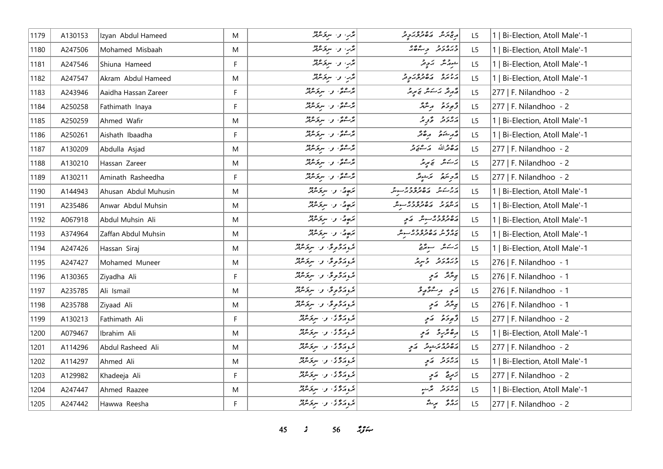| 1179 | A130153 | Izyan Abdul Hameed   | M | قدير، و- سرقاندفتر                       | مع مر شه ماه موجه کرد و م                      | L <sub>5</sub> | 1   Bi-Election, Atoll Male'-1 |
|------|---------|----------------------|---|------------------------------------------|------------------------------------------------|----------------|--------------------------------|
| 1180 | A247506 | Mohamed Misbaah      | M | بژر، و- سربر مردد                        |                                                | L <sub>5</sub> | Bi-Election, Atoll Male'-1     |
| 1181 | A247546 | Shiuna Hameed        | F | مرَّرٍ، و- سروَسْرَتْدُ                  | شورممنگ محرم کر                                | L <sub>5</sub> | 1   Bi-Election, Atoll Male'-1 |
| 1182 | A247547 | Akram Abdul Hameed   | M | برگبار و استرکزده                        | روره ده ده ده د                                | L <sub>5</sub> | 1   Bi-Election, Atoll Male'-1 |
| 1183 | A243946 | Aaidha Hassan Zareer | F | پُرْسُومُ ، و البربورود                  | مەر قىر ئەسەمىر ئى ئېرىتى                      | L5             | 277   F. Nilandhoo - 2         |
| 1184 | A250258 | Fathimath Inaya      | F | پُرْسُومُ ، و البریز مربر                | د پوځو په پښتر                                 | L5             | 277   F. Nilandhoo - 2         |
| 1185 | A250259 | Ahmed Wafir          | M | ره ده د سرو ده.<br>مرسومي و سروسربر      | دەر د گەرچە                                    | L <sub>5</sub> | 1   Bi-Election, Atoll Male'-1 |
| 1186 | A250261 | Aishath Ibaadha      | F | ېژگونه و سربر دو.<br>مرسومي و سربر سربر  | الأم شَوَمَ مِنْ مَمْ                          | L <sub>5</sub> | 1   Bi-Election, Atoll Male'-1 |
| 1187 | A130209 | Abdulla Asjad        | M | پُرْسُومُ ، و البربورود                  | أشكام ترعيق                                    | L <sub>5</sub> | 277   F. Nilandhoo - 2         |
| 1188 | A130210 | Hassan Zareer        | M | ترت په ورسرپر ورد                        | پرسکس نمی پر پر                                | L <sub>5</sub> | 277   F. Nilandhoo - 2         |
| 1189 | A130211 | Aminath Rasheedha    | F | پُرْسُومُ و سربر معر                     | أمزح تكرم ترجيقه                               | L <sub>5</sub> | 277   F. Nilandhoo - 2         |
| 1190 | A144943 | Ahusan Abdul Muhusin | M | برَجهُ"، و- سِرْتَسْهُرٌ                 | روبرو برەوەوولىر                               | L <sub>5</sub> | 1   Bi-Election, Atoll Male'-1 |
| 1191 | A235486 | Anwar Abdul Muhsin   | M | برّەتى، و، سرىرىدىش                      | ر مرد ده دوده در به در                         | L <sub>5</sub> | 1   Bi-Election, Atoll Male'-1 |
| 1192 | A067918 | Abdul Muhsin Ali     | M | مَهِمٌ، و سرفه معه                       | رەپ دەپ ھەم ئەي                                | L5             | Bi-Election, Atoll Male'-1     |
| 1193 | A374964 | Zaffan Abdul Muhsin  | M | برَمٍ مُ الله والله والله والله عليه الس | ره ۶ و بره وه وه<br>  بروز ش مان تر و و بر سوش | L <sub>5</sub> | 1   Bi-Election, Atoll Male'-1 |
| 1194 | A247426 | Hassan Siraj         | M | پروگروگران سرگرموټر                      | پرستان سے سرچھتے                               | L5             | 1   Bi-Election, Atoll Male'-1 |
| 1195 | A247427 | Mohamed Muneer       | M | بروړو وی. و. سرومرټر                     | ورەرو وسرچ                                     | L <sub>5</sub> | 276   F. Nilandhoo - 1         |
| 1196 | A130365 | Ziyadha Ali          | F | بروتروموس والسرقر مرقد                   | بر پڑ تھ کیا ہے                                | L <sub>5</sub> | 276   F. Nilandhoo - 1         |
| 1197 | A235785 | Ali Ismail           | M | ع دکھوٹ و سرگرمیٹر                       | أەَمِ رەشۇرۇ                                   | L <sub>5</sub> | 276   F. Nilandhoo - 1         |
| 1198 | A235788 | Ziyaad Ali           | M | تروز دوره و سرد الله                     | ى ئۇنىڭ كەيپ                                   | L <sub>5</sub> | 276   F. Nilandhoo - 1         |
| 1199 | A130213 | Fathimath Ali        | F | بموضوع والترقيص                          | د څو خو په کړې                                 | L <sub>5</sub> | 277   F. Nilandhoo - 2         |
| 1200 | A079467 | Ibrahim Ali          | M | ع ره ع .<br>مرد مرکزی او استر مرکز مرکز  | رەئزىر ئەير                                    | L <sub>5</sub> | 1   Bi-Election, Atoll Male'-1 |
| 1201 | A114296 | Abdul Rasheed Ali    | M | ع ره ع در سرگرم در د                     | ده وه ترجوتر کمی                               | L5             | 277   F. Nilandhoo - 2         |
| 1202 | A114297 | Ahmed Ali            | M | تموزه وسرومين                            | پروژو کام په                                   | L5             | 1   Bi-Election, Atoll Male'-1 |
| 1203 | A129982 | Khadeeja Ali         | F | تموزه والرقرمة                           | زَمِرِيَّ   رَمِّ                              | L <sub>5</sub> | 277   F. Nilandhoo - 2         |
| 1204 | A247447 | Ahmed Raazee         | M | تروم ده د سرومبرد                        | دەر د پژىنې                                    | L <sub>5</sub> | 1   Bi-Election, Atoll Male'-1 |
| 1205 | A247442 | Hawwa Reesha         | F | تروتروی و سرپرمر                         | رەۋ برىق                                       | L5             | 277   F. Nilandhoo - 2         |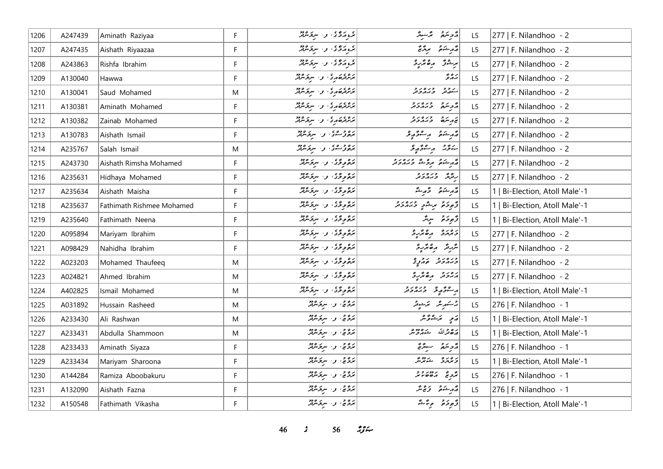| 1206 | A247439 | Aminath Raziyaa                  | F. | ه ده ، و سرگرمه                           | رمحمة المستقرر                                                                                    | L5             | 277   F. Nilandhoo - 2         |
|------|---------|----------------------------------|----|-------------------------------------------|---------------------------------------------------------------------------------------------------|----------------|--------------------------------|
| 1207 | A247435 | Aishath Riyaazaa                 | F  | پر ده ، او استره دو                       | أقمر شكوته مرتزعج                                                                                 | L5             | 277   F. Nilandhoo - 2         |
| 1208 | A243863 | Rishfa Ibrahim                   | F. | پره ده و سروه دو                          | برشن رەپرىي                                                                                       | L5             | 277   F. Nilandhoo - 2         |
| 1209 | A130040 | Hawwa                            | F. | براده ده برو، او بروه دود                 | ر ه و<br>برد و                                                                                    | L <sub>5</sub> | 277   F. Nilandhoo - 2         |
| 1210 | A130041 | Saud Mohamed                     | M  | براده ده برگران مرکز مرکز                 | سکه تر وره د و                                                                                    | L5             | 277   F. Nilandhoo - 2         |
| 1211 | A130381 | Aminath Mohamed                  | F. | بروه مره و سرو مرو                        | أأرو المرور وردور                                                                                 | L5             | 277   F. Nilandhoo - 2         |
| 1212 | A130382 | Zainab Mohamed                   | F  | برمرده بری و سرومبرد                      | محمد سكرة المحمد والمحمد المحمد                                                                   | L5             | 277   F. Nilandhoo - 2         |
| 1213 | A130783 | Aishath Ismail                   | F  | بره و ۵۵، و ۱۰ سربر ۹۶۵                   | أقهر شئتم وستتوريخ                                                                                | L5             | 277   F. Nilandhoo - 2         |
| 1214 | A235767 | Salah Ismail                     | M  | بره و مړي او . سرچسرچر                    | ينوته رئيوهو                                                                                      | L <sub>5</sub> | 277   F. Nilandhoo - 2         |
| 1215 | A243730 | Aishath Rimsha Mohamed           | F. | بره و د د ، او برد و د                    | أقهر يشم برويقة وبرورو                                                                            | L <sub>5</sub> | 277   F. Nilandhoo - 2         |
| 1216 | A235631 | Hidhaya Mohamed                  | F  | بره وی. و. سروسرد                         | ری وره دو                                                                                         | L5             | 277   F. Nilandhoo - 2         |
| 1217 | A235634 | Aishath Maisha                   | F  | بره و د به سرد مرد م                      | مەرشىق ئورىقى                                                                                     | L5             | 1   Bi-Election, Atoll Male'-1 |
| 1218 | A235637 | <b>Fathimath Rishmee Mohamed</b> | F. | بَرْءُ وِ تَرَىٰ ۚ وَ ۚ سِرْتَرْمَيْتُرْ  | توجد من الله الله الله الله الله الله الله عليه الله الله عليه الله الله الله الله الله الله الله | L <sub>5</sub> | 1   Bi-Election, Atoll Male'-1 |
| 1219 | A235640 | Fathimath Neena                  | F  | برەرگە، ن- سركەنلەر                       | د پوځو پېښتر                                                                                      | L5             | 1   Bi-Election, Atoll Male'-1 |
| 1220 | A095894 | Mariyam Ibrahim                  | F. | بره و د بحر الله الله الله بره در الله به | ويرمزو مصريرو                                                                                     | L <sub>5</sub> | 277   F. Nilandhoo - 2         |
| 1221 | A098429 | Nahidha Ibrahim                  | F  | برهوردگان از سرد مرکز                     | بتربید مقدیره                                                                                     | L5             | 277   F. Nilandhoo - 2         |
| 1222 | A023203 | Mohamed Thaufeeq                 | M  | بره و د به سرد ۱۶۵                        | ورەر در دوپى<br>دىرمرىر مەمۇر                                                                     | L5             | 277   F. Nilandhoo - 2         |
| 1223 | A024821 | Ahmed Ibrahim                    | M  | بَرْءُو دُّدُ وَ سِرْدَ الْزَيْرَ         | ג' ג' בי הופי גיב                                                                                 | L <sub>5</sub> | 277   F. Nilandhoo - 2         |
| 1224 | A402825 | Ismail Mohamed                   | M  | بَرْءُو دُّدُ وَ سِرْدَ الْزَيْرَ         | د عرض د دره د د                                                                                   | L5             | 1   Bi-Election, Atoll Male'-1 |
| 1225 | A031892 | Hussain Rasheed                  | M  | بروج، و البرتر مردم                       | 2سكىرىش ئىزىشونى                                                                                  | L5             | 276   F. Nilandhoo - 1         |
| 1226 | A233430 | Ali Rashwan                      | M  | بروچ، و، سربر سرگ                         | رَمِ يَرَ يُرُوَيْر                                                                               | L5             | 1   Bi-Election, Atoll Male'-1 |
| 1227 | A233431 | Abdulla Shammoon                 | M  | بروج، و البرتر مردم                       | رە قراللە خەرج مر                                                                                 | L5             | 1   Bi-Election, Atoll Male'-1 |
| 1228 | A233433 | Aminath Siyaza                   | F. | بروچ، وسيرتورو                            | رمحمد مسترقيم                                                                                     | L <sub>5</sub> | 276   F. Nilandhoo - 1         |
| 1229 | A233434 | Mariyam Sharoona                 | F. | بروچ، و البری مرکز م                      | رەرە شەھ                                                                                          | L5             | 1   Bi-Election, Atoll Male'-1 |
| 1230 | A144284 | Ramiza Aboobakuru                | F. | برەچ، پەسىر ئىرود                         | $z = \begin{vmatrix} 2 & 2 & 2 \\ 2 & 2 & 3 \\ 3 & 4 & 6 \end{vmatrix}$                           | L <sub>5</sub> | 276   F. Nilandhoo - 1         |
| 1231 | A132090 | Aishath Fazna                    | F  | بروج، و- سربر مردم                        | قەرىشىقى ئۇنجانتى                                                                                 | L5             | 276   F. Nilandhoo - 1         |
| 1232 | A150548 | Fathimath Vikasha                | F. | بروج، و- سربۇشۇر                          | أزَّوِدَهُ وِتَنْشَرُ                                                                             | L <sub>5</sub> | 1   Bi-Election, Atoll Male'-1 |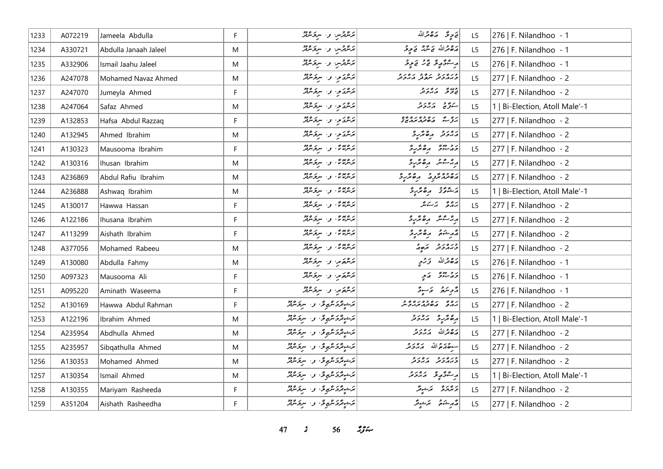| 1233 | A072219 | Jameela Abdulla       | F           | بَرَسْرَةَرْسِ وَ﴿ سِرَعَتِهِ رَبِّرَ                                                             | ق حرٍ قَمَّ صَ مَّ صَ اللَّهُ                 | L5 | 276   F. Nilandhoo - 1         |
|------|---------|-----------------------|-------------|---------------------------------------------------------------------------------------------------|-----------------------------------------------|----|--------------------------------|
| 1234 | A330721 | Abdulla Janaah Jaleel | M           | بَدَعْدِتْرْسِ وَ الْمُرْجَمَّةِيْرْ                                                              | رەقمەاللە ق شرىر قىچە قى                      | L5 | 276   F. Nilandhoo - 1         |
| 1235 | A332906 | Ismail Jaahu Jaleel   | M           | بَرْسْرْتْرْسِ و . سِرْقَسْرْتْدْ                                                                 | پر عوص په ده سي کامو پوځه                     | L5 | 276   F. Nilandhoo - 1         |
| 1236 | A247078 | Mohamed Navaz Ahmed   | M           | پُرسُمَدُو، واستِرَسْرَتْدُ                                                                       | وره رو د پرو ده دو<br>د بربروتر شهرتر بربروتر | L5 | 277   F. Nilandhoo - 2         |
| 1237 | A247070 | Jumeyla Ahmed         | F           | بَدَشْدَمٍ، وَ سِرْمَشْهُرٌ                                                                       | ا دي دي بره بر د<br>ان ديگر ديگر ديگر         | L5 | 277   F. Nilandhoo - 2         |
| 1238 | A247064 | Safaz Ahmed           | M           | بَدَشْدَى ن سِرَسْرَةَ                                                                            | ستؤنج أرور و                                  | L5 | 1   Bi-Election, Atoll Male'-1 |
| 1239 | A132853 | Hafsa Abdul Razzaq    | $\mathsf F$ | برعريخوا الاسترام المعرفة                                                                         | ره به ره ده ره ده<br>بروب شهر مهر مهرس        | L5 | 277   F. Nilandhoo - 2         |
| 1240 | A132945 | Ahmed Ibrahim         | M           | بَدَشْدَمِ وَاسْتِدْشَرْتَمْدَ                                                                    | أرور وه محدد                                  | L5 | 277   F. Nilandhoo - 2         |
| 1241 | A130323 | Mausooma Ibrahim      | F           | پر ۱۳۵۵ و. سربر ۹۶۵                                                                               | دو دوه ده محرر و                              | L5 | 277   F. Nilandhoo - 2         |
| 1242 | A130316 | Ihusan Ibrahim        | M           | پر ۱۳۳۵ و سرگر ۱۳۵                                                                                | ر مشر رەمرىر                                  | L5 | 277   F. Nilandhoo - 2         |
| 1243 | A236869 | Abdul Rafiu Ibrahim   | M           | پر ۱۳۵۵ و. سربر ۱۳۵                                                                               | ره ده د ده ندرو                               | L5 | 277   F. Nilandhoo - 2         |
| 1244 | A236888 | Ashwaq Ibrahim        | M           | پر ۱۳۳۵ و سربر ۱۳۶۰                                                                               | أرشوة وه محرج                                 | L5 | 1   Bi-Election, Atoll Male'-1 |
| 1245 | A130017 | Hawwa Hassan          | $\mathsf F$ | بره بیرش، و ا سربر مرفتر                                                                          | بروو برسكس                                    | L5 | 277   F. Nilandhoo - 2         |
| 1246 | A122186 | Ihusana Ibrahim       | F           | پرهغه و سرکرمین                                                                                   | ر مشتر رەئرى                                  | L5 | 277   F. Nilandhoo - 2         |
| 1247 | A113299 | Aishath Ibrahim       | F           | پرهندي و سرکرموړ                                                                                  | م شرقه مصر و                                  | L5 | 277   F. Nilandhoo - 2         |
| 1248 | A377056 | Mohamed Rabeeu        | M           | پر ۱۳۵۵ و. سربر ۱۳۵۵                                                                              | כנסנכ תפת                                     | L5 | 277   F. Nilandhoo - 2         |
| 1249 | A130080 | Abdulla Fahmy         | M           | برحكوم، واسترحمته                                                                                 | رَصْحْرَاللّهُ وَرَحِي                        | L5 | 276   F. Nilandhoo - 1         |
| 1250 | A097323 | Mausooma Ali          | F           | برعهور والبرقر عرق                                                                                | د د دو په کم                                  | L5 | 276   F. Nilandhoo - 1         |
| 1251 | A095220 | Aminath Waseema       | F.          | بَرْسْمَوَسٍ وَ سِرْمَسْمَدْ                                                                      | دوسرة - ءَ سوءًا                              | L5 | 276   F. Nilandhoo - 1         |
| 1252 | A130169 | Hawwa Abdul Rahman    | $\mathsf F$ | مَرْشِيقَرْدَ مْرْبِعِ فْنَ الْمَرْمَوْشْرَ مْرَةَ مِنْ مْرَةَ مِنْ مْرَةَ مِنْ                   | נים ניסיפים ניסיבית<br>גרגים השינוגיגובית     | L5 | 277   F. Nilandhoo - 2         |
| 1253 | A122196 | Ibrahim Ahmed         | M           | بَرَحْوِتَرَكَرْ شَهْوَ، و الرّبَرْ مَرْثَرَ                                                      | ده ند پره در د                                | L5 | 1   Bi-Election, Atoll Male'-1 |
| 1254 | A235954 | Abdhulla Ahmed        | M           | برَحْبِتَرْدَ تَرْبِعِ فِي الْمَرْارِ وَلَهُ لِهِ الْمُرْسَرَةِ لِ                                | مَصْعَرَاللّه مَ مَرْحَ مَرْ                  | L5 | 277   F. Nilandhoo - 2         |
| 1255 | A235957 | Sibgathulla Ahmed     | M           | بَرَحْوِتَرَى تَرْبُوعِى ﴾ و السِرْقَائِرَيْتَرَ                                                  | جودة الله برورد                               | L5 | 277   F. Nilandhoo - 2         |
| 1256 | A130353 | Mohamed Ahmed         | M           | ترشيقركرىقىمو2، و- سركرىققر                                                                       | כנסנכ נסנכ<br>כממכת המכת                      | L5 | 277   F. Nilandhoo - 2         |
| 1257 | A130354 | Ismail Ahmed          | M           | بَرَحْوِتَرَكْرَ شَهْرِي ۚ وَ الْمُرْكَرِيْتِرْ                                                   | پر شو په په پر در د                           | L5 | 1   Bi-Election, Atoll Male'-1 |
| 1258 | A130355 | Mariyam Rasheeda      | $\mathsf F$ | بَرَشِيتَرَى شَرْبِعِ فِي الْوَاسِرِ فَرَسِرِ فَرَسِرِ فَرَسِرِ فَرَسِرِ فَرَسِرِ فَرَسِرِ فَرَسِ | و دره الاستراگر                               | L5 | 277   F. Nilandhoo - 2         |
| 1259 | A351204 | Aishath Rasheedha     | F.          | بَرَشِيتَرَى شَرْبِعِ فِي الْوَاسِرِ فَرَسِرِ فَرَسِرِ فَرَسِرِ فَرَسِرِ فَرَسِرِ فَرَسِرِ فَرَسِ | أمر شكافته المحمد المحمد المحمد               | L5 | 277   F. Nilandhoo - 2         |

*47 s* 56 *i*<sub>3</sub> *i*<sub>4</sub>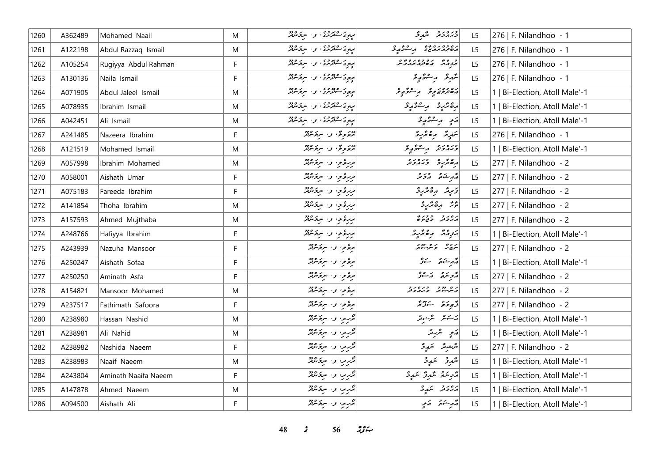| 1260 | A362489 | Mohamed Naail        | M  | پر <sub>و</sub> ی کشتر ری او از سربر مورد<br>  پروی کشتر ری | ورەر د شهر و                                  | L <sub>5</sub> | 276   F. Nilandhoo - 1         |
|------|---------|----------------------|----|-------------------------------------------------------------|-----------------------------------------------|----------------|--------------------------------|
| 1261 | A122198 | Abdul Razzaq Ismail  | M  | پرچ ک صوفی او است کلیده دو                                  | גם כסגם כם הם כבים                            | L5             | 276   F. Nilandhoo - 1         |
| 1262 | A105254 | Rugiyya Abdul Rahman | F  | <br>  بره و ساترىرى، و ، سربۇسرېر<br>  په د                 | و ه و مره وه مره و ه                          | L <sub>5</sub> | 276   F. Nilandhoo - 1         |
| 1263 | A130136 | Naila Ismail         | F. | پره د کشتورن او استروپه                                     | شَدِقَ دِسْقَةٍ وِ                            | L5             | 276   F. Nilandhoo - 1         |
| 1264 | A071905 | Abdul Jaleel Ismail  | M  | پره د کشور ده د سرو سره د                                   | دەدەر دە بەر ئەۋر                             | L5             | 1   Bi-Election, Atoll Male'-1 |
| 1265 | A078935 | Ibrahim Ismail       | M  | بره د سوره د .<br>  بره د سور در . و . سرد سرد              | أرەندىر ئىستىدۇ                               | L5             | 1   Bi-Election, Atoll Male'-1 |
| 1266 | A042451 | Ali Ismail           | M  | پره د کشور ده ده است د ۱۶۵                                  | رَمِ رِ مِرْ دُورِ د                          | L5             | 1   Bi-Election, Atoll Male'-1 |
| 1267 | A241485 | Nazeera Ibrahim      | F. | پروگوی و سروکروژ                                            | ىتىرىتى مەھترىرى                              | L <sub>5</sub> | 276   F. Nilandhoo - 1         |
| 1268 | A121519 | Mohamed Ismail       | M  | پرووگان سرگرمین                                             | ورەرو بەسۇر ئو                                | L <sub>5</sub> | 1   Bi-Election, Atoll Male'-1 |
| 1269 | A057998 | Ibrahim Mohamed      | M  | بررؤوا والبروكري                                            | ده عربه در در در د                            | L5             | 277   F. Nilandhoo - 2         |
| 1270 | A058001 | Aishath Umar         | F  | بربرة وسيرتده                                               | أقمر شده ورو                                  | L5             | 277   F. Nilandhoo - 2         |
| 1271 | A075183 | Fareeda Ibrahim      | F. | بربرهٔ موسود المریخه مردم                                   | زَىبِدَ رِهْتَرِ دِ                           | L5             | 277   F. Nilandhoo - 2         |
| 1272 | A141854 | Thoha Ibrahim        | M  | بربرهٔ موسود المربر میکند                                   | پژ په موسره                                   | L <sub>5</sub> | 277   F. Nilandhoo - 2         |
| 1273 | A157593 | Ahmed Mujthaba       | M  | بربرة مع المستخدم المستخدم                                  | נים כיני ביני<br>הגבית כיביקים                | L5             | 277   F. Nilandhoo - 2         |
| 1274 | A248766 | Hafiyya Ibrahim      | F  | بررؤو، و- بروکرد                                            | برورش رەشرى                                   | L5             | 1   Bi-Election, Atoll Male'-1 |
| 1275 | A243939 | Nazuha Mansoor       | F  | برةوٍ و سرة عند                                             | يترج كالمرجع                                  | L5             | 277   F. Nilandhoo - 2         |
| 1276 | A250247 | Aishath Sofaa        | F  | برة و، و، سرة عرقر                                          | لەر ئىستىم بىز                                | L5             | 1   Bi-Election, Atoll Male'-1 |
| 1277 | A250250 | Aminath Asfa         | F  | برةوا والبرقائة                                             | أرتجه ستره ومستر                              | L <sub>5</sub> | 277   F. Nilandhoo - 2         |
| 1278 | A154821 | Mansoor Mohamed      | M  | برة والبرة معند                                             | נים מרך רנים ניק                              | L5             | 277   F. Nilandhoo - 2         |
| 1279 | A237517 | Fathimath Safoora    | F  | برة والمستقبلة                                              | ژ <sub>مو</sub> ځه سردونو                     | L5             | 277   F. Nilandhoo - 2         |
| 1280 | A238980 | Hassan Nashid        | M  | ټرېږي، و. سرځشند                                            | ىرىكىش ئىگرىغانقر                             | L5             | 1   Bi-Election, Atoll Male'-1 |
| 1281 | A238981 | Ali Nahid            | M  | ټرېب وسروموټر                                               | رَمِي مَدْرِنْدُ                              | L <sub>5</sub> | 1   Bi-Election, Atoll Male'-1 |
| 1282 | A238982 | Nashida Naeem        | F  | ټرېږي، و. سروکلنډ                                           | شَرْشِيشٌ سَهْدٍ وَ                           | L <sub>5</sub> | 277   F. Nilandhoo - 2         |
| 1283 | A238983 | Naaif Naeem          | M  | تررير، و- سرتر معمد                                         | شَهرتر سَمَدٍ حَ                              | L5             | 1   Bi-Election, Atoll Male'-1 |
| 1284 | A243804 | Aminath Naaifa Naeem | F. | ټرېبو، و٠ سرځشند                                            | أُرْحِ سَمْ اللَّهُ إِنَّ اللَّهُ عَلَيْهِ وَ | L5             | 1   Bi-Election, Atoll Male'-1 |
| 1285 | A147878 | Ahmed Naeem          | M  | ټرېږ، و. سرق شرقه                                           | رەر د سمدۇ                                    | L5             | 1   Bi-Election, Atoll Male'-1 |
| 1286 | A094500 | Aishath Ali          | F. | ټربر، و سروکرند                                             | مەر شىمۇ ھىمىي                                | L <sub>5</sub> | 1   Bi-Election, Atoll Male'-1 |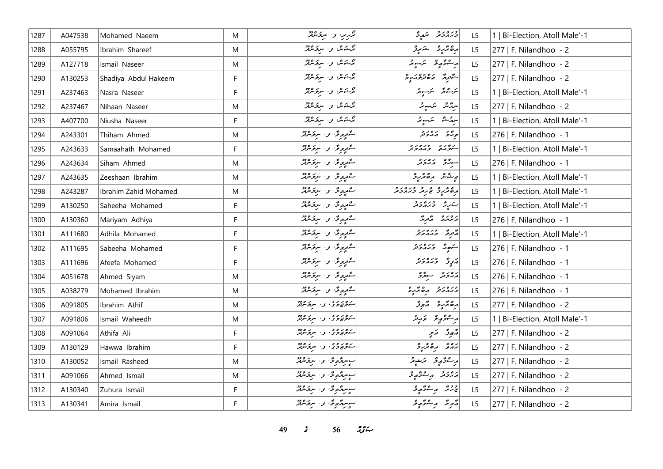| 1287 | A047538 | Mohamed Naeem         | M  | ټرېږي. و. سرځنګټر             | ورەر د سمدۇ                       | L <sub>5</sub> | 1   Bi-Election, Atoll Male'-1 |
|------|---------|-----------------------|----|-------------------------------|-----------------------------------|----------------|--------------------------------|
| 1288 | A055795 | Ibrahim Shareef       | M  | پژخکاری از سرکر میتر          | رەڭرو شېرۇ                        | L5             | 277   F. Nilandhoo - 2         |
| 1289 | A127718 | Ismail Naseer         | M  | ئۇينىڭ بى س <i>ېۋىترنى</i> ر  | أرجع في مرتبونر                   | L5             | $ 277 $ F. Nilandhoo - 2       |
| 1290 | A130253 | Shadiya Abdul Hakeem  | F. | پرڪس، تر سرگرمريز             | أشوره مەمرىرى                     | L5             | 277   F. Nilandhoo - 2         |
| 1291 | A237463 | Nasra Naseer          | F  | برخەش بى سرىزىدىز             | للركائك الكرسونكى                 | L5             | 1   Bi-Election, Atoll Male'-1 |
| 1292 | A237467 | Nihaan Naseer         | M  | پژخکاش او ، سربوکلوټو         | سرگانگر اسکیلیونگر                | L5             | 277   F. Nilandhoo - 2         |
| 1293 | A407700 | Niusha Naseer         | F  | برخەش تەسىر ئىردى             | أسرم مشتر الكرسبومر               | L5             | 1   Bi-Election, Atoll Male'-1 |
| 1294 | A243301 | Thiham Ahmed          | M  | شموه ی و سروسرتر              | پرو ده دور                        | L5             | 276   F. Nilandhoo - 1         |
| 1295 | A243633 | Samaahath Mohamed     | F  | سەرەرى نەسىرىقلا              | ر دور وره دو                      | L5             | 1   Bi-Election, Atoll Male'-1 |
| 1296 | A243634 | Siham Ahmed           | M  | شمره و به سرو معرفته          | سرژو ړی ده د                      | L <sub>5</sub> | 276   F. Nilandhoo - 1         |
| 1297 | A243635 | Zeeshaan Ibrahim      | M  | ستورگ و سرکرمنڈ               | پیشکر میگرد                       | L5             | 1   Bi-Election, Atoll Male'-1 |
| 1298 | A243287 | Ibrahim Zahid Mohamed | M  | ستورگ و سرکرمنڈ               | و و در و در ورد و                 | L5             | 1   Bi-Election, Atoll Male'-1 |
| 1299 | A130250 | Saheeha Mohamed       | F  | سەرەق و سرىرىقد               | شرر میده در د                     | L <sub>5</sub> | 1   Bi-Election, Atoll Male'-1 |
| 1300 | A130360 | Mariyam Adhiya        | F  | سەرەرى نەسىرىقىد              | د ۱۵ د می په په په                | L5             | 276   F. Nilandhoo - 1         |
| 1301 | A111680 | Adhila Mohamed        | F  | شمیره ش سروسید                | د د د د د د                       | L5             | 1   Bi-Election, Atoll Male'-1 |
| 1302 | A111695 | Sabeeha Mohamed       | F  | شمیره ش و سروسر <del>ور</del> | ستهد وره دو                       | L5             | 276   F. Nilandhoo - 1         |
| 1303 | A111696 | Afeefa Mohamed        | F. | شورونق والبرنومين             | ړ وره ده.                         | L5             | 276   F. Nilandhoo - 1         |
| 1304 | A051678 | Ahmed Siyam           | M  | سەرەرى نەسىر سىرە             | دەر دەسەر ئە                      | L5             | 276   F. Nilandhoo - 1         |
| 1305 | A038279 | Mohamed Ibrahim       | M  | سەرەرى نەسىرىدى ئ             | ورەرو مەھرى                       | L5             | 276   F. Nilandhoo - 1         |
| 1306 | A091805 | Ibrahim Athif         | M  | روروه کا سرگرمانی             | أرەنئەر ئەبور                     | L5             | 277   F. Nilandhoo - 2         |
| 1307 | A091806 | Ismail Waheedh        | M  | روزه ده و سرومه               | أراع ومحمد وأراد                  | L5             | 1   Bi-Election, Atoll Male'-1 |
| 1308 | A091064 | Athifa Ali            | F. | روروه کا سرورود               | ړ پور کام                         | L <sub>5</sub> | 277   F. Nilandhoo - 2         |
| 1309 | A130129 | Hawwa Ibrahim         | F. | شوه ده ده و سروس              | ره ده مرگ                         | L5             | $ 277 $ F. Nilandhoo - 2       |
| 1310 | A130052 | Ismail Rasheed        | M  | سېرمرگونځان سرکونګرګر         | أبر سائر أبر في مركز المحرر المحر | L5             | 277   F. Nilandhoo - 2         |
| 1311 | A091066 | Ahmed Ismail          | M  | سېرترونخا وا سرنځنګټر         | رەرە بەر ئەۋەپى                   | L5             | 277   F. Nilandhoo - 2         |
| 1312 | A130340 | Zuhura Ismail         | F  | سېسترونخا وا سرخانتن          | لمجرجر المسترجم والمحمد           | L5             | 277   F. Nilandhoo - 2         |
| 1313 | A130341 | Amira Ismail          | F. | سېسترونخا وا سرنځنګر          | د پر په د په د د په               | L5             | 277   F. Nilandhoo - 2         |

*49 s* 56 *i*<sub>S</sub> $\approx$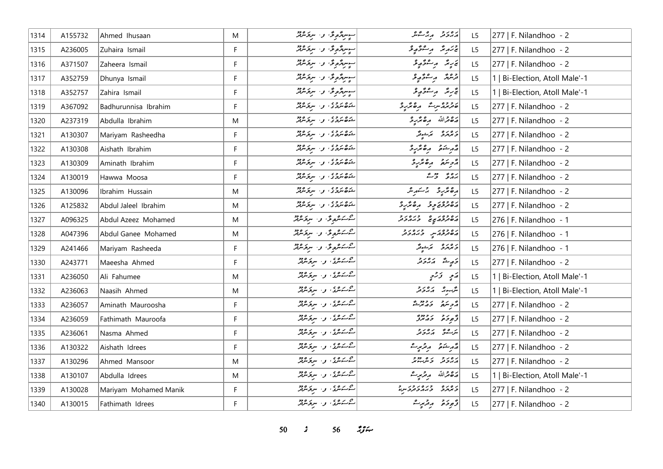| 1314 | A155732 | Ahmed Ihusaan         | M  | سوسرده والسرد عدد المعنى المستقر                                                                    | أمهومر مهر عمر                       | L <sub>5</sub> | 277   F. Nilandhoo - 2         |
|------|---------|-----------------------|----|-----------------------------------------------------------------------------------------------------|--------------------------------------|----------------|--------------------------------|
| 1315 | A236005 | Zuhaira Ismail        | F. | سوسرمحوځ، و اسرخسرم                                                                                 | پر پر پر پر پر چی                    | L <sub>5</sub> | 277   F. Nilandhoo - 2         |
| 1316 | A371507 | Zaheera Ismail        | F  | سوسرتموتى والسرتماتين                                                                               | ئەستىر مەستىھ يوقىيە                 | L5             | 277   F. Nilandhoo - 2         |
| 1317 | A352759 | Dhunya Ismail         | F. | سوسرد موقع المعرض معرض من المراجع المراجع المراجع المراجع المراجع المراجع المراجع المراجع المراجع ا | قرمتر مراشرة مربح                    | L5             | 1   Bi-Election, Atoll Male'-1 |
| 1318 | A352757 | Zahira Ismail         | F  | سوسردهوی و سرد عدد                                                                                  | ئۇرىئە بەستۇپ ئو                     | L5             | 1   Bi-Election, Atoll Male'-1 |
| 1319 | A367092 | Badhurunnisa Ibrahim  | F. | شەھ سۈرى كەرەم                                                                                      | - دور مرت مقتررة                     | L5             | 277   F. Nilandhoo - 2         |
| 1320 | A237319 | Abdulla Ibrahim       | M  | ۵۶۵ مروی کی سرخ مرکز                                                                                | أرَةَ مِرْاللَّهُ مِنْ مِرْسِرْدَ    | L5             | 277   F. Nilandhoo - 2         |
| 1321 | A130307 | Mariyam Rasheedha     | F. | شەھ سەدە بەر سىزىس                                                                                  | و وره پرشینگر                        | L5             | 277   F. Nilandhoo - 2         |
| 1322 | A130308 | Aishath Ibrahim       | F  | شەھ سۈرى كەرەم                                                                                      | أقرم شوقو المره قريرة                | L5             | 277   F. Nilandhoo - 2         |
| 1323 | A130309 | Aminath Ibrahim       | F  | شەھ سەرە، بەر سېۋىترىتە                                                                             | أأزجر ستركو المتحصر والمحمد والمحتفر | L <sub>5</sub> | 277   F. Nilandhoo - 2         |
| 1324 | A130019 | Hawwa Moosa           | F. | دەبرە، بەسكەن                                                                                       | برە ئەستە                            | L5             | 277   F. Nilandhoo - 2         |
| 1325 | A130096 | Ibrahim Hussain       | M  | شەھ سرورى بىل سېزىس قادى                                                                            | رەنزىرو برىسىر                       | L5             | 277   F. Nilandhoo - 2         |
| 1326 | A125832 | Abdul Jaleel Ibrahim  | M  | ر ده بروه .<br>  شوه مرد ی او ا مرومبرتر                                                            | رەدورى پە ئەھەر ئار                  | L <sub>5</sub> | 277   F. Nilandhoo - 2         |
| 1327 | A096325 | Abdul Azeez Mohamed   | M  | شەشھۇ، ر. سرىمىتىر                                                                                  | رە دور پە دىرەر د                    | L5             | 276   F. Nilandhoo - 1         |
| 1328 | A047396 | Abdul Ganee Mohamed   | M  | 2ىكىرى ن سرىرىقى                                                                                    | رەدەنە دىرەرد                        | L5             | 276   F. Nilandhoo - 1         |
| 1329 | A241466 | Mariyam Rasheeda      | F  | کے کے شوٹی، وسیر سرتی شرقتر                                                                         | د ۱۳ په تر شونگر                     | L5             | 276   F. Nilandhoo - 1         |
| 1330 | A243771 | Maeesha Ahmed         | F. | جوړې و. سرومبرټر                                                                                    | كەمىگە كەندىر                        | L5             | 277   F. Nilandhoo - 2         |
| 1331 | A236050 | Ali Fahumee           | M  | مەكەنگە كەر س <b>ېرىرى</b> تىرلىق                                                                   | ړی دری                               | L <sub>5</sub> | 1   Bi-Election, Atoll Male'-1 |
| 1332 | A236063 | Naasih Ahmed          | M  | میں شرکت و سربر مربعہ م                                                                             | أنثر برورد                           | L <sub>5</sub> | 1   Bi-Election, Atoll Male'-1 |
| 1333 | A236057 | Aminath Mauroosha     | F  | میں شرکت و سربر مربعہ م                                                                             | أأزويتهم والمعتصر                    | L <sub>5</sub> | 277   F. Nilandhoo - 2         |
| 1334 | A236059 | Fathimath Mauroofa    | F  | شرکته در سرگرمزند                                                                                   | د پوځو په دورو                       | L5             | 277   F. Nilandhoo - 2         |
| 1335 | A236061 | Nasma Ahmed           | F. | شەشق، بەسىر ھەدد                                                                                    | يتربء كالمرورة                       | L <sub>5</sub> | 277   F. Nilandhoo - 2         |
| 1336 | A130322 | Aishath Idrees        | F. | میرسوی، ب <del>ر، سربر مرب</del> ر                                                                  | قەربىئەق بەيرىمىيەت                  | L <sub>5</sub> | 277   F. Nilandhoo - 2         |
| 1337 | A130296 | Ahmed Mansoor         | M  | کے کے نگری اور اسریکو نگرانی                                                                        | أرورو وهدوو                          | L5             | 277   F. Nilandhoo - 2         |
| 1338 | A130107 | Abdulla Idrees        | M  | شەشق، بەسىر ئەرە                                                                                    | رەقمەللە مەقرىبەت                    | L <sub>5</sub> | 1   Bi-Election, Atoll Male'-1 |
| 1339 | A130028 | Mariyam Mohamed Manik | F  | شرکته در سرگرمزند                                                                                   | במתכ כממכנקבית                       | L5             | 277   F. Nilandhoo - 2         |
| 1340 | A130015 | Fathimath Idrees      | F. | شەشق، بەسىر ئەرە                                                                                    | ژّەد خۇ بەر ئېرىت                    | L5             | 277   F. Nilandhoo - 2         |

*s*  $56$  *n***<sub>3</sub>**  $\frac{1}{2}$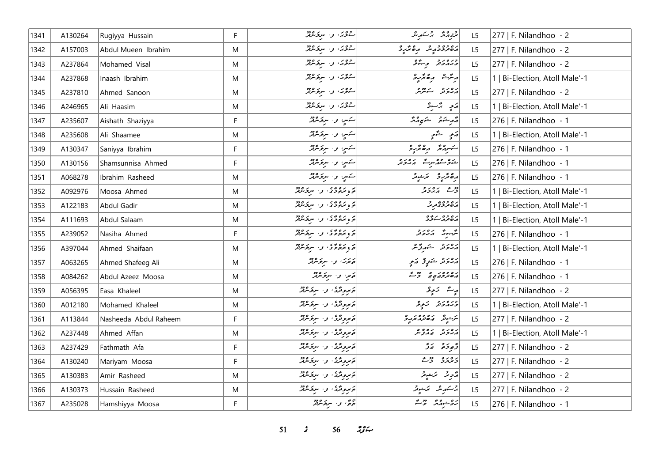| 1341 | A130264 | Rugiyya Hussain       | F. | سرویر، و سروسرفر                           | مرتومە ئەسكىرىش                    | L <sub>5</sub> | 277   F. Nilandhoo - 2         |
|------|---------|-----------------------|----|--------------------------------------------|------------------------------------|----------------|--------------------------------|
| 1342 | A157003 | Abdul Mueen Ibrahim   | M  | روی، و سروسرد                              | رە دە دە ئەر ئەر                   | L <sub>5</sub> | $277$   F. Nilandhoo - 2       |
| 1343 | A237864 | Mohamed Visal         | M  | _22، والبرىمبر                             | ورەر د م عو                        | L5             | 277   F. Nilandhoo - 2         |
| 1344 | A237868 | Inaash Ibrahim        | M  | جوړ، وسروموټر                              | أرتثر شه مره تربر                  | L5             | 1   Bi-Election, Atoll Male'-1 |
| 1345 | A237810 | Ahmed Sanoon          | M  | جوړ، وسرومبر                               | رەرە سەھەر                         | L <sub>5</sub> | 277   F. Nilandhoo - 2         |
| 1346 | A246965 | Ali Haasim            | M  | روی و سروسر                                | رَبِي بِرْسِيرْ                    | L5             | 1   Bi-Election, Atoll Male'-1 |
| 1347 | A235607 | Aishath Shaziyya      | F  | ستس و. سرقرمرتز                            | أقرم شكافها الشكوم والمر           | L5             | 276   F. Nilandhoo - 1         |
| 1348 | A235608 | Ali Shaamee           | M  | سەس، و. سرىۋىنىڭر                          | رَمِ شَّمَ                         | L <sub>5</sub> | 1   Bi-Election, Atoll Male'-1 |
| 1349 | A130347 | Saniyya Ibrahim       | F. | سَمسٍ و. سِرَقَسِمَّتِر                    | سكسرور وهتر و                      | L5             | 276   F. Nilandhoo - 1         |
| 1350 | A130156 | Shamsunnisa Ahmed     | F  | کسي و. سرقرمرټر                            | شوو حوم سره بره د و                | L5             | 276   F. Nilandhoo - 1         |
| 1351 | A068278 | Ibrahim Rasheed       | M  | سَمَسٍ وَ- سَرَقَاشِيْتُرُ                 | رەڭرىۋە ئەشوتر                     | L <sub>5</sub> | 276   F. Nilandhoo - 1         |
| 1352 | A092976 | Moosa Ahmed           | M  | د ده ده د سرکردود                          | دی پره د د                         | L5             | 1   Bi-Election, Atoll Male'-1 |
| 1353 | A122183 | Abdul Gadir           | M  | د ده ده د سرد ۱۶۵<br>  د د سرد د د سرد سرد | رە دە ئەبرىر                       | L <sub>5</sub> | 1   Bi-Election, Atoll Male'-1 |
| 1354 | A111693 | Abdul Salaam          | M  | د ره وه د سروه دو<br>  د د سروری او سروس   | ړه وه ريږه                         | L5             | 1   Bi-Election, Atoll Male'-1 |
| 1355 | A239052 | Nasiha Ahmed          | F  | د بره ده و البرده دد                       | برّىب بر بر بر بر بر بر ا          | L5             | 276   F. Nilandhoo - 1         |
| 1356 | A397044 | Ahmed Shaifaan        | M  | پر پره وي او ا سرپر مردد                   | أمهادة المشهرونين                  | L5             | 1   Bi-Election, Atoll Male'-1 |
| 1357 | A063265 | Ahmed Shafeeg Ali     | M  | پرس و سرگرمریز                             | روح د حکولي او کام                 | L5             | 276   F. Nilandhoo - 1         |
| 1358 | A084262 | Abdul Azeez Moosa     | M  | قامرا الأستر محركة المر                    | בסינק ברי ברי                      | L <sub>5</sub> | 276   F. Nilandhoo - 1         |
| 1359 | A056395 | Easa Khaleel          | M  | ەَمەمەتگە، ئەسىر ئىشتر                     | پرے ترینی                          | L <sub>5</sub> | 277   F. Nilandhoo - 2         |
| 1360 | A012180 | Mohamed Khaleel       | M  | پروتری و سرترماند                          | دبره برد تر تر تر تر               | L5             | 1   Bi-Election, Atoll Male'-1 |
| 1361 | A113844 | Nasheeda Abdul Raheem | F. | پروتری و سرترماند                          | <br> س شونگر در ۱۹۵۵ مخرچر کرد کرد | L5             | 277   F. Nilandhoo - 2         |
| 1362 | A237448 | Ahmed Affan           | M  | پر پر پر پر سربر پر پر                     | أرور وروم و                        | L <sub>5</sub> | 1   Bi-Election, Atoll Male'-1 |
| 1363 | A237429 | Fathmath Afa          | F  | ەَمْرُونْدُى ، دا سِرْمَانْدْنْدْ          | توجد حرق                           | L <sub>5</sub> | 277   F. Nilandhoo - 2         |
| 1364 | A130240 | Mariyam Moosa         | F  | پروژی، وسروسرد                             | دەرە دوغ                           | L <sub>5</sub> | 277   F. Nilandhoo - 2         |
| 1365 | A130383 | Amir Rasheed          | M  | ئەبرونژی، و. سرىزىنزنژ                     | مُرْحِرِ مُرْشِيْرُ                | L5             | 277   F. Nilandhoo - 2         |
| 1366 | A130373 | Hussain Rasheed       | M  | توپرونژی، و ا سربرندنژ                     | جستهریش مختصوص                     | L <sub>5</sub> | 277   F. Nilandhoo - 2         |
| 1367 | A235028 | Hamshiyya Moosa       | F. | جوءٌ، و- سريَحسِرْتِرْ                     | روشه وه دو م                       | L5             | 276   F. Nilandhoo - 1         |

*s*  $56$  *i***<sub>s</sub>** $\frac{2}{5}$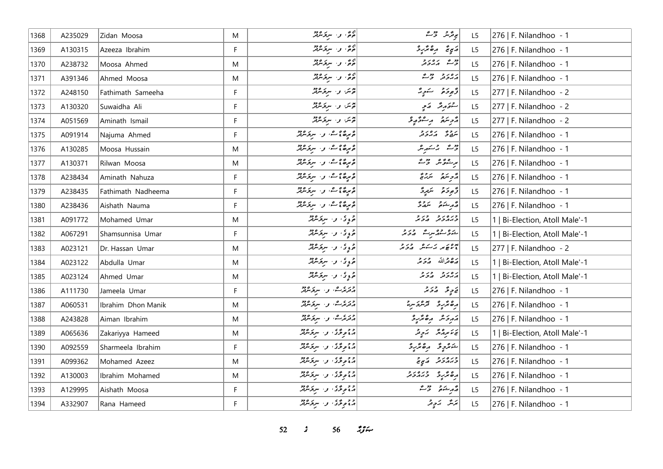| 1368 | A235029 | Zidan Moosa        | M         | جمع و سرومبر<br>  حرم و سرومبر                                           | پروگرنگر سنگر استر                                                                                                                                                                                                                                                                                                        | L <sub>5</sub> | 276   F. Nilandhoo - 1         |
|------|---------|--------------------|-----------|--------------------------------------------------------------------------|---------------------------------------------------------------------------------------------------------------------------------------------------------------------------------------------------------------------------------------------------------------------------------------------------------------------------|----------------|--------------------------------|
| 1369 | A130315 | Azeeza Ibrahim     | F.        | جۇ ئەر سىرىكى قال                                                        | لصيحيح<br>برە ئۆرۈ                                                                                                                                                                                                                                                                                                        | L5             | 276   F. Nilandhoo - 1         |
| 1370 | A238732 | Moosa Ahmed        | M         | جاء مستوفر المعرض<br>  جاء مستقبل المستوفر                               | دی پره رو                                                                                                                                                                                                                                                                                                                 | L5             | 276   F. Nilandhoo - 1         |
| 1371 | A391346 | Ahmed Moosa        | ${\sf M}$ | جۇ ئەر سىرىكى قال                                                        | برەر دەپ                                                                                                                                                                                                                                                                                                                  | L5             | 276   F. Nilandhoo - 1         |
| 1372 | A248150 | Fathimath Sameeha  | F         | تحرين والسرقر مرتقر                                                      | ر موځو ځې                                                                                                                                                                                                                                                                                                                 | L5             | $ 277 $ F. Nilandhoo - 2       |
| 1373 | A130320 | Suwaidha Ali       | F.        | ترسَ و سرکرمرکز                                                          | لشؤرقر الأمر                                                                                                                                                                                                                                                                                                              | L5             | 277   F. Nilandhoo - 2         |
| 1374 | A051569 | Aminath Ismail     | F         | پوس و سرگرم مع                                                           | أقرجتهم وسفوقة وعمر                                                                                                                                                                                                                                                                                                       | L5             | 277   F. Nilandhoo - 2         |
| 1375 | A091914 | Najuma Ahmed       | F         | ه پرځ و ه، و سروسربر                                                     | يتزج وكالمرور                                                                                                                                                                                                                                                                                                             | L5             | 276   F. Nilandhoo - 1         |
| 1376 | A130285 | Moosa Hussain      | ${\sf M}$ | موسيقة مشارق سربر معرضه<br>  موسيقة مشارق سربر معرضه                     | دیم دیگر مگر مگر                                                                                                                                                                                                                                                                                                          | L <sub>5</sub> | 276   F. Nilandhoo - 1         |
| 1377 | A130371 | Rilwan Moosa       | M         |                                                                          | ىر شۇرگەن ئۇڭ                                                                                                                                                                                                                                                                                                             | L5             | 276   F. Nilandhoo - 1         |
| 1378 | A238434 | Aminath Nahuza     | F         | ه مرگه می می از سربر ۱۶۵ مربع بر ایران<br>  هرمیرگاه می می از سربر سربرد | أمجم وسنرجي                                                                                                                                                                                                                                                                                                               | L5             | 276   F. Nilandhoo - 1         |
| 1379 | A238435 | Fathimath Nadheema | F         | موسط مع معها و السر محر مربعد<br>  موسط معها و السر مربع مربعد           | ژَهِ دَمْ دَ سَرَمِرِ دَّ                                                                                                                                                                                                                                                                                                 | L5             | 276   F. Nilandhoo - 1         |
| 1380 | A238436 | Aishath Nauma      | F         | موسطى مى، بى سرىر موجد                                                   | د مشتور سمدة                                                                                                                                                                                                                                                                                                              | L5             | 276   F. Nilandhoo - 1         |
| 1381 | A091772 | Mohamed Umar       | ${\sf M}$ | ه د ی و سرخشم                                                            | כנסנכ כנכ                                                                                                                                                                                                                                                                                                                 | L5             | 1   Bi-Election, Atoll Male'-1 |
| 1382 | A067291 | Shamsunnisa Umar   | F         | ه وي و سروسرو                                                            | شوشهرية المولا                                                                                                                                                                                                                                                                                                            | L5             | 1   Bi-Election, Atoll Male'-1 |
| 1383 | A023121 | Dr. Hassan Umar    | ${\sf M}$ | ه وي و سروسره.                                                           | پره بر بر کشور مرکز بر                                                                                                                                                                                                                                                                                                    | L5             | 277   F. Nilandhoo - 2         |
| 1384 | A023122 | Abdulla Umar       | M         | ج ء ي السر المستقبل المستقبل                                             | أرەقمەاللە مەدىر                                                                                                                                                                                                                                                                                                          | L5             | 1   Bi-Election, Atoll Male'-1 |
| 1385 | A023124 | Ahmed Umar         | M         | جي ي و سرچمريز                                                           | ر ور و در و                                                                                                                                                                                                                                                                                                               | L5             | 1   Bi-Election, Atoll Male'-1 |
| 1386 | A111730 | Jameela Umar       | F         | در دی. و سرد میر                                                         | ق حرٍ حَمْدَ مِنْ حَمْدَ مِنْ                                                                                                                                                                                                                                                                                             | L5             | 276   F. Nilandhoo - 1         |
| 1387 | A060531 | Ibrahim Dhon Manik | ${\sf M}$ | در پرې و سرگرموړ                                                         | أرەشرە بوەرس                                                                                                                                                                                                                                                                                                              | L5             | 276   F. Nilandhoo - 1         |
| 1388 | A243828 | Aiman Ibrahim      | M         | در پرې و سرگرموړ                                                         | $\begin{vmatrix} 0 & 0 & 0 & 0 & 0 & 0 \\ 0 & 0 & 0 & 0 & 0 & 0 \\ 0 & 0 & 0 & 0 & 0 & 0 \\ 0 & 0 & 0 & 0 & 0 & 0 \\ 0 & 0 & 0 & 0 & 0 & 0 \\ 0 & 0 & 0 & 0 & 0 & 0 \\ 0 & 0 & 0 & 0 & 0 & 0 \\ 0 & 0 & 0 & 0 & 0 & 0 \\ 0 & 0 & 0 & 0 & 0 & 0 \\ 0 & 0 & 0 & 0 & 0 & 0 & 0 \\ 0 & 0 & 0 & 0 & 0 & 0 & 0 \\ 0 & 0 & 0 & $ | L5             | 276   F. Nilandhoo - 1         |
| 1389 | A065636 | Zakariyya Hameed   | ${\sf M}$ | دوموگی و سرگرمهر                                                         | ئەسىر ئەھر ئىسى ئىر ئەر                                                                                                                                                                                                                                                                                                   | L5             | 1   Bi-Election, Atoll Male'-1 |
| 1390 | A092559 | Sharmeela Ibrahim  | F         | دومۇق، ر. سۆسىد                                                          | شركرديۇ مەھرىرد                                                                                                                                                                                                                                                                                                           | L5             | 276   F. Nilandhoo - 1         |
| 1391 | A099362 | Mohamed Azeez      | ${\sf M}$ | دومۇق، ر. سرۇس                                                           | دره د د پرېږ                                                                                                                                                                                                                                                                                                              | L5             | 276   F. Nilandhoo - 1         |
| 1392 | A130003 | Ibrahim Mohamed    | ${\sf M}$ | دیموگری و سرکرمرفتر                                                      | أرە ئۇرە ئەدەر د                                                                                                                                                                                                                                                                                                          | L5             | 276   F. Nilandhoo - 1         |
| 1393 | A129995 | Aishath Moosa      | F         | دومۇق را سرىگەنگە                                                        | د مرشو ه د ح                                                                                                                                                                                                                                                                                                              | L5             | 276   F. Nilandhoo - 1         |
| 1394 | A332907 | Rana Hameed        | F.        | دوم گری و سرگرموژ                                                        | ىكەنگە ئەيرىگە                                                                                                                                                                                                                                                                                                            | L5             | 276   F. Nilandhoo - 1         |

 $52$  *s*  $56$  *n***<sub>3</sub>** *n***<sub>3</sub>**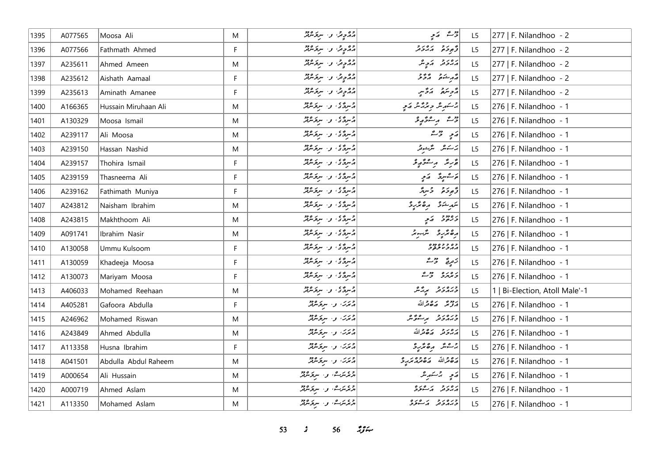| 1395 | A077565 | Moosa Ali            | M           | دوم ده، و اسروکرد          | روشہ ایکمی                                                                                     | L <sub>5</sub> | 277   F. Nilandhoo - 2         |
|------|---------|----------------------|-------------|----------------------------|------------------------------------------------------------------------------------------------|----------------|--------------------------------|
| 1396 | A077566 | Fathmath Ahmed       | F           | روم په د سروسرټر           | د بر د بره بر د                                                                                | L5             | 277   F. Nilandhoo - 2         |
| 1397 | A235611 | Ahmed Ameen          | M           | رود پر سر پر مرکز مرکز     | رەر د كەچ مى                                                                                   | L5             | 277   F. Nilandhoo - 2         |
| 1398 | A235612 | Aishath Aamaal       | F           | روم په واسرو مرد           | د مشتور او دو د                                                                                | L5             | 277   F. Nilandhoo - 2         |
| 1399 | A235613 | Aminath Amanee       | F           | 20 وقرا والسرقاندين        | رمحو سَنَعْ الْمَرْسِي                                                                         | L <sub>5</sub> | 277   F. Nilandhoo - 2         |
| 1400 | A166365 | Hussain Miruhaan Ali | M           | د سرگان و سرگرمهر          | پر سکر شر حرید تر تر پر پر                                                                     | L5             | 276   F. Nilandhoo - 1         |
| 1401 | A130329 | Moosa Ismail         | M           | المسردة كالمحاسبة والمحمدة | روم پر مؤرد و                                                                                  | L5             | 276   F. Nilandhoo - 1         |
| 1402 | A239117 | Ali Moosa            | M           | المسردة كالمحاسبة والمحمدة | $\begin{array}{ c c }\n\hline\n2 & 3 & 5 \\ 5 & 6 & 6\n\end{array}$                            | L5             | 276   F. Nilandhoo - 1         |
| 1403 | A239150 | Hassan Nashid        | M           | د سرگان و سرگر معمد        | برسكانكرا الترسفونقر                                                                           | L5             | 276   F. Nilandhoo - 1         |
| 1404 | A239157 | Thohira Ismail       | F           | دسردی و سردسرد             | پۇرىئە بەستىق پوشى                                                                             | L <sub>5</sub> | 276   F. Nilandhoo - 1         |
| 1405 | A239159 | Thasneema Ali        | F.          | د سرد د . سرد مهر          | پر شهرچ پر کمبر                                                                                | L <sub>5</sub> | 276   F. Nilandhoo - 1         |
| 1406 | A239162 | Fathimath Muniya     | $\mathsf F$ | المرتكى والرقائع           | رَّمِودَهُ دُسِرٌ                                                                              | L5             | 276   F. Nilandhoo - 1         |
| 1407 | A243812 | Naisham Ibrahim      | M           | المرتكى والبرقر مرتد       | $\begin{array}{cc} \circ & \circ & \circ & \circ \\ \circ & \circ & \circ & \circ \end{array}$ | L5             | 276   F. Nilandhoo - 1         |
| 1408 | A243815 | Makhthoom Ali        | ${\sf M}$   | دسردی و سردسرد             | د ۱۳۵ ق. م. م.                                                                                 | L <sub>5</sub> | 276   F. Nilandhoo - 1         |
| 1409 | A091741 | Ibrahim Nasir        | M           | المرتكى، واسترقائيل        | رەئزىرو ئىزىبىر                                                                                | L5             | 276   F. Nilandhoo - 1         |
| 1410 | A130058 | Ummu Kulsoom         | F           | د سرد د . سرد مهر          | د ه د د ه دده<br>مهر د <i>بر</i> خور                                                           | L5             | 276   F. Nilandhoo - 1         |
| 1411 | A130059 | Khadeeja Moosa       | F           | پر پر په سرپر ورد          | رَمرِجٌ - حٌ کُ                                                                                | L <sub>5</sub> | 276   F. Nilandhoo - 1         |
| 1412 | A130073 | Mariyam Moosa        | F           | پرسردگی، وجسرد مرکز        | د ه ده د « گ                                                                                   | L <sub>5</sub> | 276   F. Nilandhoo - 1         |
| 1413 | A406033 | Mohamed Reehaan      | M           | المرتكى والبرقر مرقر مرتكز | دره رو پرچمر                                                                                   | L <sub>5</sub> | 1   Bi-Election, Atoll Male'-1 |
| 1414 | A405281 | Gafoora Abdulla      | F           | پرترن، وسیع ترکیز          | أزدوم روورالله                                                                                 | L5             | 276   F. Nilandhoo - 1         |
| 1415 | A246962 | Mohamed Riswan       | M           | پرترن، وسیوترین            | دره رو برسور مر                                                                                | L5             | 276   F. Nilandhoo - 1         |
| 1416 | A243849 | Ahmed Abdulla        | M           | دىرى ئەسىرىمىدىن           | أروره روقرالله                                                                                 | L <sub>5</sub> | 276   F. Nilandhoo - 1         |
| 1417 | A113358 | Husna Ibrahim        | F           | دیمرت و سروکرد             | پر شش مەھەر بە                                                                                 | L5             | 276   F. Nilandhoo - 1         |
| 1418 | A041501 | Abdulla Abdul Raheem | M           | دیمرس و سرومبرد            | ده قرالله مص <i>حرم تربي</i><br>  مصر الله مص <i>حرم تربي</i>                                  | L5             | 276   F. Nilandhoo - 1         |
| 1419 | A000654 | Ali Hussain          | M           | دې ترگ، به سرکرموند        | مَعٍ بِرْسَهِ بِرْ                                                                             | L5             | 276   F. Nilandhoo - 1         |
| 1420 | A000719 | Ahmed Aslam          | M           | د پرسرے، و . سربرمربر      | پروته پر عرو                                                                                   | L5             | 276   F. Nilandhoo - 1         |
| 1421 | A113350 | Mohamed Aslam        | M           | د ، بر ۱۵ و۰ سربر ۹۶۵      | ورەرو پەرەرە                                                                                   | L5             | 276   F. Nilandhoo - 1         |

 $53$   $\frac{2}{3}$   $56$   $\frac{29}{3}$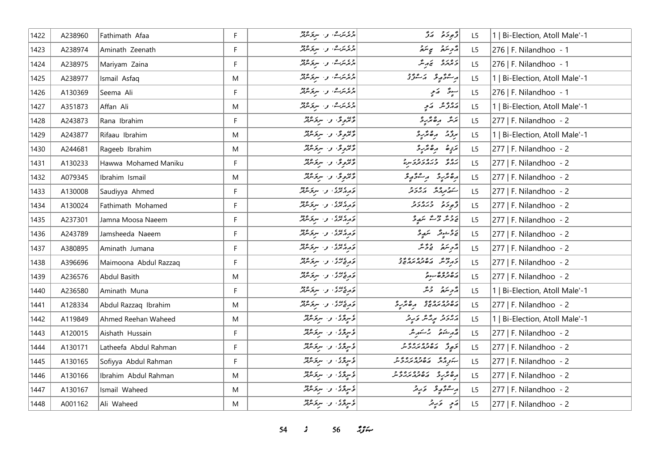| 1422 | A238960 | Fathimath Afaa        | F           | وی رہے، وی سروکرفر                                       | د پوځنو په ډکر                                                                                        | L <sub>5</sub> | 1   Bi-Election, Atoll Male'-1 |
|------|---------|-----------------------|-------------|----------------------------------------------------------|-------------------------------------------------------------------------------------------------------|----------------|--------------------------------|
| 1423 | A238974 | Aminath Zeenath       | F           | ا د ، مرگ، و ا سربر ۹۶۵                                  | مزوینده پی تنده                                                                                       | L <sub>5</sub> | 276   F. Nilandhoo - 1         |
| 1424 | A238975 | Mariyam Zaina         | F           | د ، مرت، و . سربر ۹۶۵                                    | دەرە ئەرش                                                                                             | L5             | 276   F. Nilandhoo - 1         |
| 1425 | A238977 | Ismail Asfaq          | M           | دېمرس و سرکرمونو                                         | رەۋرو كەرەپ                                                                                           | L5             | 1   Bi-Election, Atoll Male'-1 |
| 1426 | A130369 | Seema Ali             | F           | د ، برگ، و ا سربر مرد                                    | سېۋە كەمپە                                                                                            | L <sub>5</sub> | 276   F. Nilandhoo - 1         |
| 1427 | A351873 | Affan Ali             | M           | دی مرت، و اسر نورد د                                     | پروژند   پرتو                                                                                         | L <sub>5</sub> | 1   Bi-Election, Atoll Male'-1 |
| 1428 | A243873 | Rana Ibrahim          | F           | وَتَرَوِدُّ، وَ سَرِدَ مَرْتَدُ                          | بَدَینَر رِهِ بَدْرِ دِ                                                                               | L5             | 277   F. Nilandhoo - 2         |
| 1429 | A243877 | Rifaau Ibrahim        | M           | وَتَرْوِقُ و ِ سِرْقَائِدٌ                               | برؤم مقترع                                                                                            | L5             | 1   Bi-Election, Atoll Male'-1 |
| 1430 | A244681 | Rageeb Ibrahim        | M           | وَتَرْوِيَّ وَ سِرَوْسُهُ                                | يَرَدٍ صَلَّى اللَّهُ عَنْ يَرْدُ                                                                     | L5             | 277   F. Nilandhoo - 2         |
| 1431 | A130233 | Hawwa Mohamed Maniku  | F           | وَتَرُوِيَّ ۚ وَ ۚ سِرَوَسْرَتَرُ                        | גם בינסגרגית                                                                                          | L <sub>5</sub> | 277   F. Nilandhoo - 2         |
| 1432 | A079345 | Ibrahim Ismail        | M           | دېمونځ، وا سرنځ شتر                                      | أرەندىر بەستۇرغ                                                                                       | L <sub>5</sub> | 277   F. Nilandhoo - 2         |
| 1433 | A130008 | Saudiyya Ahmed        | F           | در ۲۰۵۰ و سرومبرد                                        | ה בנות הפני                                                                                           | L5             | 277   F. Nilandhoo - 2         |
| 1434 | A130024 | Fathimath Mohamed     | F           | تەمەم تەرەپ سىۋىتوللا                                    | توجوحوا المراجع                                                                                       | L <sub>5</sub> | 277   F. Nilandhoo - 2         |
| 1435 | A237301 | Jamna Moosa Naeem     | F           | دره عده و استره دود                                      | پرونګر ترثــه انگهای                                                                                  | L <sub>5</sub> | 277   F. Nilandhoo - 2         |
| 1436 | A243789 | Jamsheeda Naeem       | $\mathsf F$ | تەرەپىرى بىر سىزىسىد                                     | ئەۋىسىگە سەر ئ                                                                                        | L5             | 277   F. Nilandhoo - 2         |
| 1437 | A380895 | Aminath Jumana        | F           | توروسی: و استحاشه                                        | أأترجم فأتحم                                                                                          | L5             | 277   F. Nilandhoo - 2         |
| 1438 | A396696 | Maimoona Abdul Razzaq | F           | در عصری او ۱۰ سربر ۱۶۵ و                                 | ג מי גם בסגם ביב                                                                                      | L5             | 277   F. Nilandhoo - 2         |
| 1439 | A236576 | Abdul Basith          | M           | قەرىمى ئەسىر قىرىش                                       | رە دو ۋىبوتە                                                                                          | L <sub>5</sub> | 277   F. Nilandhoo - 2         |
| 1440 | A236580 | Aminath Muna          | F           | تەرەپرى بىر سرىمىتىگە                                    | رژوپرو دیگر                                                                                           | L <sub>5</sub> | 1   Bi-Election, Atoll Male'-1 |
| 1441 | A128334 | Abdul Razzaq Ibrahim  | ${\sf M}$   | تاریخ تری او ۱۰ سربر ۱۳۶۵<br>  تاریخ تری او ۱۰ سربر ۱۳۶۰ | ره ده ره ده و مرو                                                                                     | L5             | 277   F. Nilandhoo - 2         |
| 1442 | A119849 | Ahmed Reehan Waheed   | M           | ئۇسرگەنگە بەر سركىشلەر                                   | پروژو برگرگر وَبرِوْ                                                                                  | L5             | 1   Bi-Election, Atoll Male'-1 |
| 1443 | A120015 | Aishath Hussain       | F           | ئۇسىۋى نەسىر ئىشلار                                      | قەرشنى ئەسكىرىش                                                                                       | L <sub>5</sub> | 277   F. Nilandhoo - 2         |
| 1444 | A130171 | Latheefa Abdul Rahman | F           | ئۇستۇتى، بىر سىترىتىرلىر                                 | كم مع مده وه مده و د                                                                                  | L5             | 277   F. Nilandhoo - 2         |
| 1445 | A130165 | Sofiyya Abdul Rahman  | F           | قُسِرَقَرْ، و. سَرَقَرْمَةَرْ                            |                                                                                                       | L <sub>5</sub> | 277   F. Nilandhoo - 2         |
| 1446 | A130166 | Ibrahim Abdul Rahman  | M           | د سرگری، و ا سرگرمزند                                    | 04010201020101                                                                                        | L5             | 277   F. Nilandhoo - 2         |
| 1447 | A130167 | Ismail Waheed         | M           | ئۇسىرگە ئەسىر ئىرىشلەر                                   | أر شو الله علم الله عن الله الله عن الله الله عن الله عن الله عن الله عن الله عن الله عن الله عن الله | L5             | 277   F. Nilandhoo - 2         |
| 1448 | A001162 | Ali Waheed            | M           | ئۇنىرقۇق بىر سىر <i>قىتىرلىر</i>                         | ړَی دَرِیز                                                                                            | L5             | 277   F. Nilandhoo - 2         |

*s*  $56$  *i***<sub>s</sub>** $\frac{2}{5}$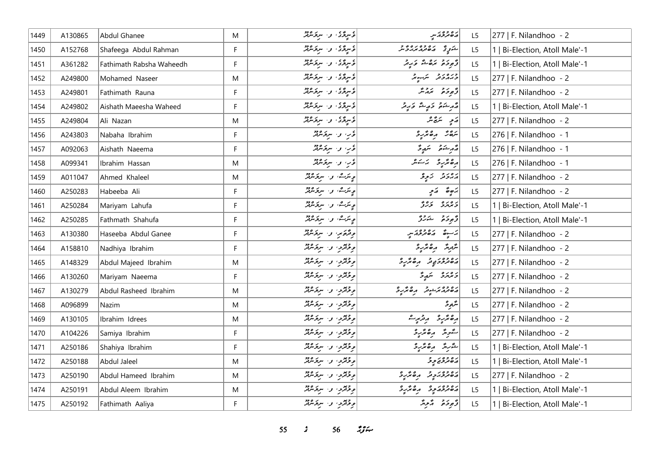| 1449 | A130865 | Abdul Ghanee             | M  | ع سرگری، و اسرکر میں<br>افراد میں اسرک                     | ړه وه پر سر                                                                                                                                                                                                        | L <sub>5</sub> | 277   F. Nilandhoo - 2         |
|------|---------|--------------------------|----|------------------------------------------------------------|--------------------------------------------------------------------------------------------------------------------------------------------------------------------------------------------------------------------|----------------|--------------------------------|
| 1450 | A152768 | Shafeega Abdul Rahman    | F  | ئۇس <sub>ى</sub> تىرى سەر سىرتىرلىر                        | شروتخ مكافر مده و د                                                                                                                                                                                                | L5             | 1   Bi-Election, Atoll Male'-1 |
| 1451 | A361282 | Fathimath Rabsha Waheedh | F  | ۇسرگۇكا لار سرگرىدىگر                                      | أَزْمُ وَمَعْ مَرْهَ شُوَّ مَ رِ وَ                                                                                                                                                                                | L5             | 1   Bi-Election, Atoll Male'-1 |
| 1452 | A249800 | Mohamed Naseer           | M  | ئۇس ئۇتى، بەر سىرىتىرلىر                                   | ورەرو شبەر                                                                                                                                                                                                         | L5             | 277   F. Nilandhoo - 2         |
| 1453 | A249801 | Fathimath Rauna          | F  | ئۇسرىگى، بىر سىرىكىنىڭ                                     | وَجوحَع تَمَدَّسَ                                                                                                                                                                                                  | L <sub>5</sub> | 277   F. Nilandhoo - 2         |
| 1454 | A249802 | Aishath Maeesha Waheed   | F. | ئۇستۇتى، بىر سىترىشتىر                                     | أقهر شدة وكها والمحارية                                                                                                                                                                                            | L5             | 1   Bi-Election, Atoll Male'-1 |
| 1455 | A249804 | Ali Nazan                | M  | ۇسرگرى، و. سرگرىقلا                                        | $\begin{vmatrix} \frac{\partial}{\partial y} & \frac{\partial}{\partial z} & \frac{\partial}{\partial z} \\ \frac{\partial}{\partial z} & \frac{\partial}{\partial z} & \frac{\partial}{\partial z} \end{vmatrix}$ | L <sub>5</sub> | 277   F. Nilandhoo - 2         |
| 1456 | A243803 | Nabaha Ibrahim           | F. | ؤر، و- بروکرټر                                             | شقر " مقدرة                                                                                                                                                                                                        | L5             | 276   F. Nilandhoo - 1         |
| 1457 | A092063 | Aishath Naeema           | F  | قرب او البریخ نگرفتر                                       | مەركىتى ئىمىر ئ                                                                                                                                                                                                    | L <sub>5</sub> | 276   F. Nilandhoo - 1         |
| 1458 | A099341 | Ibrahim Hassan           | M  | قريبا والمستروجين                                          | دەنگرىز ئەسكىر                                                                                                                                                                                                     | L <sub>5</sub> | 276   F. Nilandhoo - 1         |
| 1459 | A011047 | Ahmed Khaleel            | M  | ا <sub>ھي</sub> ترت، و <sub>س</sub> سرير ميڊ               | پروتر - زیرو                                                                                                                                                                                                       | L <sub>5</sub> | 277   F. Nilandhoo - 2         |
| 1460 | A250283 | Habeeba Ali              | F  | ا <sub>ھ</sub> يترے، و <sub>ن</sub> سربر م <sup>ور</sup> د | پَهِ صَبَح مَدَمٍ                                                                                                                                                                                                  | L5             | 277   F. Nilandhoo - 2         |
| 1461 | A250284 | Mariyam Lahufa           | F  | ویترک، و سرویترنتر                                         | و ه ده و ده و                                                                                                                                                                                                      | L5             | 1   Bi-Election, Atoll Male'-1 |
| 1462 | A250285 | Fathmath Shahufa         | F  | ویترے، و. سرقرمرتز                                         | ژُهِ دَمَ شَرْرٌ                                                                                                                                                                                                   | L5             | 1   Bi-Election, Atoll Male'-1 |
| 1463 | A130380 | Haseeba Abdul Ganee      | F  | وقدة من والسرقر عديمة                                      | د سره ده ده در سر                                                                                                                                                                                                  | L5             | 277   F. Nilandhoo - 2         |
| 1464 | A158810 | Nadhiya Ibrahim          | F. | ویژگرو، و سرقرمرگز                                         | شرمر مقترد                                                                                                                                                                                                         | L5             | 277   F. Nilandhoo - 2         |
| 1465 | A148329 | Abdul Majeed Ibrahim     | M  | <i>و فقرق و سرفرمان</i> د                                  | دەدەر دە ئەھەرد                                                                                                                                                                                                    | L <sub>5</sub> | 277   F. Nilandhoo - 2         |
| 1466 | A130260 | Mariyam Naeema           | F. | ویخزیا و سربخترند                                          | دەرە شەر                                                                                                                                                                                                           | L <sub>5</sub> | 277   F. Nilandhoo - 2         |
| 1467 | A130279 | Abdul Rasheed Ibrahim    | M  | وقتروا والبرقانين                                          | <br>  הסנג הייני הסתיב                                                                                                                                                                                             | L5             | 277   F. Nilandhoo - 2         |
| 1468 | A096899 | Nazim                    | M  | ویخترین و سربخشند                                          | متزمرقر                                                                                                                                                                                                            | L5             | 277   F. Nilandhoo - 2         |
| 1469 | A130105 | Ibrahim Idrees           | M  | ویخزیا و سربخنده                                           | أرە ئەرە بەر ئەر                                                                                                                                                                                                   | L5             | 277   F. Nilandhoo - 2         |
| 1470 | A104226 | Samiya Ibrahim           | F. | <i>و فقرق و سرفرمان</i> د                                  | كرورش وكالحريرة                                                                                                                                                                                                    | L <sub>5</sub> | 277   F. Nilandhoo - 2         |
| 1471 | A250186 | Shahiya Ibrahim          | F  | وقتربا والبرقانير                                          | شرير رەئزىر                                                                                                                                                                                                        | L <sub>5</sub> | 1   Bi-Election, Atoll Male'-1 |
| 1472 | A250188 | Abdul Jaleel             | M  | وقترب والبرقرمة                                            | ړه وه پر چه                                                                                                                                                                                                        | L5             | 1   Bi-Election, Atoll Male'-1 |
| 1473 | A250190 | Abdul Hameed Ibrahim     | M  | ویخزیا و سربخندند                                          | دەورىي ھەترى                                                                                                                                                                                                       | L5             | 277   F. Nilandhoo - 2         |
| 1474 | A250191 | Abdul Aleem Ibrahim      | M  | ویژنژو، و سربر عربز                                        | رە دور دە ئەر ئ                                                                                                                                                                                                    | L5             | 1   Bi-Election, Atoll Male'-1 |
| 1475 | A250192 | Fathimath Aaliya         | F. | وقترب و سرقرماند                                           | وتجوحه المزمر                                                                                                                                                                                                      | L <sub>5</sub> | 1   Bi-Election, Atoll Male'-1 |

 $\frac{1}{5}$   $56$   $\frac{10}{5}$